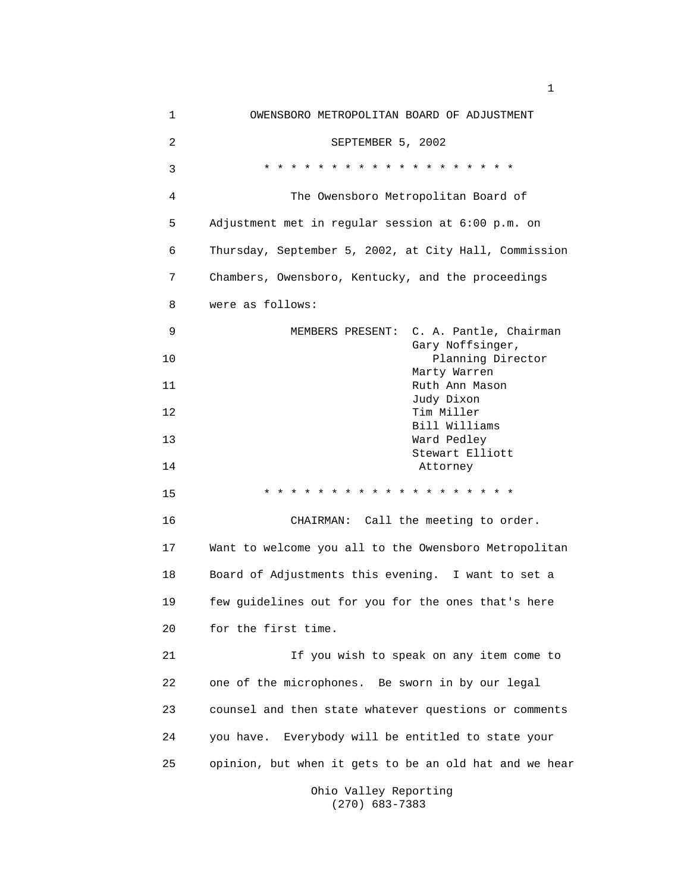| 1  | OWENSBORO METROPOLITAN BOARD OF ADJUSTMENT                                    |
|----|-------------------------------------------------------------------------------|
| 2  | SEPTEMBER 5, 2002                                                             |
| 3  | * * * * * * * * *<br>$\star$<br>$\star$ $\star$<br>$\star$ $\star$<br>* * * * |
| 4  | The Owensboro Metropolitan Board of                                           |
| 5  | Adjustment met in regular session at 6:00 p.m. on                             |
| 6  | Thursday, September 5, 2002, at City Hall, Commission                         |
| 7  | Chambers, Owensboro, Kentucky, and the proceedings                            |
| 8  | were as follows:                                                              |
| 9  | MEMBERS PRESENT: C. A. Pantle, Chairman                                       |
| 10 | Gary Noffsinger,<br>Planning Director                                         |
| 11 | Marty Warren<br>Ruth Ann Mason                                                |
| 12 | Judy Dixon<br>Tim Miller                                                      |
|    | Bill Williams                                                                 |
| 13 | Ward Pedley                                                                   |
| 14 | Stewart Elliott<br>Attorney                                                   |
| 15 | * * * * * * * * * * * * *<br>$\star$ $\star$                                  |
| 16 | CHAIRMAN: Call the meeting to order.                                          |
| 17 | Want to welcome you all to the Owensboro Metropolitan                         |
| 18 | Board of Adjustments this evening. I want to set a                            |
| 19 | few guidelines out for you for the ones that's here                           |
| 20 | for the first time.                                                           |
| 21 | If you wish to speak on any item come to                                      |
| 22 | one of the microphones. Be sworn in by our legal                              |
| 23 | counsel and then state whatever questions or comments                         |
| 24 | you have. Everybody will be entitled to state your                            |
| 25 | opinion, but when it gets to be an old hat and we hear                        |
|    |                                                                               |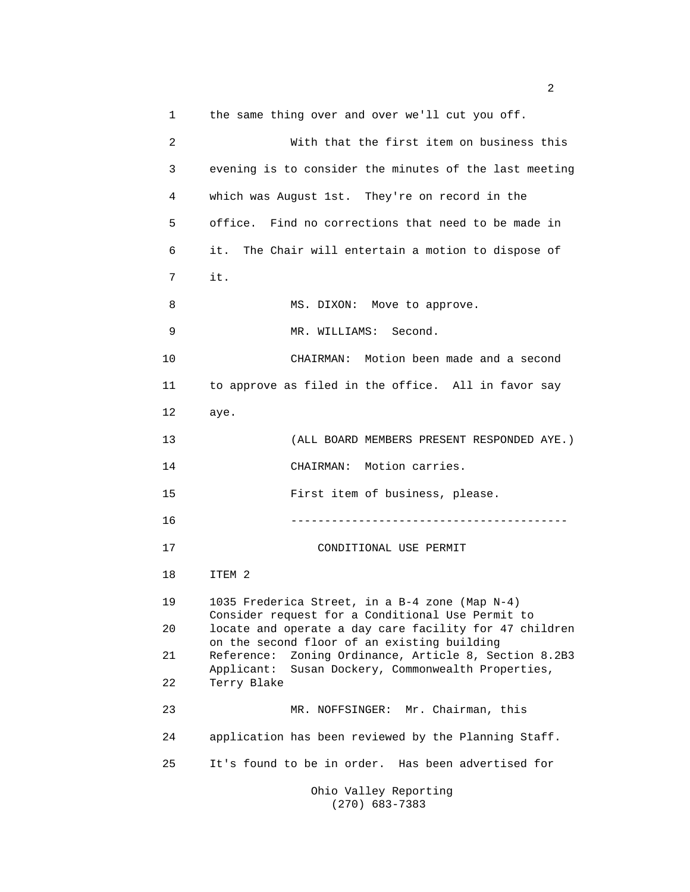1 the same thing over and over we'll cut you off. 2 With that the first item on business this 3 evening is to consider the minutes of the last meeting 4 which was August 1st. They're on record in the 5 office. Find no corrections that need to be made in 6 it. The Chair will entertain a motion to dispose of 7 it. 8 MS. DIXON: Move to approve. 9 MR. WILLIAMS: Second. 10 CHAIRMAN: Motion been made and a second 11 to approve as filed in the office. All in favor say 12 aye. 13 (ALL BOARD MEMBERS PRESENT RESPONDED AYE.) 14 CHAIRMAN: Motion carries. 15 First item of business, please. 16 ----------------------------------------- 17 CONDITIONAL USE PERMIT 18 ITEM 2 19 1035 Frederica Street, in a B-4 zone (Map N-4) Consider request for a Conditional Use Permit to 20 locate and operate a day care facility for 47 children on the second floor of an existing building 21 Reference: Zoning Ordinance, Article 8, Section 8.2B3 Applicant: Susan Dockery, Commonwealth Properties, 22 Terry Blake 23 MR. NOFFSINGER: Mr. Chairman, this 24 application has been reviewed by the Planning Staff. 25 It's found to be in order. Has been advertised for Ohio Valley Reporting

(270) 683-7383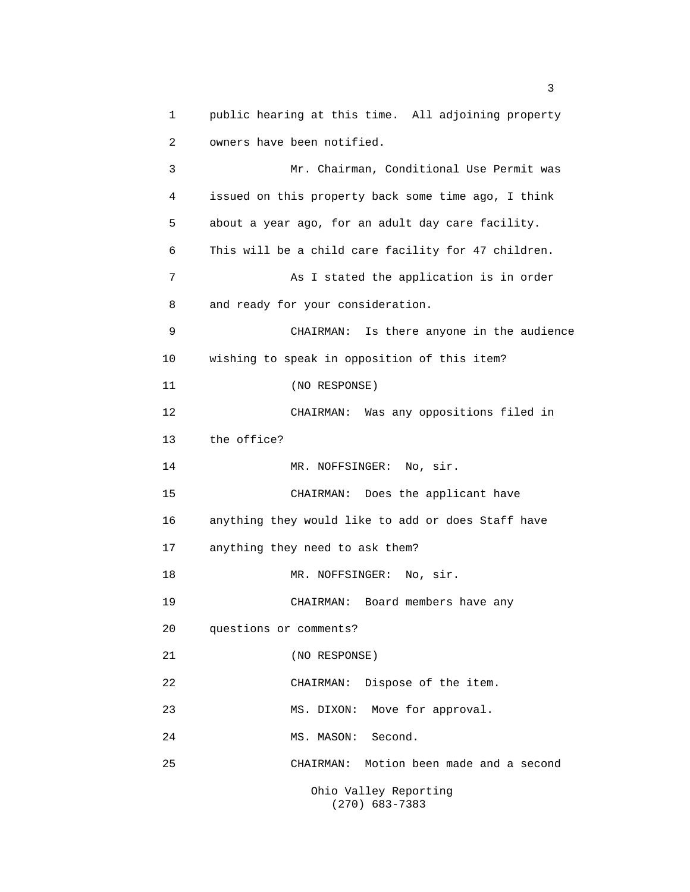1 public hearing at this time. All adjoining property 2 owners have been notified. 3 Mr. Chairman, Conditional Use Permit was 4 issued on this property back some time ago, I think 5 about a year ago, for an adult day care facility. 6 This will be a child care facility for 47 children. 7 As I stated the application is in order 8 and ready for your consideration. 9 CHAIRMAN: Is there anyone in the audience 10 wishing to speak in opposition of this item? 11 (NO RESPONSE) 12 CHAIRMAN: Was any oppositions filed in 13 the office? 14 MR. NOFFSINGER: No, sir. 15 CHAIRMAN: Does the applicant have 16 anything they would like to add or does Staff have 17 anything they need to ask them? 18 MR. NOFFSINGER: No, sir. 19 CHAIRMAN: Board members have any 20 questions or comments? 21 (NO RESPONSE) 22 CHAIRMAN: Dispose of the item. 23 MS. DIXON: Move for approval. 24 MS. MASON: Second. 25 CHAIRMAN: Motion been made and a second Ohio Valley Reporting (270) 683-7383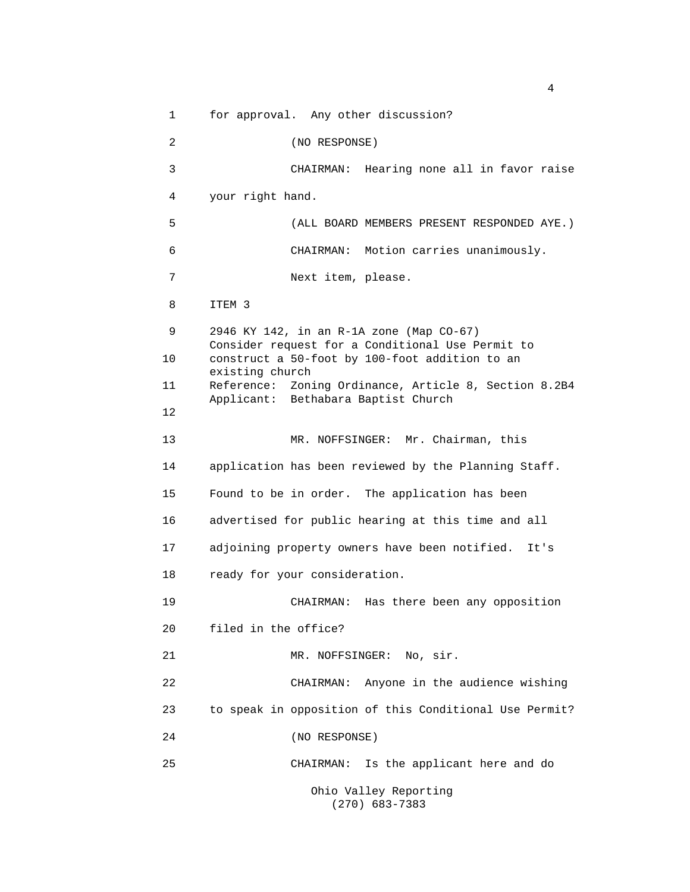1 for approval. Any other discussion? 2 (NO RESPONSE) 3 CHAIRMAN: Hearing none all in favor raise 4 your right hand. 5 (ALL BOARD MEMBERS PRESENT RESPONDED AYE.) 6 CHAIRMAN: Motion carries unanimously. 7 Next item, please. 8 ITEM 3 9 2946 KY 142, in an R-1A zone (Map CO-67) Consider request for a Conditional Use Permit to 10 construct a 50-foot by 100-foot addition to an existing church 11 Reference: Zoning Ordinance, Article 8, Section 8.2B4 Applicant: Bethabara Baptist Church 12 13 MR. NOFFSINGER: Mr. Chairman, this 14 application has been reviewed by the Planning Staff. 15 Found to be in order. The application has been 16 advertised for public hearing at this time and all 17 adjoining property owners have been notified. It's 18 ready for your consideration. 19 CHAIRMAN: Has there been any opposition 20 filed in the office? 21 MR. NOFFSINGER: No, sir. 22 CHAIRMAN: Anyone in the audience wishing 23 to speak in opposition of this Conditional Use Permit? 24 (NO RESPONSE) 25 CHAIRMAN: Is the applicant here and do Ohio Valley Reporting

(270) 683-7383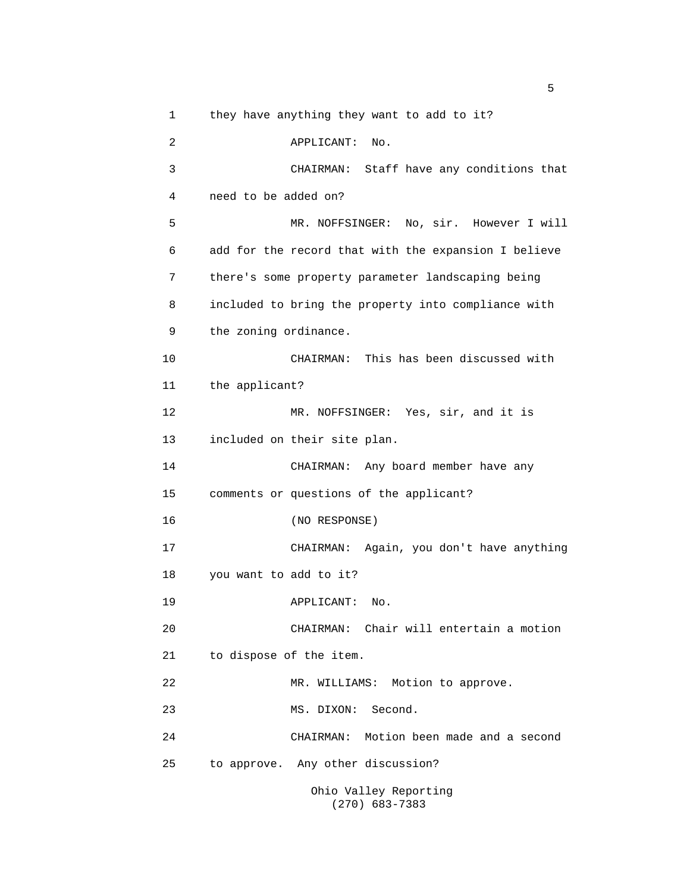1 they have anything they want to add to it? 2 APPLICANT: No. 3 CHAIRMAN: Staff have any conditions that 4 need to be added on? 5 MR. NOFFSINGER: No, sir. However I will 6 add for the record that with the expansion I believe 7 there's some property parameter landscaping being 8 included to bring the property into compliance with 9 the zoning ordinance. 10 CHAIRMAN: This has been discussed with 11 the applicant? 12 MR. NOFFSINGER: Yes, sir, and it is 13 included on their site plan. 14 CHAIRMAN: Any board member have any 15 comments or questions of the applicant? 16 (NO RESPONSE) 17 CHAIRMAN: Again, you don't have anything 18 you want to add to it? 19 APPLICANT: No. 20 CHAIRMAN: Chair will entertain a motion 21 to dispose of the item. 22 MR. WILLIAMS: Motion to approve. 23 MS. DIXON: Second. 24 CHAIRMAN: Motion been made and a second 25 to approve. Any other discussion? Ohio Valley Reporting

(270) 683-7383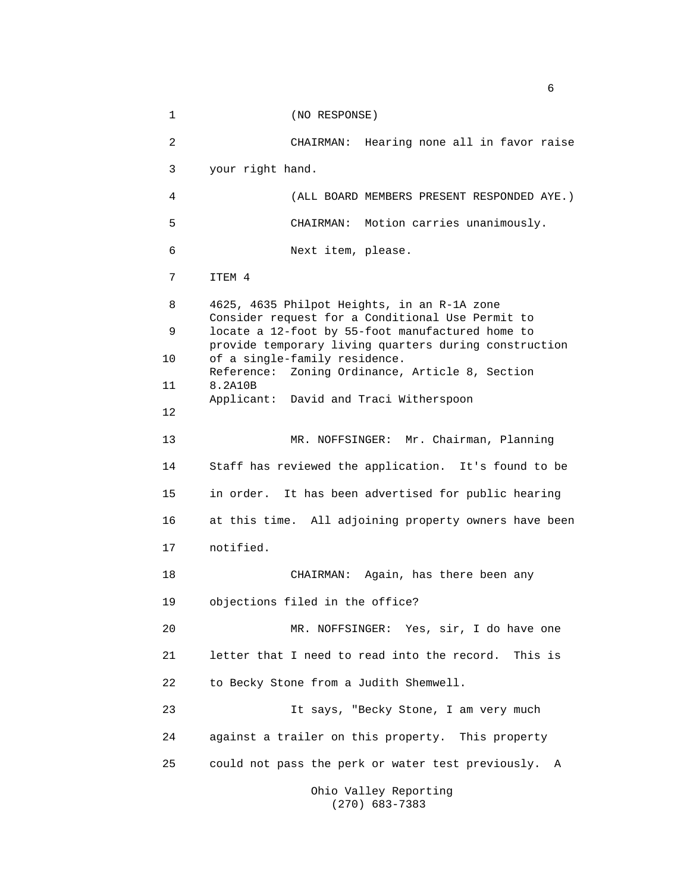1 (NO RESPONSE) 2 CHAIRMAN: Hearing none all in favor raise 3 your right hand. 4 (ALL BOARD MEMBERS PRESENT RESPONDED AYE.) 5 CHAIRMAN: Motion carries unanimously. 6 Next item, please. 7 ITEM 4 8 4625, 4635 Philpot Heights, in an R-1A zone Consider request for a Conditional Use Permit to 9 locate a 12-foot by 55-foot manufactured home to provide temporary living quarters during construction 10 of a single-family residence. Reference: Zoning Ordinance, Article 8, Section 11 8.2A10B Applicant: David and Traci Witherspoon 12 13 MR. NOFFSINGER: Mr. Chairman, Planning 14 Staff has reviewed the application. It's found to be 15 in order. It has been advertised for public hearing 16 at this time. All adjoining property owners have been 17 notified. 18 CHAIRMAN: Again, has there been any 19 objections filed in the office? 20 MR. NOFFSINGER: Yes, sir, I do have one 21 letter that I need to read into the record. This is 22 to Becky Stone from a Judith Shemwell. 23 It says, "Becky Stone, I am very much 24 against a trailer on this property. This property 25 could not pass the perk or water test previously. A Ohio Valley Reporting

(270) 683-7383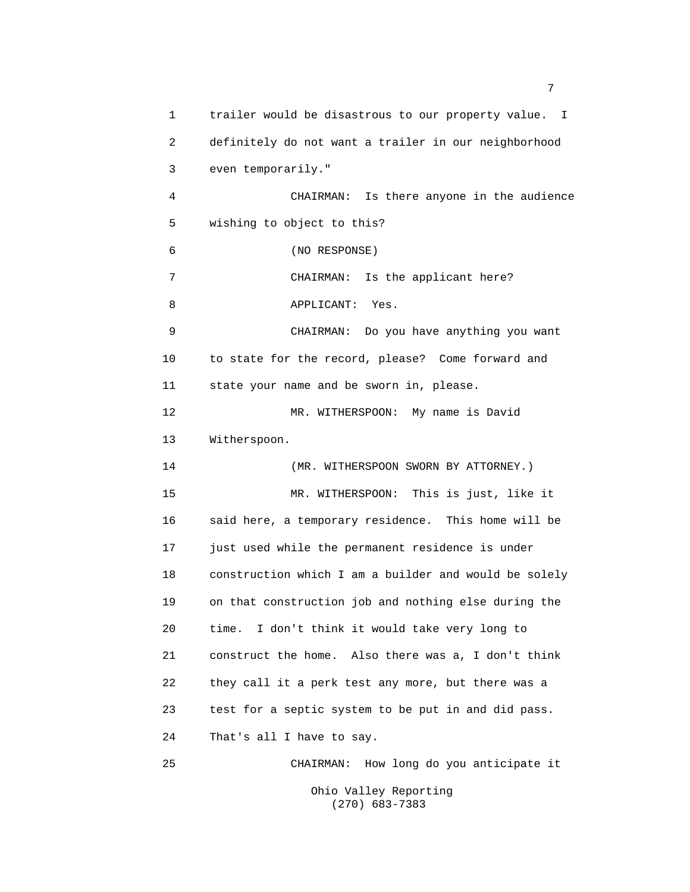1 trailer would be disastrous to our property value. I 2 definitely do not want a trailer in our neighborhood 3 even temporarily." 4 CHAIRMAN: Is there anyone in the audience 5 wishing to object to this? 6 (NO RESPONSE) 7 CHAIRMAN: Is the applicant here? 8 APPLICANT: Yes. 9 CHAIRMAN: Do you have anything you want 10 to state for the record, please? Come forward and 11 state your name and be sworn in, please. 12 MR. WITHERSPOON: My name is David 13 Witherspoon. 14 (MR. WITHERSPOON SWORN BY ATTORNEY.) 15 MR. WITHERSPOON: This is just, like it 16 said here, a temporary residence. This home will be 17 just used while the permanent residence is under 18 construction which I am a builder and would be solely 19 on that construction job and nothing else during the 20 time. I don't think it would take very long to 21 construct the home. Also there was a, I don't think 22 they call it a perk test any more, but there was a 23 test for a septic system to be put in and did pass. 24 That's all I have to say. 25 CHAIRMAN: How long do you anticipate it Ohio Valley Reporting

7

(270) 683-7383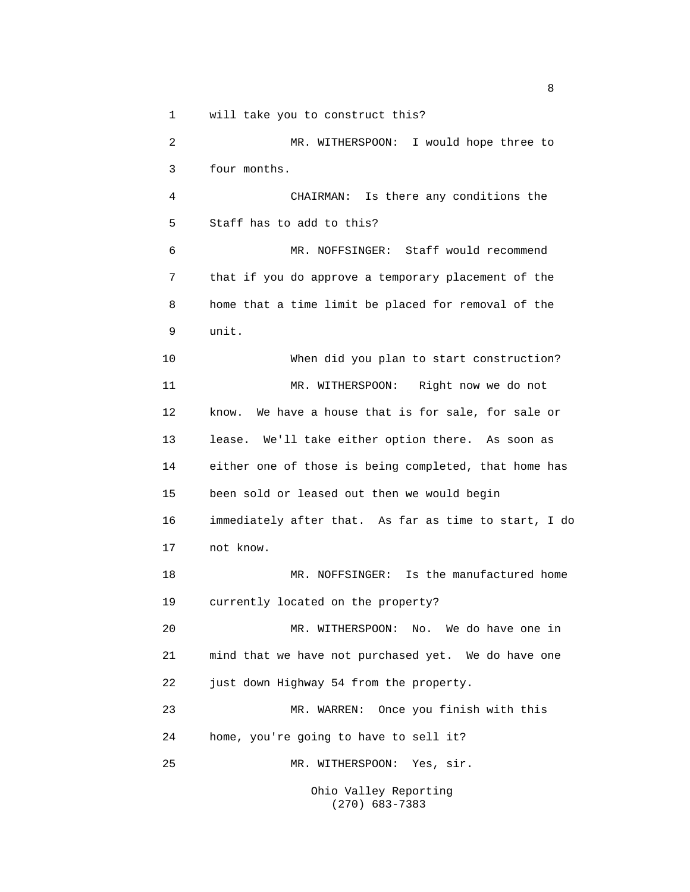1 will take you to construct this?

2 MR. WITHERSPOON: I would hope three to 3 four months. 4 CHAIRMAN: Is there any conditions the 5 Staff has to add to this? 6 MR. NOFFSINGER: Staff would recommend 7 that if you do approve a temporary placement of the 8 home that a time limit be placed for removal of the 9 unit. 10 When did you plan to start construction? 11 MR. WITHERSPOON: Right now we do not 12 know. We have a house that is for sale, for sale or 13 lease. We'll take either option there. As soon as 14 either one of those is being completed, that home has 15 been sold or leased out then we would begin 16 immediately after that. As far as time to start, I do 17 not know. 18 MR. NOFFSINGER: Is the manufactured home 19 currently located on the property? 20 MR. WITHERSPOON: No. We do have one in 21 mind that we have not purchased yet. We do have one 22 just down Highway 54 from the property. 23 MR. WARREN: Once you finish with this 24 home, you're going to have to sell it? 25 MR. WITHERSPOON: Yes, sir. Ohio Valley Reporting

(270) 683-7383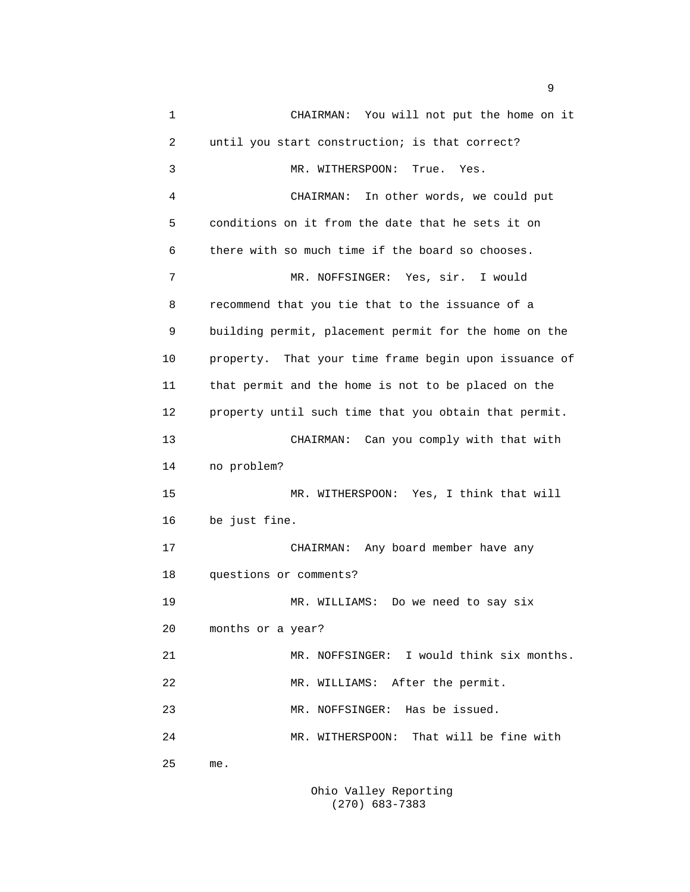1 CHAIRMAN: You will not put the home on it 2 until you start construction; is that correct? 3 MR. WITHERSPOON: True. Yes. 4 CHAIRMAN: In other words, we could put 5 conditions on it from the date that he sets it on 6 there with so much time if the board so chooses. 7 MR. NOFFSINGER: Yes, sir. I would 8 recommend that you tie that to the issuance of a 9 building permit, placement permit for the home on the 10 property. That your time frame begin upon issuance of 11 that permit and the home is not to be placed on the 12 property until such time that you obtain that permit. 13 CHAIRMAN: Can you comply with that with 14 no problem? 15 MR. WITHERSPOON: Yes, I think that will 16 be just fine. 17 CHAIRMAN: Any board member have any 18 questions or comments? 19 MR. WILLIAMS: Do we need to say six 20 months or a year? 21 MR. NOFFSINGER: I would think six months. 22 MR. WILLIAMS: After the permit. 23 MR. NOFFSINGER: Has be issued. 24 MR. WITHERSPOON: That will be fine with 25 me.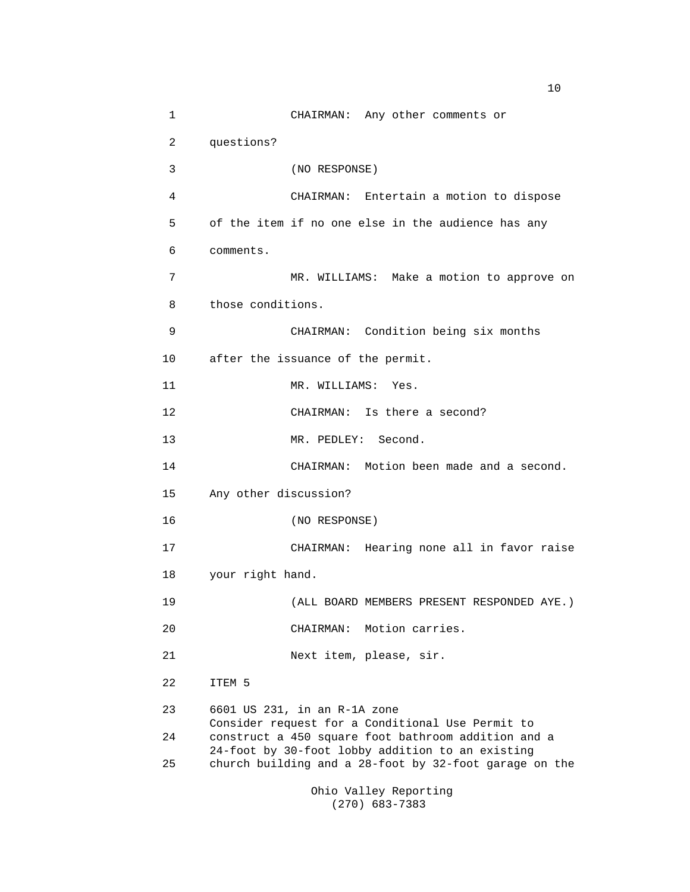1 CHAIRMAN: Any other comments or 2 questions? 3 (NO RESPONSE) 4 CHAIRMAN: Entertain a motion to dispose 5 of the item if no one else in the audience has any 6 comments. 7 MR. WILLIAMS: Make a motion to approve on 8 those conditions. 9 CHAIRMAN: Condition being six months 10 after the issuance of the permit. 11 MR. WILLIAMS: Yes. 12 CHAIRMAN: Is there a second? 13 MR. PEDLEY: Second. 14 CHAIRMAN: Motion been made and a second. 15 Any other discussion? 16 (NO RESPONSE) 17 CHAIRMAN: Hearing none all in favor raise 18 your right hand. 19 (ALL BOARD MEMBERS PRESENT RESPONDED AYE.) 20 CHAIRMAN: Motion carries. 21 Next item, please, sir. 22 ITEM 5 23 6601 US 231, in an R-1A zone Consider request for a Conditional Use Permit to 24 construct a 450 square foot bathroom addition and a 24-foot by 30-foot lobby addition to an existing 25 church building and a 28-foot by 32-foot garage on the

Ohio Valley Reporting (270) 683-7383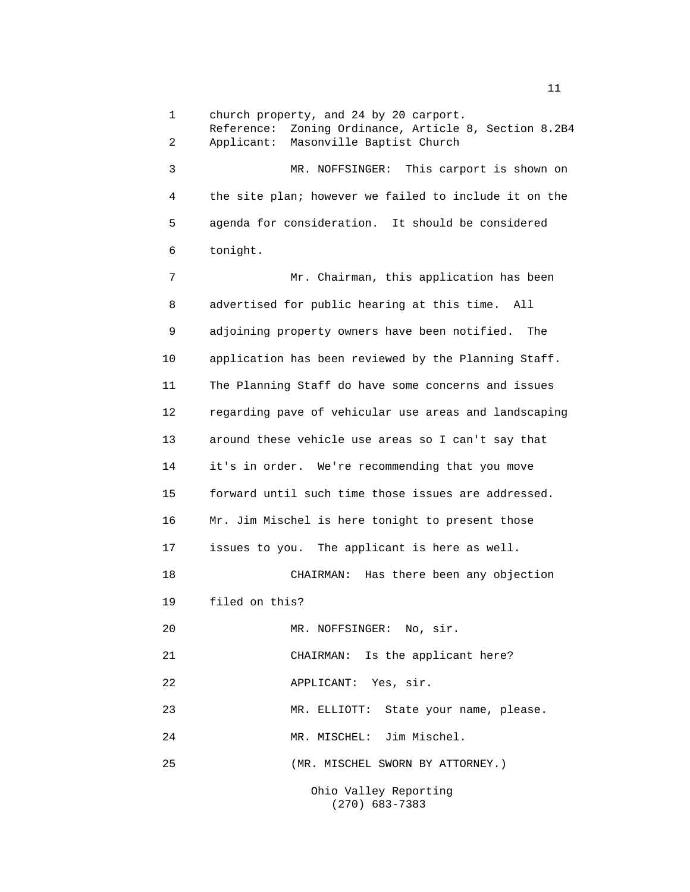1 church property, and 24 by 20 carport. Reference: Zoning Ordinance, Article 8, Section 8.2B4 2 Applicant: Masonville Baptist Church 3 MR. NOFFSINGER: This carport is shown on 4 the site plan; however we failed to include it on the 5 agenda for consideration. It should be considered 6 tonight. 7 Mr. Chairman, this application has been 8 advertised for public hearing at this time. All 9 adjoining property owners have been notified. The 10 application has been reviewed by the Planning Staff. 11 The Planning Staff do have some concerns and issues 12 regarding pave of vehicular use areas and landscaping 13 around these vehicle use areas so I can't say that 14 it's in order. We're recommending that you move 15 forward until such time those issues are addressed. 16 Mr. Jim Mischel is here tonight to present those 17 issues to you. The applicant is here as well. 18 CHAIRMAN: Has there been any objection 19 filed on this? 20 MR. NOFFSINGER: No, sir. 21 CHAIRMAN: Is the applicant here? 22 APPLICANT: Yes, sir. 23 MR. ELLIOTT: State your name, please. 24 MR. MISCHEL: Jim Mischel. 25 (MR. MISCHEL SWORN BY ATTORNEY.)

> Ohio Valley Reporting (270) 683-7383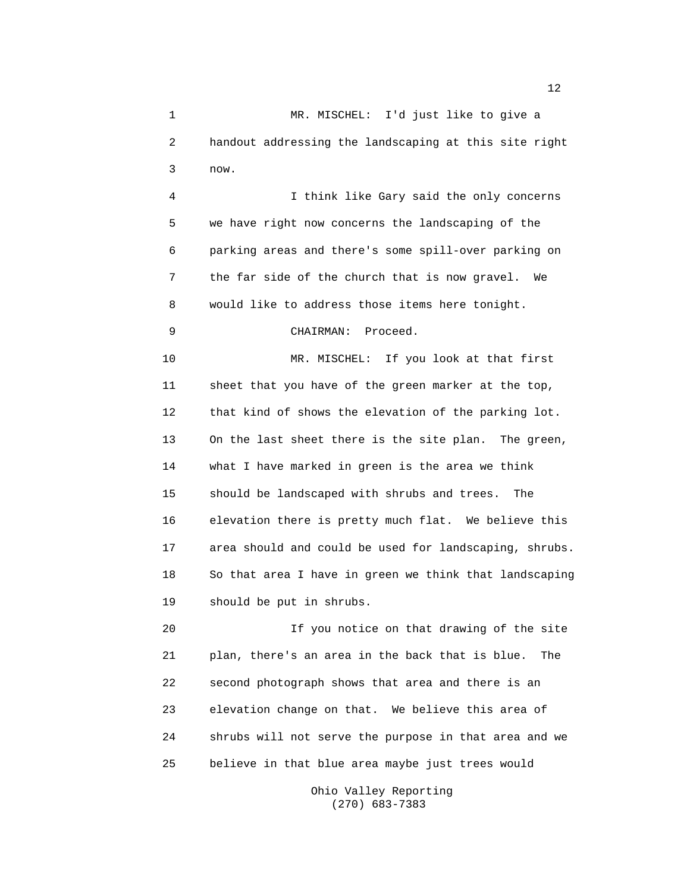1 MR. MISCHEL: I'd just like to give a 2 handout addressing the landscaping at this site right 3 now.

4 I think like Gary said the only concerns 5 we have right now concerns the landscaping of the 6 parking areas and there's some spill-over parking on 7 the far side of the church that is now gravel. We 8 would like to address those items here tonight.

## 9 CHAIRMAN: Proceed.

10 MR. MISCHEL: If you look at that first 11 sheet that you have of the green marker at the top, 12 that kind of shows the elevation of the parking lot. 13 On the last sheet there is the site plan. The green, 14 what I have marked in green is the area we think 15 should be landscaped with shrubs and trees. The 16 elevation there is pretty much flat. We believe this 17 area should and could be used for landscaping, shrubs. 18 So that area I have in green we think that landscaping 19 should be put in shrubs.

20 If you notice on that drawing of the site 21 plan, there's an area in the back that is blue. The 22 second photograph shows that area and there is an 23 elevation change on that. We believe this area of 24 shrubs will not serve the purpose in that area and we 25 believe in that blue area maybe just trees would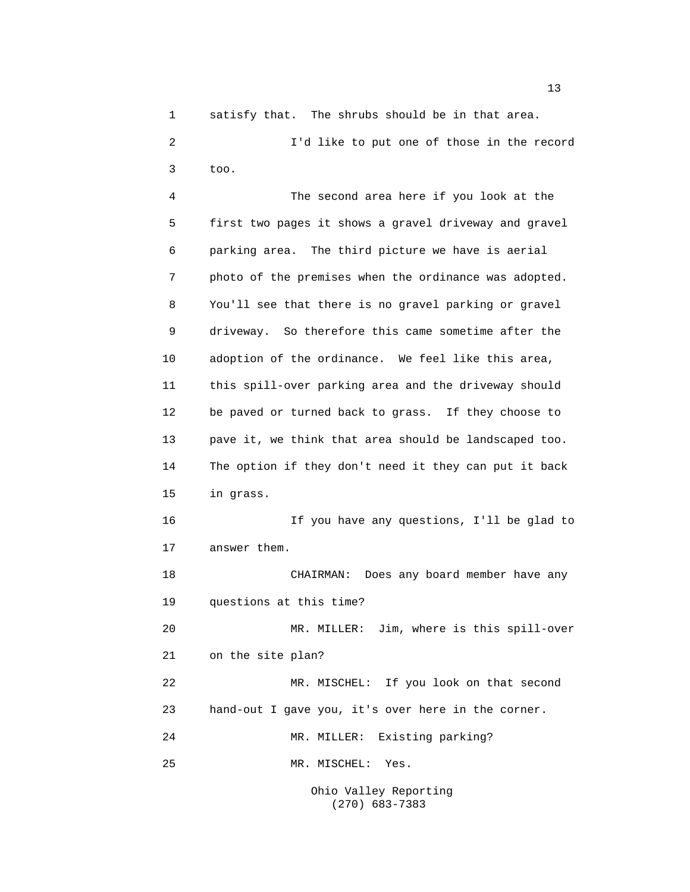1 satisfy that. The shrubs should be in that area.

2 I'd like to put one of those in the record 3 too.

4 The second area here if you look at the 5 first two pages it shows a gravel driveway and gravel 6 parking area. The third picture we have is aerial 7 photo of the premises when the ordinance was adopted. 8 You'll see that there is no gravel parking or gravel 9 driveway. So therefore this came sometime after the 10 adoption of the ordinance. We feel like this area, 11 this spill-over parking area and the driveway should 12 be paved or turned back to grass. If they choose to 13 pave it, we think that area should be landscaped too. 14 The option if they don't need it they can put it back 15 in grass. 16 If you have any questions, I'll be glad to 17 answer them. 18 CHAIRMAN: Does any board member have any 19 questions at this time? 20 MR. MILLER: Jim, where is this spill-over 21 on the site plan? 22 MR. MISCHEL: If you look on that second 23 hand-out I gave you, it's over here in the corner. 24 MR. MILLER: Existing parking? 25 MR. MISCHEL: Yes. Ohio Valley Reporting

(270) 683-7383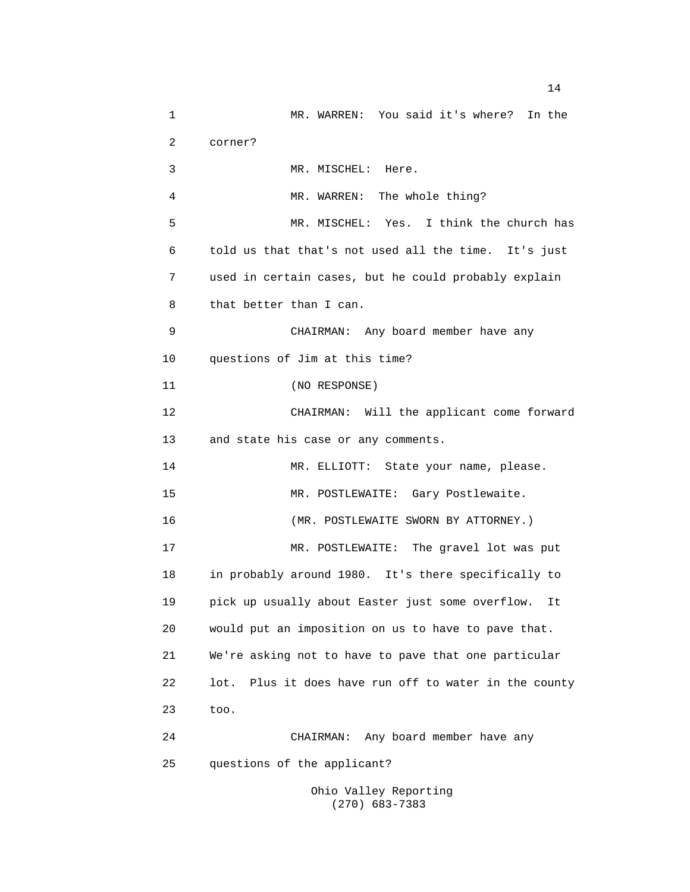1 MR. WARREN: You said it's where? In the 2 corner? 3 MR. MISCHEL: Here. 4 MR. WARREN: The whole thing? 5 MR. MISCHEL: Yes. I think the church has 6 told us that that's not used all the time. It's just 7 used in certain cases, but he could probably explain 8 that better than I can. 9 CHAIRMAN: Any board member have any 10 questions of Jim at this time? 11 (NO RESPONSE) 12 CHAIRMAN: Will the applicant come forward 13 and state his case or any comments. 14 MR. ELLIOTT: State your name, please. 15 MR. POSTLEWAITE: Gary Postlewaite. 16 (MR. POSTLEWAITE SWORN BY ATTORNEY.) 17 MR. POSTLEWAITE: The gravel lot was put 18 in probably around 1980. It's there specifically to 19 pick up usually about Easter just some overflow. It 20 would put an imposition on us to have to pave that. 21 We're asking not to have to pave that one particular 22 lot. Plus it does have run off to water in the county 23 too. 24 CHAIRMAN: Any board member have any 25 questions of the applicant?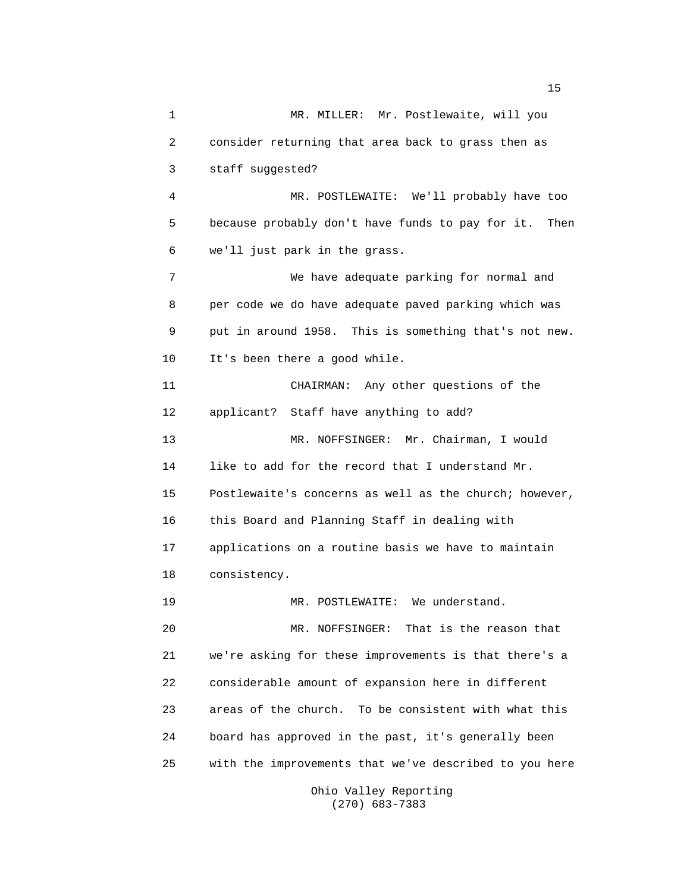1 MR. MILLER: Mr. Postlewaite, will you 2 consider returning that area back to grass then as 3 staff suggested? 4 MR. POSTLEWAITE: We'll probably have too 5 because probably don't have funds to pay for it. Then 6 we'll just park in the grass. 7 We have adequate parking for normal and 8 per code we do have adequate paved parking which was 9 put in around 1958. This is something that's not new. 10 It's been there a good while. 11 CHAIRMAN: Any other questions of the 12 applicant? Staff have anything to add? 13 MR. NOFFSINGER: Mr. Chairman, I would 14 like to add for the record that I understand Mr. 15 Postlewaite's concerns as well as the church; however, 16 this Board and Planning Staff in dealing with 17 applications on a routine basis we have to maintain 18 consistency. 19 MR. POSTLEWAITE: We understand. 20 MR. NOFFSINGER: That is the reason that 21 we're asking for these improvements is that there's a 22 considerable amount of expansion here in different 23 areas of the church. To be consistent with what this 24 board has approved in the past, it's generally been 25 with the improvements that we've described to you here

Ohio Valley Reporting (270) 683-7383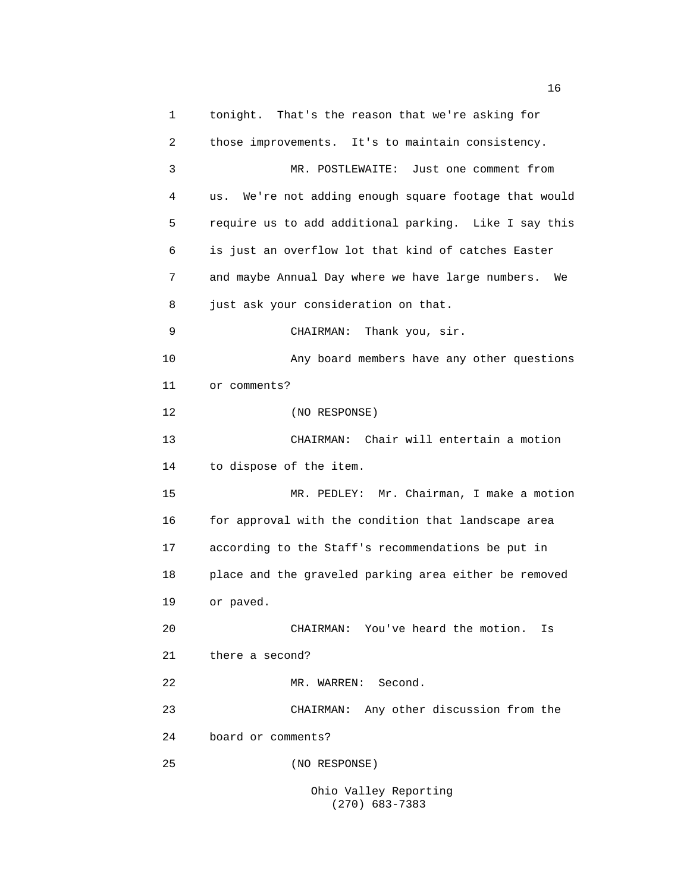1 tonight. That's the reason that we're asking for 2 those improvements. It's to maintain consistency. 3 MR. POSTLEWAITE: Just one comment from 4 us. We're not adding enough square footage that would 5 require us to add additional parking. Like I say this 6 is just an overflow lot that kind of catches Easter 7 and maybe Annual Day where we have large numbers. We 8 just ask your consideration on that. 9 CHAIRMAN: Thank you, sir. 10 Any board members have any other questions 11 or comments? 12 (NO RESPONSE) 13 CHAIRMAN: Chair will entertain a motion 14 to dispose of the item. 15 MR. PEDLEY: Mr. Chairman, I make a motion 16 for approval with the condition that landscape area 17 according to the Staff's recommendations be put in 18 place and the graveled parking area either be removed 19 or paved. 20 CHAIRMAN: You've heard the motion. Is 21 there a second? 22 MR. WARREN: Second. 23 CHAIRMAN: Any other discussion from the 24 board or comments? 25 (NO RESPONSE)

Ohio Valley Reporting (270) 683-7383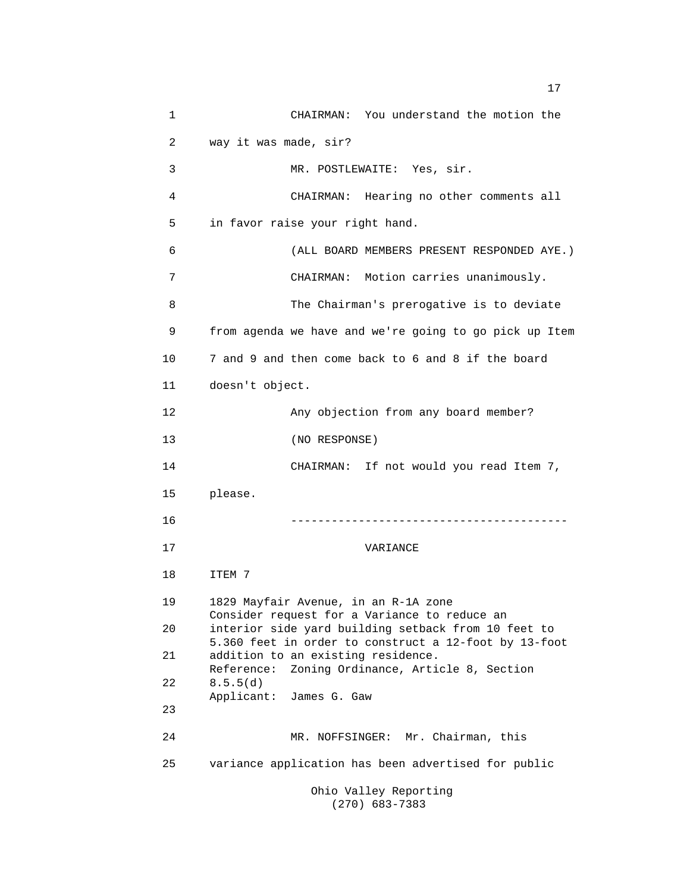1 CHAIRMAN: You understand the motion the 2 way it was made, sir? 3 MR. POSTLEWAITE: Yes, sir. 4 CHAIRMAN: Hearing no other comments all 5 in favor raise your right hand. 6 (ALL BOARD MEMBERS PRESENT RESPONDED AYE.) 7 CHAIRMAN: Motion carries unanimously. 8 The Chairman's prerogative is to deviate 9 from agenda we have and we're going to go pick up Item 10 7 and 9 and then come back to 6 and 8 if the board 11 doesn't object. 12 Any objection from any board member? 13 (NO RESPONSE) 14 CHAIRMAN: If not would you read Item 7, 15 please. 16 ----------------------------------------- 17 VARIANCE 18 ITEM 7 19 1829 Mayfair Avenue, in an R-1A zone Consider request for a Variance to reduce an 20 interior side yard building setback from 10 feet to 5.360 feet in order to construct a 12-foot by 13-foot 21 addition to an existing residence. Reference: Zoning Ordinance, Article 8, Section 22 8.5.5(d) Applicant: James G. Gaw 23 24 MR. NOFFSINGER: Mr. Chairman, this 25 variance application has been advertised for public Ohio Valley Reporting

(270) 683-7383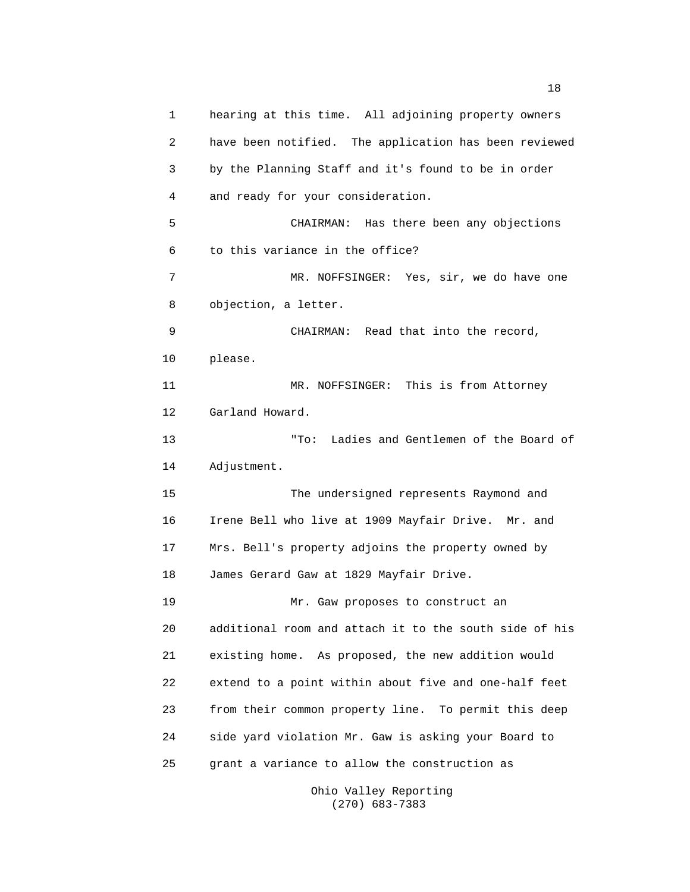1 hearing at this time. All adjoining property owners 2 have been notified. The application has been reviewed 3 by the Planning Staff and it's found to be in order 4 and ready for your consideration. 5 CHAIRMAN: Has there been any objections 6 to this variance in the office? 7 MR. NOFFSINGER: Yes, sir, we do have one 8 objection, a letter. 9 CHAIRMAN: Read that into the record, 10 please. 11 MR. NOFFSINGER: This is from Attorney 12 Garland Howard. 13 "To: Ladies and Gentlemen of the Board of 14 Adjustment. 15 The undersigned represents Raymond and 16 Irene Bell who live at 1909 Mayfair Drive. Mr. and 17 Mrs. Bell's property adjoins the property owned by 18 James Gerard Gaw at 1829 Mayfair Drive. 19 Mr. Gaw proposes to construct an 20 additional room and attach it to the south side of his 21 existing home. As proposed, the new addition would 22 extend to a point within about five and one-half feet 23 from their common property line. To permit this deep 24 side yard violation Mr. Gaw is asking your Board to 25 grant a variance to allow the construction as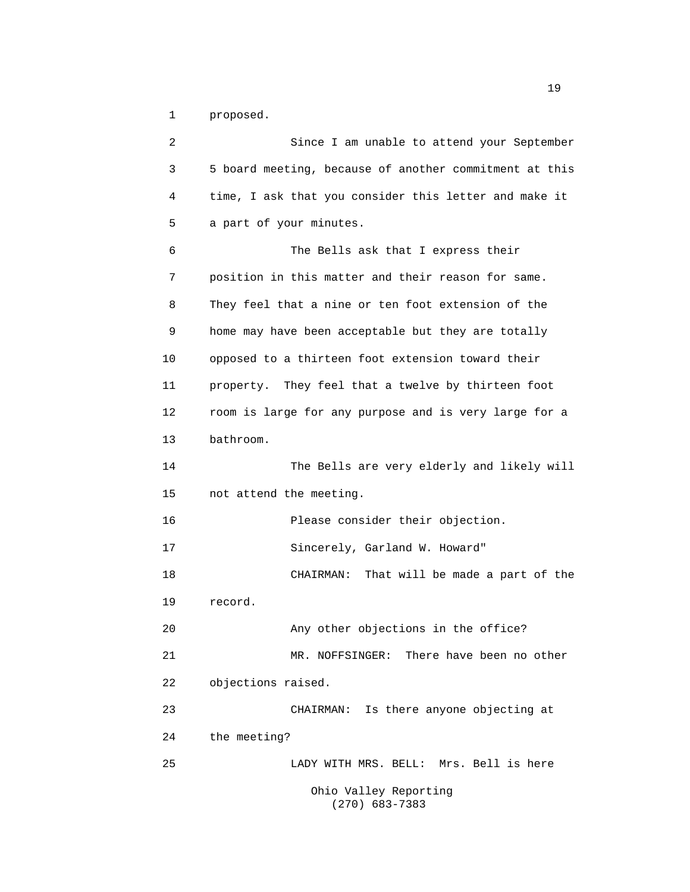1 proposed.

2 Since I am unable to attend your September 3 5 board meeting, because of another commitment at this 4 time, I ask that you consider this letter and make it 5 a part of your minutes. 6 The Bells ask that I express their 7 position in this matter and their reason for same. 8 They feel that a nine or ten foot extension of the 9 home may have been acceptable but they are totally 10 opposed to a thirteen foot extension toward their 11 property. They feel that a twelve by thirteen foot 12 room is large for any purpose and is very large for a 13 bathroom. 14 The Bells are very elderly and likely will 15 not attend the meeting. 16 Please consider their objection. 17 Sincerely, Garland W. Howard" 18 CHAIRMAN: That will be made a part of the 19 record. 20 Any other objections in the office? 21 MR. NOFFSINGER: There have been no other 22 objections raised. 23 CHAIRMAN: Is there anyone objecting at 24 the meeting? 25 LADY WITH MRS. BELL: Mrs. Bell is here Ohio Valley Reporting (270) 683-7383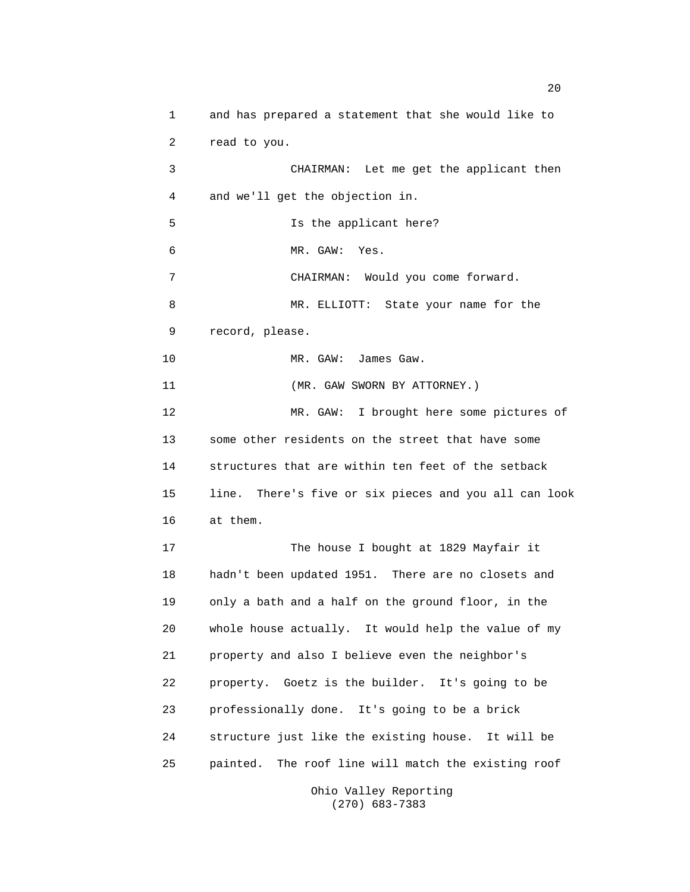1 and has prepared a statement that she would like to 2 read to you. 3 CHAIRMAN: Let me get the applicant then 4 and we'll get the objection in. 5 Is the applicant here? 6 MR. GAW: Yes. 7 CHAIRMAN: Would you come forward. 8 MR. ELLIOTT: State your name for the 9 record, please. 10 MR. GAW: James Gaw. 11 (MR. GAW SWORN BY ATTORNEY.) 12 MR. GAW: I brought here some pictures of 13 some other residents on the street that have some 14 structures that are within ten feet of the setback 15 line. There's five or six pieces and you all can look 16 at them. 17 The house I bought at 1829 Mayfair it 18 hadn't been updated 1951. There are no closets and 19 only a bath and a half on the ground floor, in the 20 whole house actually. It would help the value of my 21 property and also I believe even the neighbor's 22 property. Goetz is the builder. It's going to be 23 professionally done. It's going to be a brick 24 structure just like the existing house. It will be 25 painted. The roof line will match the existing roof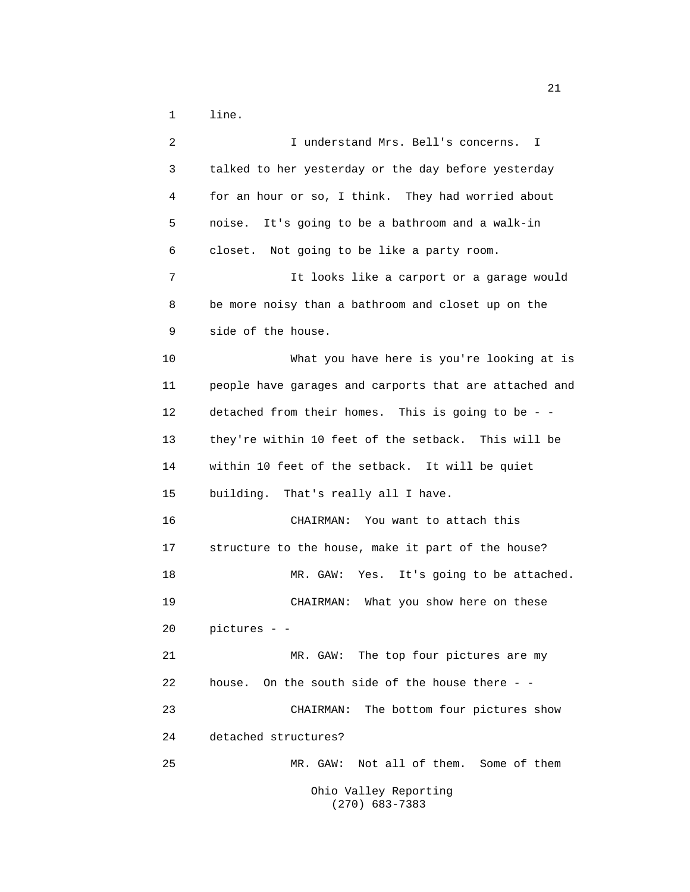1 line.

| 2  | I understand Mrs. Bell's concerns.<br>I                |
|----|--------------------------------------------------------|
| 3  | talked to her yesterday or the day before yesterday    |
| 4  | for an hour or so, I think. They had worried about     |
| 5  | noise. It's going to be a bathroom and a walk-in       |
| 6  | closet. Not going to be like a party room.             |
| 7  | It looks like a carport or a garage would              |
| 8  | be more noisy than a bathroom and closet up on the     |
| 9  | side of the house.                                     |
| 10 | What you have here is you're looking at is             |
| 11 | people have garages and carports that are attached and |
| 12 | detached from their homes. This is going to be - -     |
| 13 | they're within 10 feet of the setback. This will be    |
| 14 | within 10 feet of the setback. It will be quiet        |
| 15 | building. That's really all I have.                    |
| 16 | CHAIRMAN: You want to attach this                      |
| 17 | structure to the house, make it part of the house?     |
| 18 | Yes. It's going to be attached.<br>MR. GAW:            |
| 19 | CHAIRMAN: What you show here on these                  |
| 20 | pictures - -                                           |
| 21 | MR. GAW: The top four pictures are my                  |
| 22 | house. On the south side of the house there - -        |
| 23 | The bottom four pictures show<br>CHAIRMAN:             |
| 24 | detached structures?                                   |
| 25 | Not all of them. Some of them<br>MR. GAW:              |
|    | Ohio Valley Reporting<br>$(270)$ 683-7383              |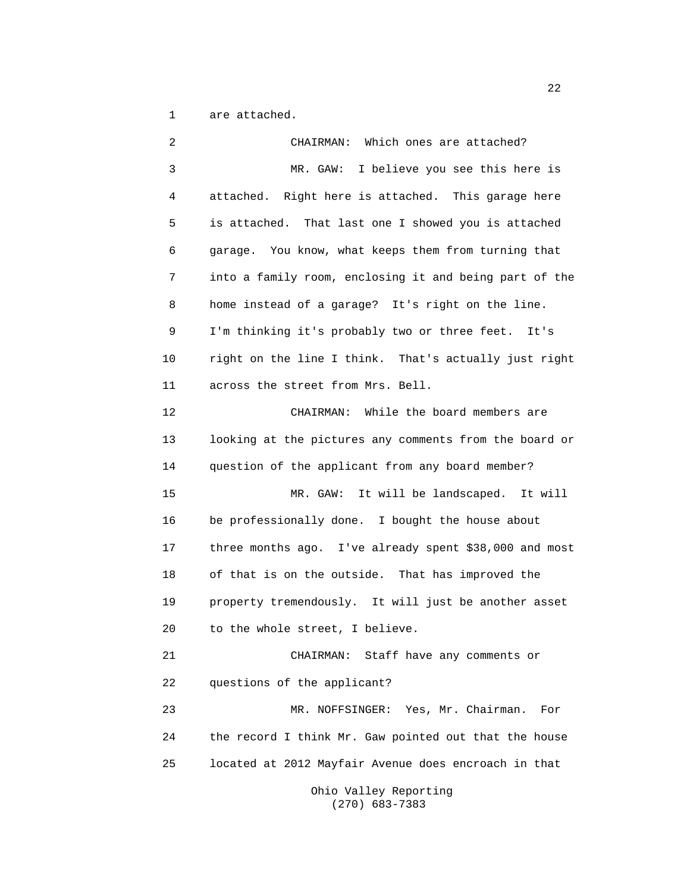1 are attached.

2 CHAIRMAN: Which ones are attached? 3 MR. GAW: I believe you see this here is 4 attached. Right here is attached. This garage here 5 is attached. That last one I showed you is attached 6 garage. You know, what keeps them from turning that 7 into a family room, enclosing it and being part of the 8 home instead of a garage? It's right on the line. 9 I'm thinking it's probably two or three feet. It's 10 right on the line I think. That's actually just right 11 across the street from Mrs. Bell. 12 CHAIRMAN: While the board members are 13 looking at the pictures any comments from the board or 14 question of the applicant from any board member? 15 MR. GAW: It will be landscaped. It will 16 be professionally done. I bought the house about 17 three months ago. I've already spent \$38,000 and most 18 of that is on the outside. That has improved the 19 property tremendously. It will just be another asset 20 to the whole street, I believe. 21 CHAIRMAN: Staff have any comments or 22 questions of the applicant? 23 MR. NOFFSINGER: Yes, Mr. Chairman. For 24 the record I think Mr. Gaw pointed out that the house 25 located at 2012 Mayfair Avenue does encroach in that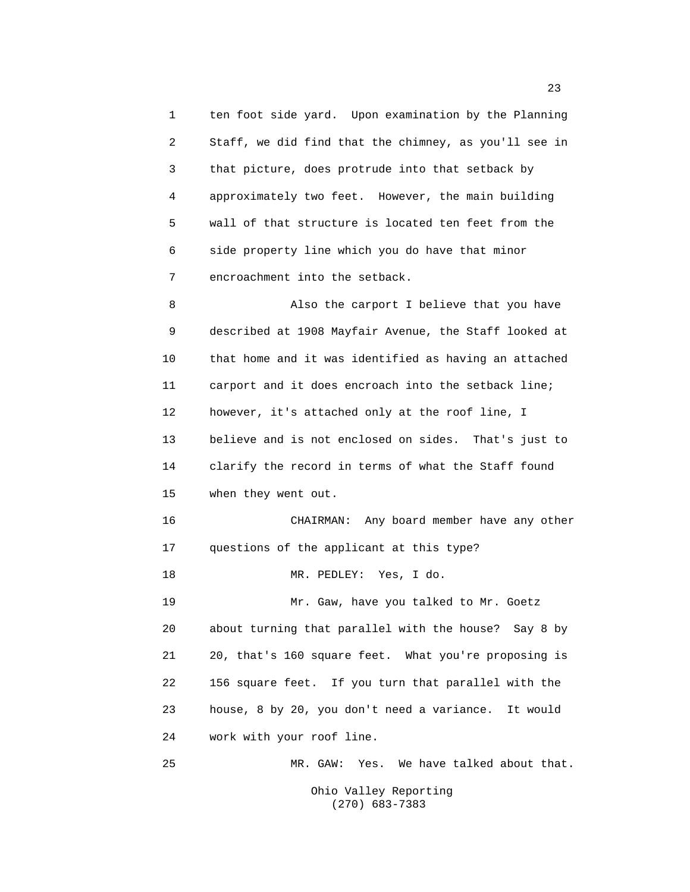1 ten foot side yard. Upon examination by the Planning 2 Staff, we did find that the chimney, as you'll see in 3 that picture, does protrude into that setback by 4 approximately two feet. However, the main building 5 wall of that structure is located ten feet from the 6 side property line which you do have that minor 7 encroachment into the setback.

8 Also the carport I believe that you have 9 described at 1908 Mayfair Avenue, the Staff looked at 10 that home and it was identified as having an attached 11 carport and it does encroach into the setback line; 12 however, it's attached only at the roof line, I 13 believe and is not enclosed on sides. That's just to 14 clarify the record in terms of what the Staff found 15 when they went out.

16 CHAIRMAN: Any board member have any other 17 questions of the applicant at this type? 18 MR. PEDLEY: Yes, I do.

19 Mr. Gaw, have you talked to Mr. Goetz 20 about turning that parallel with the house? Say 8 by 21 20, that's 160 square feet. What you're proposing is 22 156 square feet. If you turn that parallel with the 23 house, 8 by 20, you don't need a variance. It would 24 work with your roof line.

25 MR. GAW: Yes. We have talked about that.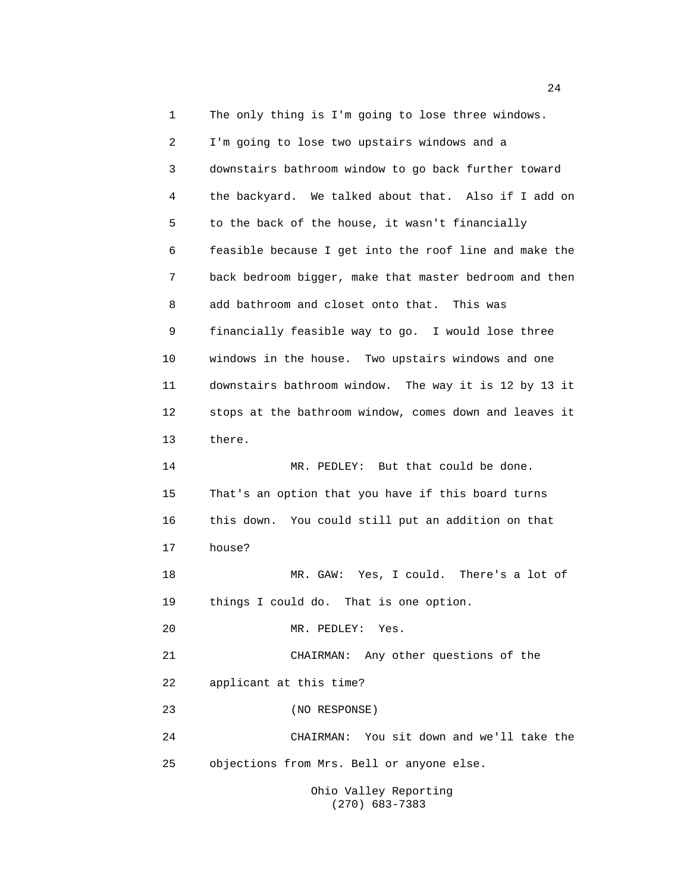1 The only thing is I'm going to lose three windows. 2 I'm going to lose two upstairs windows and a 3 downstairs bathroom window to go back further toward 4 the backyard. We talked about that. Also if I add on 5 to the back of the house, it wasn't financially 6 feasible because I get into the roof line and make the 7 back bedroom bigger, make that master bedroom and then 8 add bathroom and closet onto that. This was 9 financially feasible way to go. I would lose three 10 windows in the house. Two upstairs windows and one 11 downstairs bathroom window. The way it is 12 by 13 it 12 stops at the bathroom window, comes down and leaves it 13 there. 14 MR. PEDLEY: But that could be done. 15 That's an option that you have if this board turns 16 this down. You could still put an addition on that 17 house? 18 MR. GAW: Yes, I could. There's a lot of 19 things I could do. That is one option. 20 MR. PEDLEY: Yes. 21 CHAIRMAN: Any other questions of the 22 applicant at this time? 23 (NO RESPONSE) 24 CHAIRMAN: You sit down and we'll take the 25 objections from Mrs. Bell or anyone else. Ohio Valley Reporting

(270) 683-7383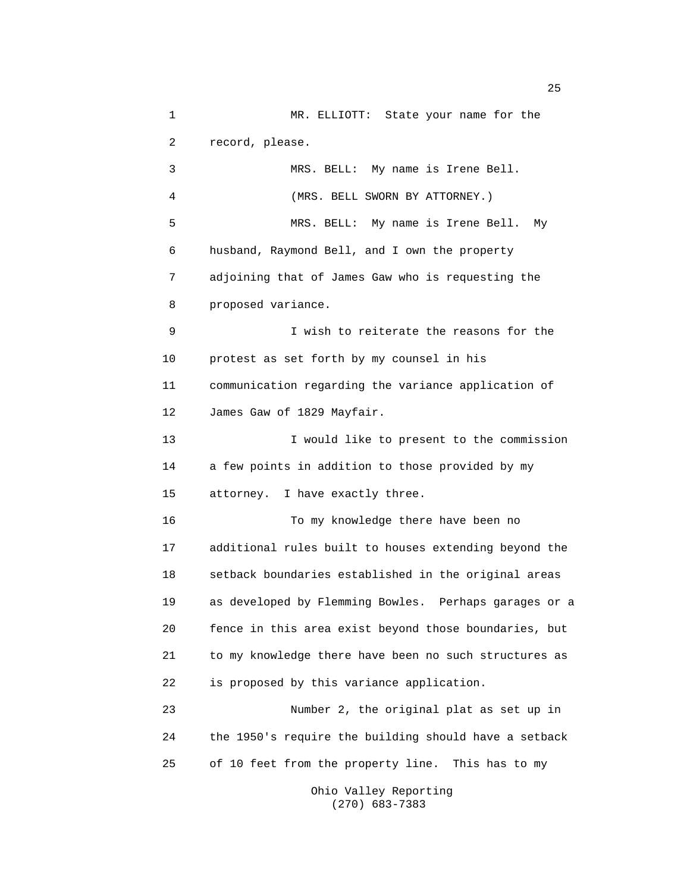1 MR. ELLIOTT: State your name for the 2 record, please. 3 MRS. BELL: My name is Irene Bell. 4 (MRS. BELL SWORN BY ATTORNEY.) 5 MRS. BELL: My name is Irene Bell. My 6 husband, Raymond Bell, and I own the property 7 adjoining that of James Gaw who is requesting the 8 proposed variance. 9 I wish to reiterate the reasons for the 10 protest as set forth by my counsel in his 11 communication regarding the variance application of 12 James Gaw of 1829 Mayfair. 13 I would like to present to the commission 14 a few points in addition to those provided by my 15 attorney. I have exactly three. 16 To my knowledge there have been no 17 additional rules built to houses extending beyond the 18 setback boundaries established in the original areas 19 as developed by Flemming Bowles. Perhaps garages or a 20 fence in this area exist beyond those boundaries, but 21 to my knowledge there have been no such structures as 22 is proposed by this variance application. 23 Number 2, the original plat as set up in 24 the 1950's require the building should have a setback 25 of 10 feet from the property line. This has to my

Ohio Valley Reporting (270) 683-7383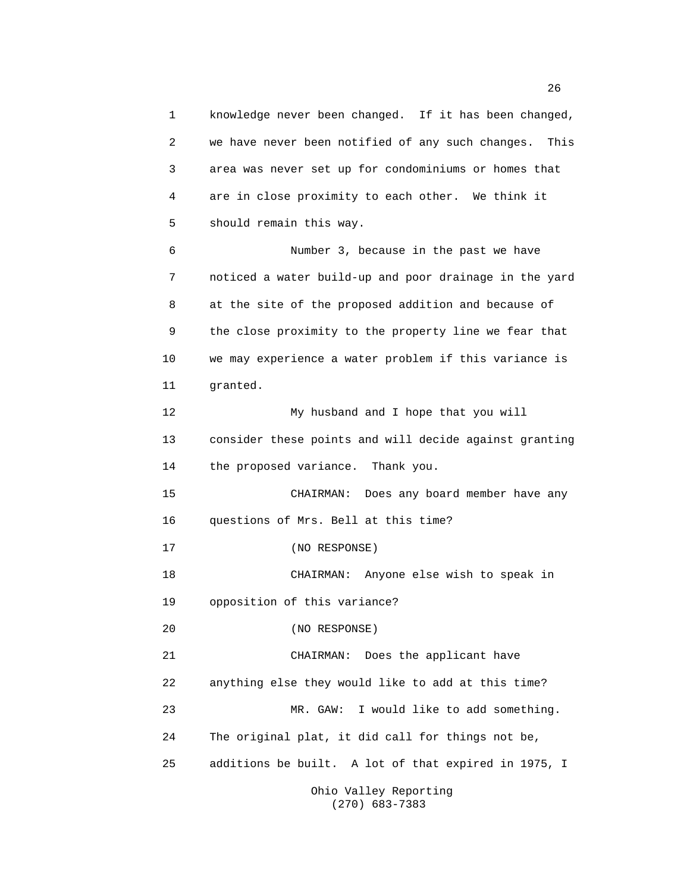1 knowledge never been changed. If it has been changed, 2 we have never been notified of any such changes. This 3 area was never set up for condominiums or homes that 4 are in close proximity to each other. We think it 5 should remain this way. 6 Number 3, because in the past we have 7 noticed a water build-up and poor drainage in the yard 8 at the site of the proposed addition and because of 9 the close proximity to the property line we fear that 10 we may experience a water problem if this variance is 11 granted. 12 My husband and I hope that you will 13 consider these points and will decide against granting 14 the proposed variance. Thank you. 15 CHAIRMAN: Does any board member have any 16 questions of Mrs. Bell at this time? 17 (NO RESPONSE) 18 CHAIRMAN: Anyone else wish to speak in 19 opposition of this variance? 20 (NO RESPONSE) 21 CHAIRMAN: Does the applicant have 22 anything else they would like to add at this time? 23 MR. GAW: I would like to add something. 24 The original plat, it did call for things not be, 25 additions be built. A lot of that expired in 1975, I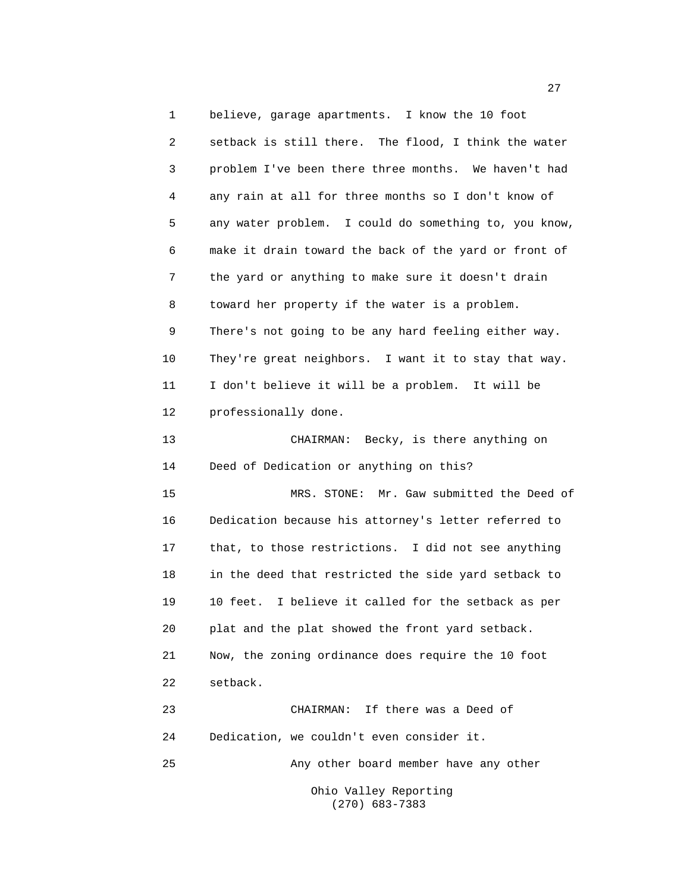1 believe, garage apartments. I know the 10 foot 2 setback is still there. The flood, I think the water 3 problem I've been there three months. We haven't had 4 any rain at all for three months so I don't know of 5 any water problem. I could do something to, you know, 6 make it drain toward the back of the yard or front of 7 the yard or anything to make sure it doesn't drain 8 toward her property if the water is a problem. 9 There's not going to be any hard feeling either way. 10 They're great neighbors. I want it to stay that way. 11 I don't believe it will be a problem. It will be 12 professionally done. 13 CHAIRMAN: Becky, is there anything on 14 Deed of Dedication or anything on this? 15 MRS. STONE: Mr. Gaw submitted the Deed of 16 Dedication because his attorney's letter referred to 17 that, to those restrictions. I did not see anything 18 in the deed that restricted the side yard setback to 19 10 feet. I believe it called for the setback as per 20 plat and the plat showed the front yard setback. 21 Now, the zoning ordinance does require the 10 foot 22 setback. 23 CHAIRMAN: If there was a Deed of 24 Dedication, we couldn't even consider it. 25 Any other board member have any other Ohio Valley Reporting

(270) 683-7383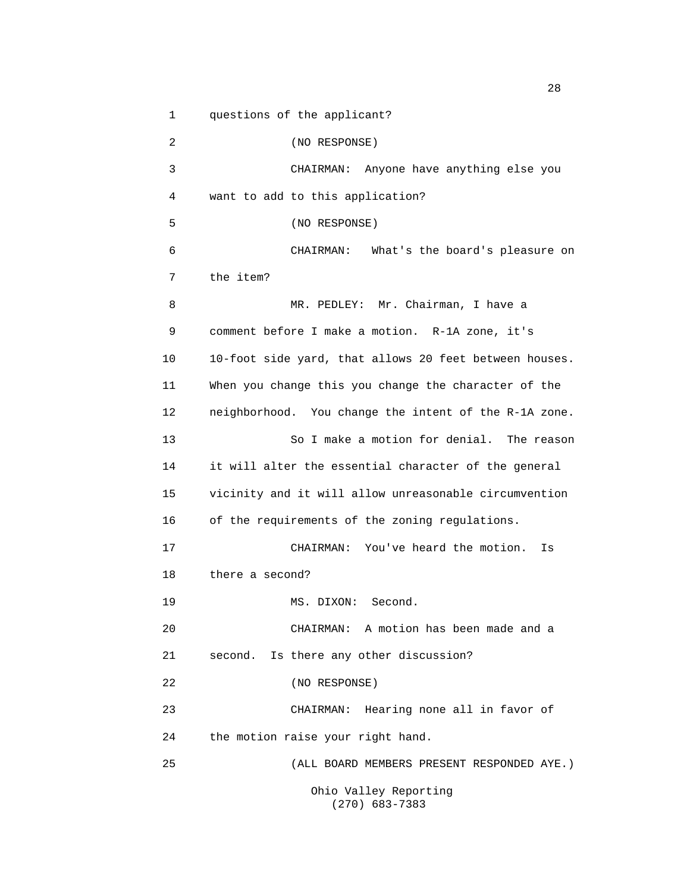1 questions of the applicant?

2 (NO RESPONSE) 3 CHAIRMAN: Anyone have anything else you 4 want to add to this application? 5 (NO RESPONSE) 6 CHAIRMAN: What's the board's pleasure on 7 the item? 8 MR. PEDLEY: Mr. Chairman, I have a 9 comment before I make a motion. R-1A zone, it's 10 10-foot side yard, that allows 20 feet between houses. 11 When you change this you change the character of the 12 neighborhood. You change the intent of the R-1A zone. 13 So I make a motion for denial. The reason 14 it will alter the essential character of the general 15 vicinity and it will allow unreasonable circumvention 16 of the requirements of the zoning regulations. 17 CHAIRMAN: You've heard the motion. Is 18 there a second? 19 MS. DIXON: Second. 20 CHAIRMAN: A motion has been made and a 21 second. Is there any other discussion? 22 (NO RESPONSE) 23 CHAIRMAN: Hearing none all in favor of 24 the motion raise your right hand. 25 (ALL BOARD MEMBERS PRESENT RESPONDED AYE.) Ohio Valley Reporting (270) 683-7383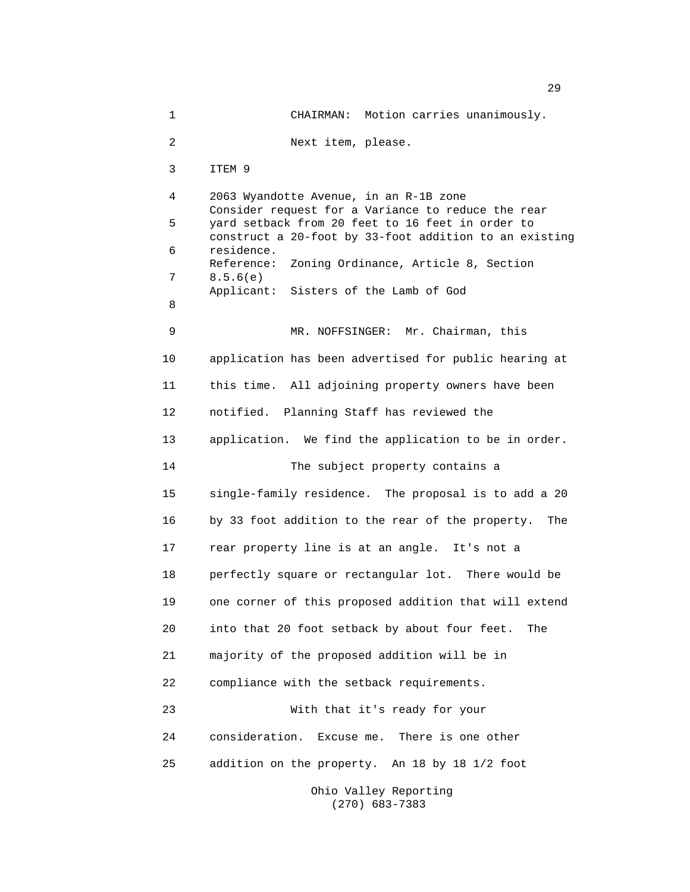1 CHAIRMAN: Motion carries unanimously. 2 Next item, please. 3 ITEM 9 4 2063 Wyandotte Avenue, in an R-1B zone Consider request for a Variance to reduce the rear 5 yard setback from 20 feet to 16 feet in order to construct a 20-foot by 33-foot addition to an existing 6 residence. Reference: Zoning Ordinance, Article 8, Section 7 8.5.6(e) Applicant: Sisters of the Lamb of God 8 9 MR. NOFFSINGER: Mr. Chairman, this 10 application has been advertised for public hearing at 11 this time. All adjoining property owners have been 12 notified. Planning Staff has reviewed the 13 application. We find the application to be in order. 14 The subject property contains a 15 single-family residence. The proposal is to add a 20 16 by 33 foot addition to the rear of the property. The 17 rear property line is at an angle. It's not a 18 perfectly square or rectangular lot. There would be 19 one corner of this proposed addition that will extend 20 into that 20 foot setback by about four feet. The 21 majority of the proposed addition will be in 22 compliance with the setback requirements. 23 With that it's ready for your 24 consideration. Excuse me. There is one other 25 addition on the property. An 18 by 18 1/2 foot Ohio Valley Reporting

(270) 683-7383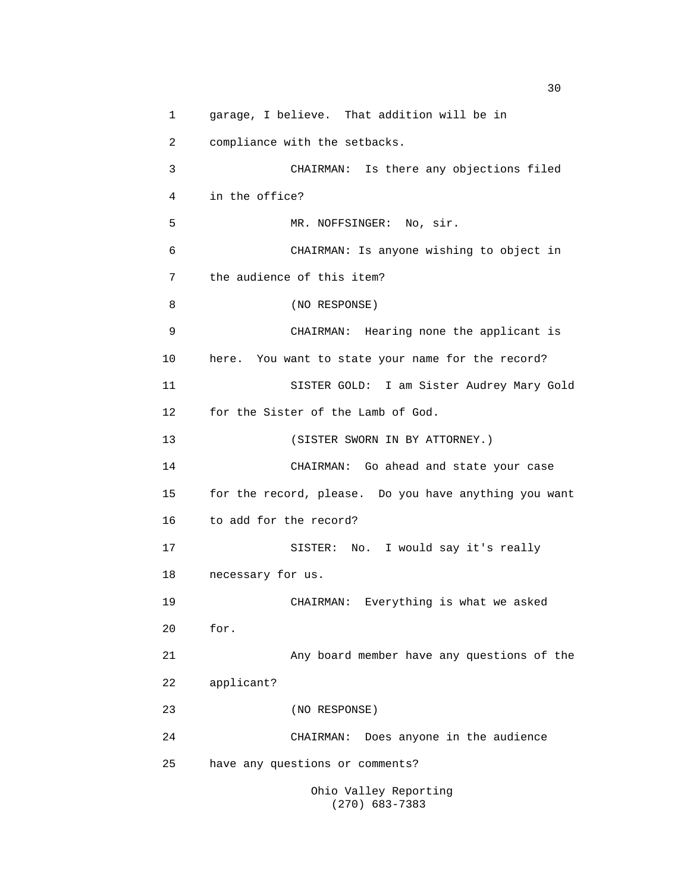1 garage, I believe. That addition will be in 2 compliance with the setbacks. 3 CHAIRMAN: Is there any objections filed 4 in the office? 5 MR. NOFFSINGER: No, sir. 6 CHAIRMAN: Is anyone wishing to object in 7 the audience of this item? 8 (NO RESPONSE) 9 CHAIRMAN: Hearing none the applicant is 10 here. You want to state your name for the record? 11 SISTER GOLD: I am Sister Audrey Mary Gold 12 for the Sister of the Lamb of God. 13 (SISTER SWORN IN BY ATTORNEY.) 14 CHAIRMAN: Go ahead and state your case 15 for the record, please. Do you have anything you want 16 to add for the record? 17 SISTER: No. I would say it's really 18 necessary for us. 19 CHAIRMAN: Everything is what we asked 20 for. 21 Any board member have any questions of the 22 applicant? 23 (NO RESPONSE) 24 CHAIRMAN: Does anyone in the audience 25 have any questions or comments? Ohio Valley Reporting

(270) 683-7383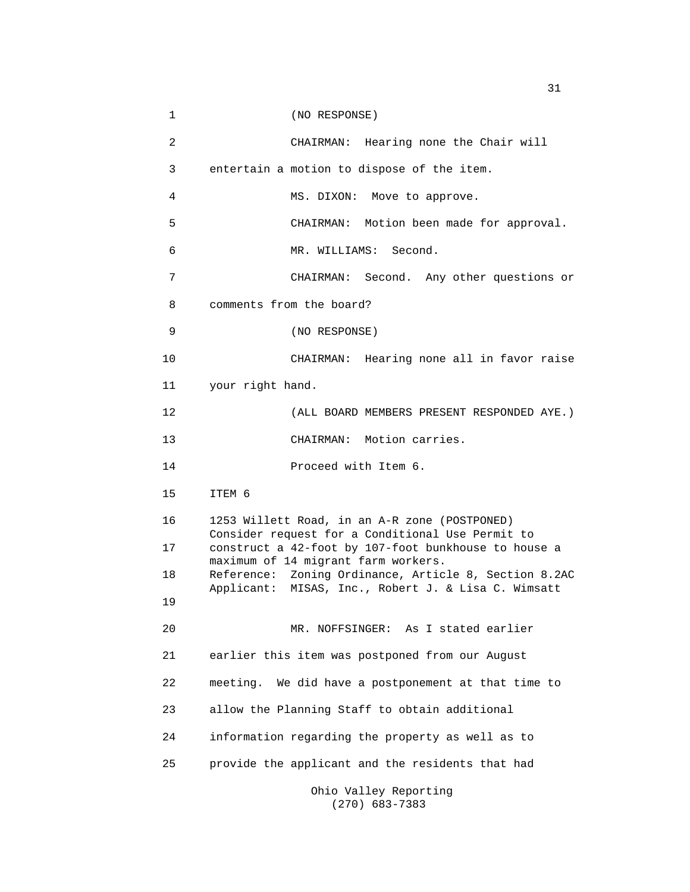| 1              | (NO RESPONSE)                                                                                            |
|----------------|----------------------------------------------------------------------------------------------------------|
| $\overline{a}$ | CHAIRMAN: Hearing none the Chair will                                                                    |
| 3              | entertain a motion to dispose of the item.                                                               |
| 4              | MS. DIXON: Move to approve.                                                                              |
| 5              | CHAIRMAN: Motion been made for approval.                                                                 |
| 6              | MR. WILLIAMS: Second.                                                                                    |
| 7              | CHAIRMAN: Second. Any other questions or                                                                 |
| 8              | comments from the board?                                                                                 |
| 9              | (NO RESPONSE)                                                                                            |
| 10             | CHAIRMAN: Hearing none all in favor raise                                                                |
| 11             | your right hand.                                                                                         |
| 12             | (ALL BOARD MEMBERS PRESENT RESPONDED AYE.)                                                               |
| 13             | CHAIRMAN: Motion carries.                                                                                |
|                |                                                                                                          |
| 14             | Proceed with Item 6.                                                                                     |
| 15             | ITEM 6                                                                                                   |
| 16             | 1253 Willett Road, in an A-R zone (POSTPONED)                                                            |
| 17             | Consider request for a Conditional Use Permit to<br>construct a 42-foot by 107-foot bunkhouse to house a |
| 18             | maximum of 14 migrant farm workers.<br>Reference: Zoning Ordinance, Article 8, Section 8.2AC             |
| 19             | Applicant: MISAS, Inc., Robert J. & Lisa C. Wimsatt                                                      |
| 20             | MR. NOFFSINGER: As I stated earlier                                                                      |
| 21             | earlier this item was postponed from our August                                                          |
| 22             | meeting. We did have a postponement at that time to                                                      |
| 23             | allow the Planning Staff to obtain additional                                                            |
| 24             | information regarding the property as well as to                                                         |
| 25             | provide the applicant and the residents that had                                                         |

(270) 683-7383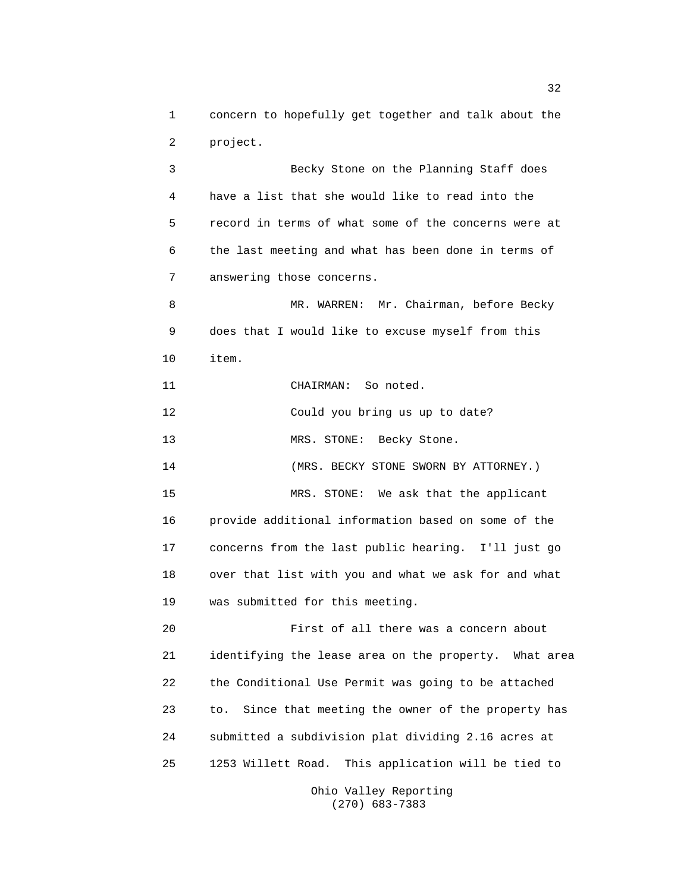1 concern to hopefully get together and talk about the 2 project.

3 Becky Stone on the Planning Staff does 4 have a list that she would like to read into the 5 record in terms of what some of the concerns were at 6 the last meeting and what has been done in terms of 7 answering those concerns. 8 MR. WARREN: Mr. Chairman, before Becky 9 does that I would like to excuse myself from this 10 item. 11 CHAIRMAN: So noted. 12 Could you bring us up to date? 13 MRS. STONE: Becky Stone. 14 (MRS. BECKY STONE SWORN BY ATTORNEY.) 15 MRS. STONE: We ask that the applicant 16 provide additional information based on some of the 17 concerns from the last public hearing. I'll just go 18 over that list with you and what we ask for and what 19 was submitted for this meeting. 20 First of all there was a concern about

21 identifying the lease area on the property. What area 22 the Conditional Use Permit was going to be attached 23 to. Since that meeting the owner of the property has 24 submitted a subdivision plat dividing 2.16 acres at 25 1253 Willett Road. This application will be tied to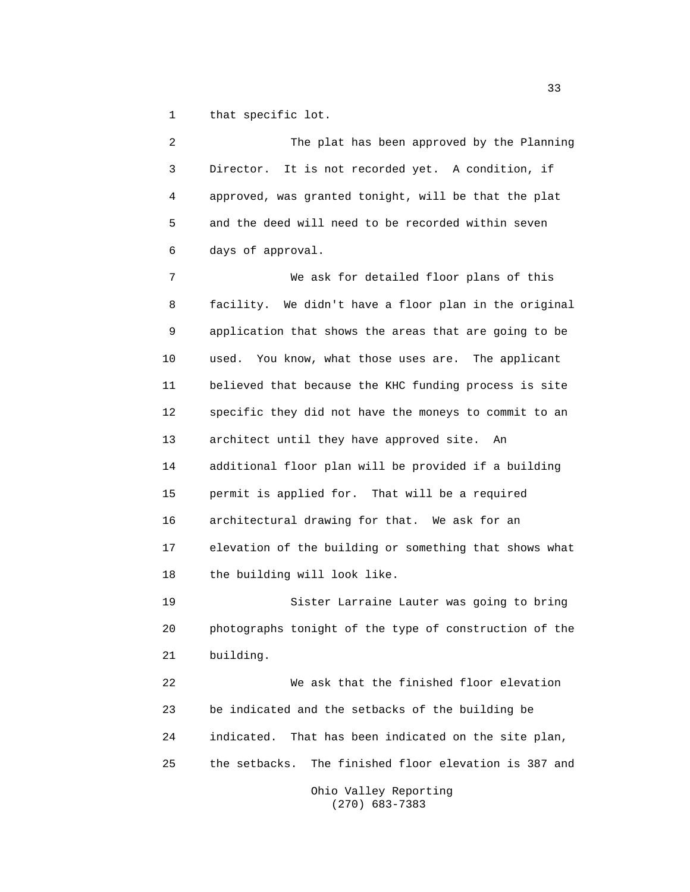1 that specific lot.

2 The plat has been approved by the Planning 3 Director. It is not recorded yet. A condition, if 4 approved, was granted tonight, will be that the plat 5 and the deed will need to be recorded within seven 6 days of approval.

7 We ask for detailed floor plans of this 8 facility. We didn't have a floor plan in the original 9 application that shows the areas that are going to be 10 used. You know, what those uses are. The applicant 11 believed that because the KHC funding process is site 12 specific they did not have the moneys to commit to an 13 architect until they have approved site. An 14 additional floor plan will be provided if a building 15 permit is applied for. That will be a required 16 architectural drawing for that. We ask for an 17 elevation of the building or something that shows what 18 the building will look like.

19 Sister Larraine Lauter was going to bring 20 photographs tonight of the type of construction of the 21 building.

22 We ask that the finished floor elevation 23 be indicated and the setbacks of the building be 24 indicated. That has been indicated on the site plan, 25 the setbacks. The finished floor elevation is 387 and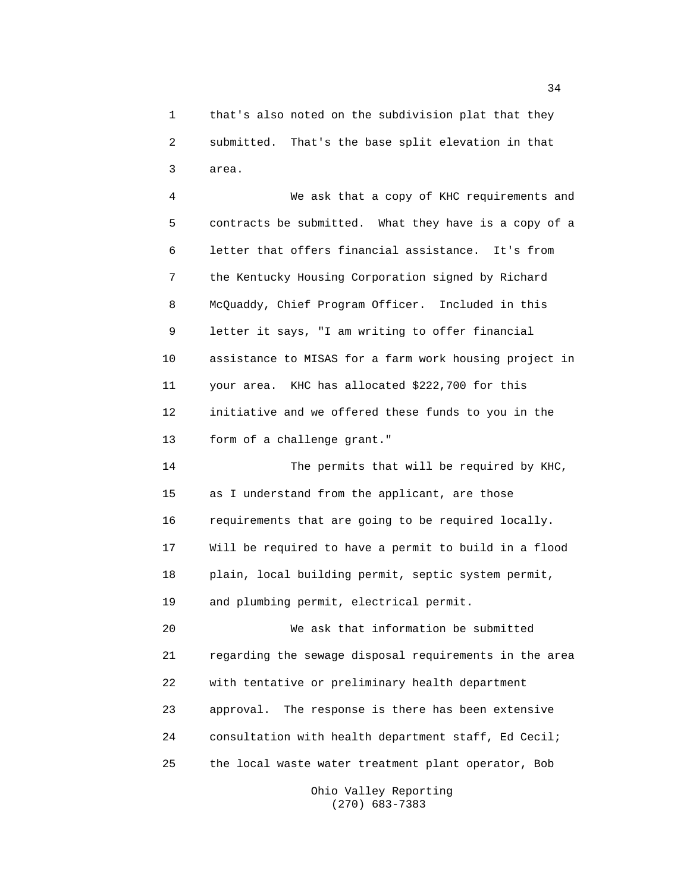1 that's also noted on the subdivision plat that they 2 submitted. That's the base split elevation in that 3 area.

4 We ask that a copy of KHC requirements and 5 contracts be submitted. What they have is a copy of a 6 letter that offers financial assistance. It's from 7 the Kentucky Housing Corporation signed by Richard 8 McQuaddy, Chief Program Officer. Included in this 9 letter it says, "I am writing to offer financial 10 assistance to MISAS for a farm work housing project in 11 your area. KHC has allocated \$222,700 for this 12 initiative and we offered these funds to you in the 13 form of a challenge grant."

14 The permits that will be required by KHC, 15 as I understand from the applicant, are those 16 requirements that are going to be required locally. 17 Will be required to have a permit to build in a flood 18 plain, local building permit, septic system permit, 19 and plumbing permit, electrical permit.

20 We ask that information be submitted 21 regarding the sewage disposal requirements in the area 22 with tentative or preliminary health department 23 approval. The response is there has been extensive 24 consultation with health department staff, Ed Cecil; 25 the local waste water treatment plant operator, Bob

> Ohio Valley Reporting (270) 683-7383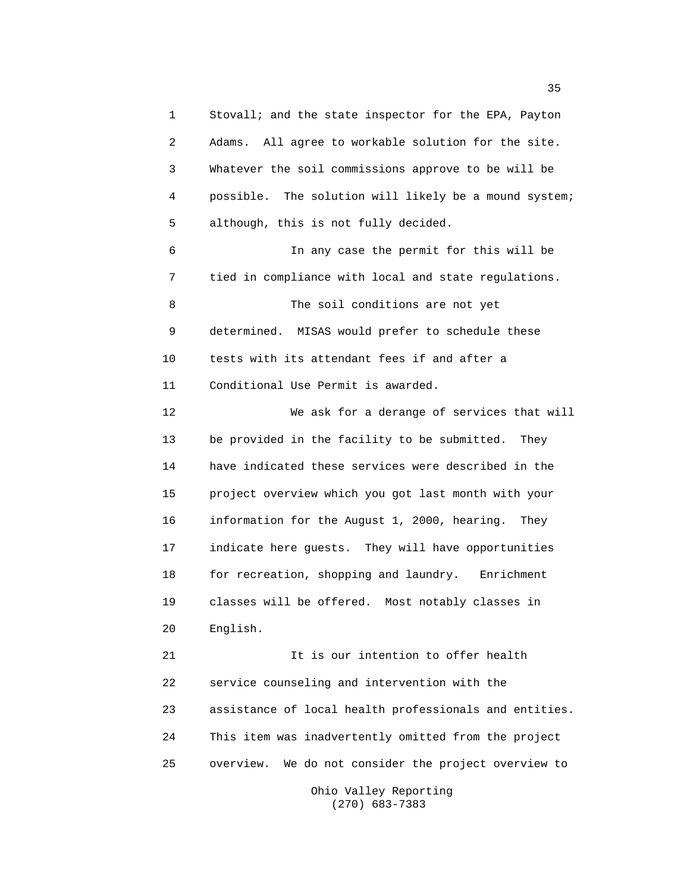1 Stovall; and the state inspector for the EPA, Payton 2 Adams. All agree to workable solution for the site. 3 Whatever the soil commissions approve to be will be 4 possible. The solution will likely be a mound system; 5 although, this is not fully decided. 6 In any case the permit for this will be 7 tied in compliance with local and state regulations. 8 The soil conditions are not yet 9 determined. MISAS would prefer to schedule these 10 tests with its attendant fees if and after a 11 Conditional Use Permit is awarded. 12 We ask for a derange of services that will 13 be provided in the facility to be submitted. They 14 have indicated these services were described in the 15 project overview which you got last month with your 16 information for the August 1, 2000, hearing. They 17 indicate here guests. They will have opportunities 18 for recreation, shopping and laundry. Enrichment 19 classes will be offered. Most notably classes in 20 English. 21 12 12 12 12 15 July 2016 11 12 12 13 Avenue 10 11 12 12 13 Avenue 10 12 13 14 15 16 16 17 18 18 19 18 18 1 22 service counseling and intervention with the 23 assistance of local health professionals and entities. 24 This item was inadvertently omitted from the project 25 overview. We do not consider the project overview to

Ohio Valley Reporting (270) 683-7383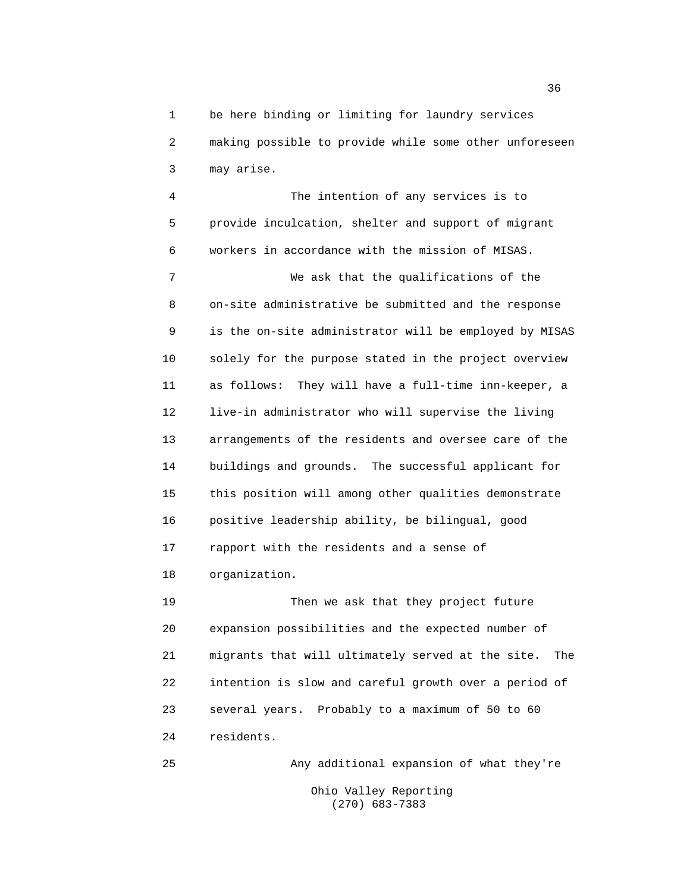1 be here binding or limiting for laundry services 2 making possible to provide while some other unforeseen 3 may arise.

4 The intention of any services is to 5 provide inculcation, shelter and support of migrant 6 workers in accordance with the mission of MISAS.

7 We ask that the qualifications of the 8 on-site administrative be submitted and the response 9 is the on-site administrator will be employed by MISAS 10 solely for the purpose stated in the project overview 11 as follows: They will have a full-time inn-keeper, a 12 live-in administrator who will supervise the living 13 arrangements of the residents and oversee care of the 14 buildings and grounds. The successful applicant for 15 this position will among other qualities demonstrate 16 positive leadership ability, be bilingual, good 17 rapport with the residents and a sense of 18 organization.

19 Then we ask that they project future 20 expansion possibilities and the expected number of 21 migrants that will ultimately served at the site. The 22 intention is slow and careful growth over a period of 23 several years. Probably to a maximum of 50 to 60 24 residents.

25 Any additional expansion of what they're Ohio Valley Reporting (270) 683-7383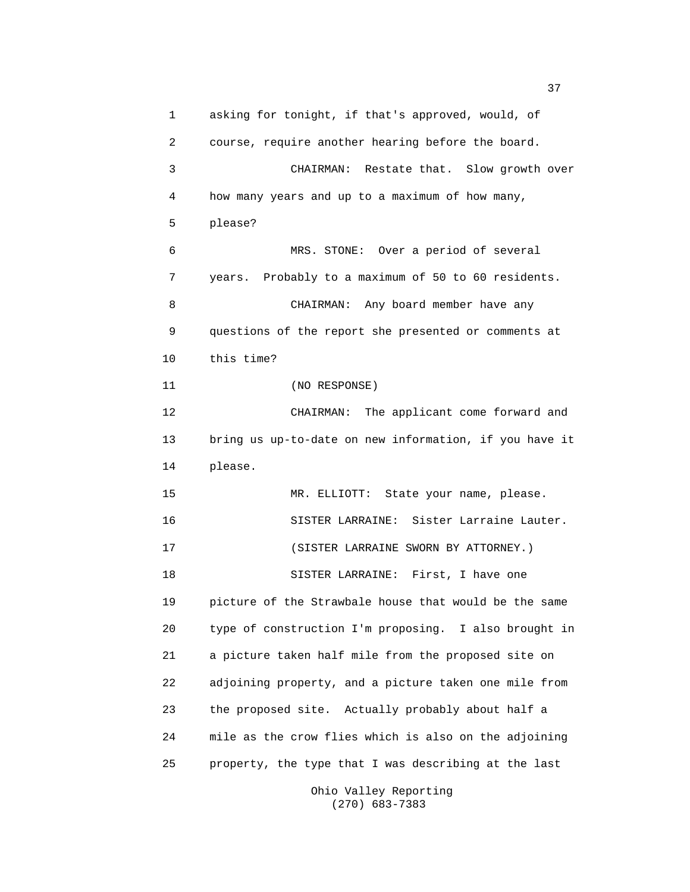1 asking for tonight, if that's approved, would, of 2 course, require another hearing before the board. 3 CHAIRMAN: Restate that. Slow growth over 4 how many years and up to a maximum of how many, 5 please? 6 MRS. STONE: Over a period of several 7 years. Probably to a maximum of 50 to 60 residents. 8 CHAIRMAN: Any board member have any 9 questions of the report she presented or comments at 10 this time? 11 (NO RESPONSE) 12 CHAIRMAN: The applicant come forward and 13 bring us up-to-date on new information, if you have it 14 please. 15 MR. ELLIOTT: State your name, please. 16 SISTER LARRAINE: Sister Larraine Lauter. 17 (SISTER LARRAINE SWORN BY ATTORNEY.) 18 SISTER LARRAINE: First, I have one 19 picture of the Strawbale house that would be the same 20 type of construction I'm proposing. I also brought in 21 a picture taken half mile from the proposed site on 22 adjoining property, and a picture taken one mile from 23 the proposed site. Actually probably about half a 24 mile as the crow flies which is also on the adjoining 25 property, the type that I was describing at the last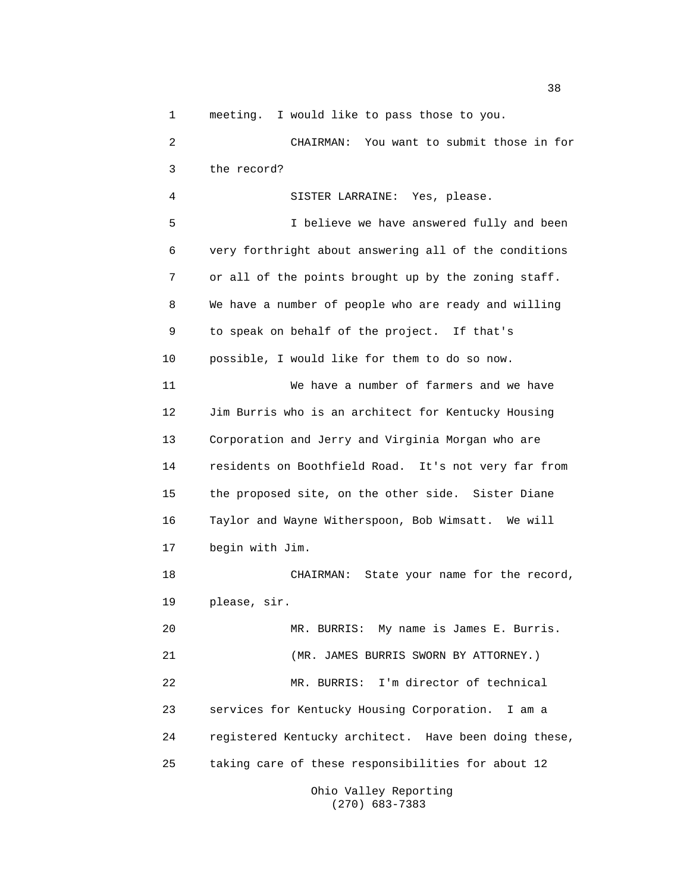1 meeting. I would like to pass those to you.

2 CHAIRMAN: You want to submit those in for 3 the record? 4 SISTER LARRAINE: Yes, please. 5 I believe we have answered fully and been 6 very forthright about answering all of the conditions 7 or all of the points brought up by the zoning staff. 8 We have a number of people who are ready and willing 9 to speak on behalf of the project. If that's 10 possible, I would like for them to do so now. 11 We have a number of farmers and we have 12 Jim Burris who is an architect for Kentucky Housing 13 Corporation and Jerry and Virginia Morgan who are 14 residents on Boothfield Road. It's not very far from 15 the proposed site, on the other side. Sister Diane 16 Taylor and Wayne Witherspoon, Bob Wimsatt. We will 17 begin with Jim. 18 CHAIRMAN: State your name for the record, 19 please, sir. 20 MR. BURRIS: My name is James E. Burris. 21 (MR. JAMES BURRIS SWORN BY ATTORNEY.) 22 MR. BURRIS: I'm director of technical 23 services for Kentucky Housing Corporation. I am a 24 registered Kentucky architect. Have been doing these, 25 taking care of these responsibilities for about 12

Ohio Valley Reporting (270) 683-7383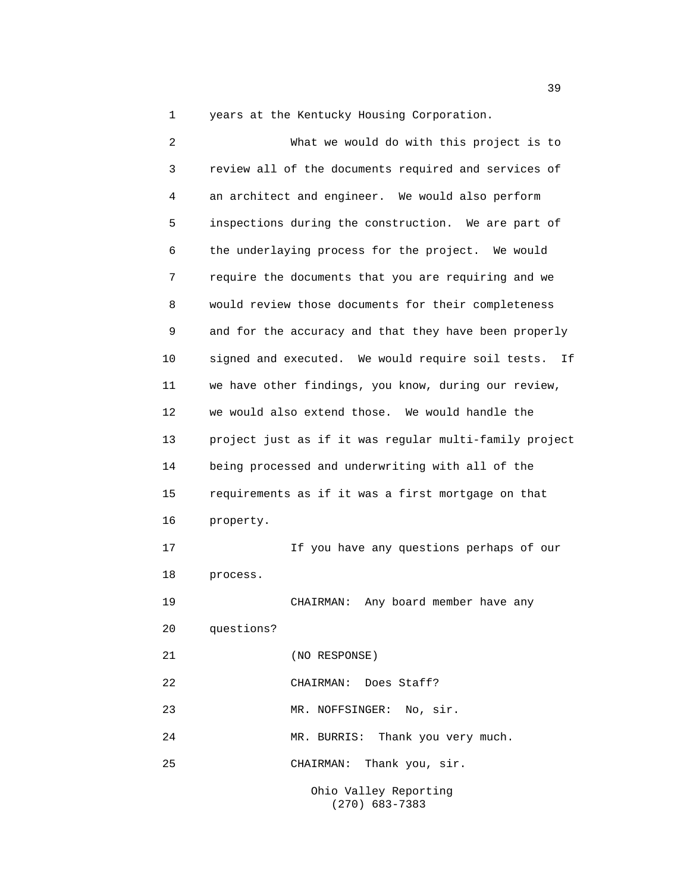1 years at the Kentucky Housing Corporation.

2 What we would do with this project is to 3 review all of the documents required and services of 4 an architect and engineer. We would also perform 5 inspections during the construction. We are part of 6 the underlaying process for the project. We would 7 require the documents that you are requiring and we 8 would review those documents for their completeness 9 and for the accuracy and that they have been properly 10 signed and executed. We would require soil tests. If 11 we have other findings, you know, during our review, 12 we would also extend those. We would handle the 13 project just as if it was regular multi-family project 14 being processed and underwriting with all of the 15 requirements as if it was a first mortgage on that 16 property. 17 If you have any questions perhaps of our 18 process. 19 CHAIRMAN: Any board member have any 20 questions? 21 (NO RESPONSE) 22 CHAIRMAN: Does Staff? 23 MR. NOFFSINGER: No, sir. 24 MR. BURRIS: Thank you very much. 25 CHAIRMAN: Thank you, sir.

Ohio Valley Reporting (270) 683-7383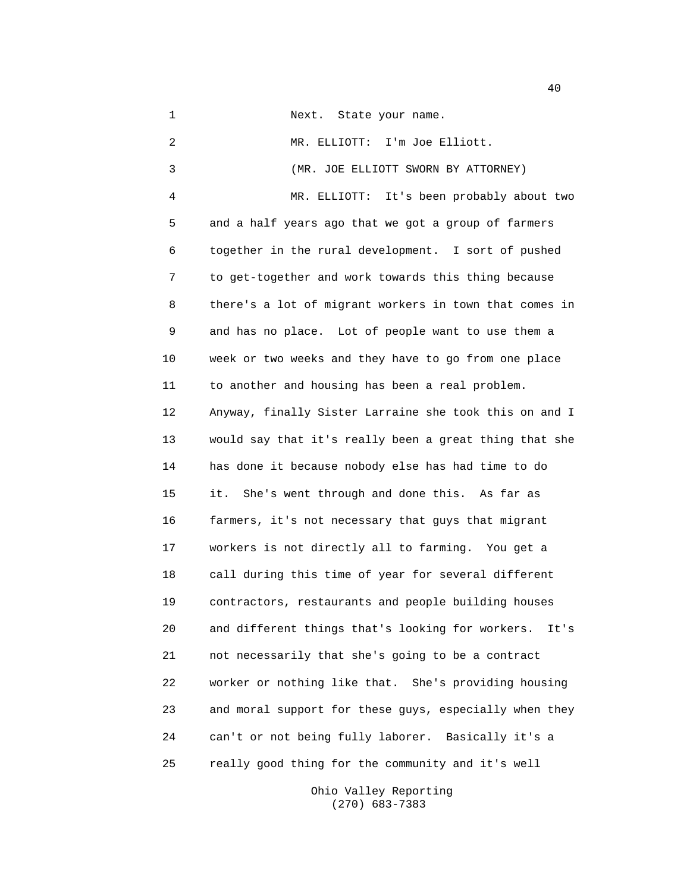1 Next. State your name. 2 MR. ELLIOTT: I'm Joe Elliott. 3 (MR. JOE ELLIOTT SWORN BY ATTORNEY) 4 MR. ELLIOTT: It's been probably about two 5 and a half years ago that we got a group of farmers 6 together in the rural development. I sort of pushed 7 to get-together and work towards this thing because 8 there's a lot of migrant workers in town that comes in 9 and has no place. Lot of people want to use them a 10 week or two weeks and they have to go from one place 11 to another and housing has been a real problem. 12 Anyway, finally Sister Larraine she took this on and I 13 would say that it's really been a great thing that she 14 has done it because nobody else has had time to do 15 it. She's went through and done this. As far as 16 farmers, it's not necessary that guys that migrant 17 workers is not directly all to farming. You get a 18 call during this time of year for several different 19 contractors, restaurants and people building houses 20 and different things that's looking for workers. It's 21 not necessarily that she's going to be a contract 22 worker or nothing like that. She's providing housing 23 and moral support for these guys, especially when they 24 can't or not being fully laborer. Basically it's a 25 really good thing for the community and it's well

> Ohio Valley Reporting (270) 683-7383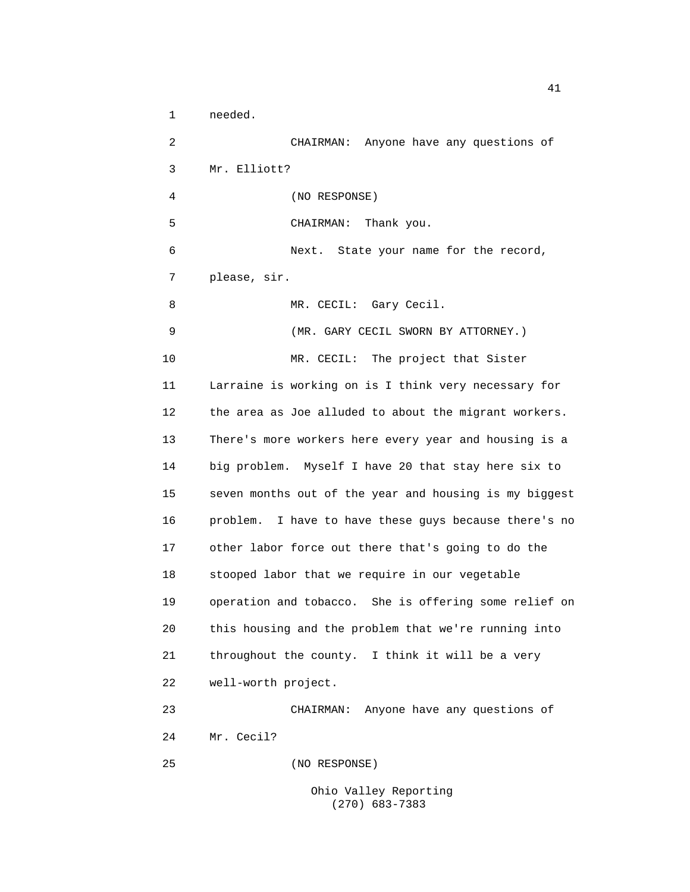1 needed. 2 CHAIRMAN: Anyone have any questions of 3 Mr. Elliott? 4 (NO RESPONSE) 5 CHAIRMAN: Thank you. 6 Next. State your name for the record, 7 please, sir. 8 MR. CECIL: Gary Cecil. 9 (MR. GARY CECIL SWORN BY ATTORNEY.) 10 MR. CECIL: The project that Sister 11 Larraine is working on is I think very necessary for 12 the area as Joe alluded to about the migrant workers. 13 There's more workers here every year and housing is a 14 big problem. Myself I have 20 that stay here six to 15 seven months out of the year and housing is my biggest 16 problem. I have to have these guys because there's no 17 other labor force out there that's going to do the 18 stooped labor that we require in our vegetable 19 operation and tobacco. She is offering some relief on 20 this housing and the problem that we're running into 21 throughout the county. I think it will be a very 22 well-worth project. 23 CHAIRMAN: Anyone have any questions of 24 Mr. Cecil? 25 (NO RESPONSE)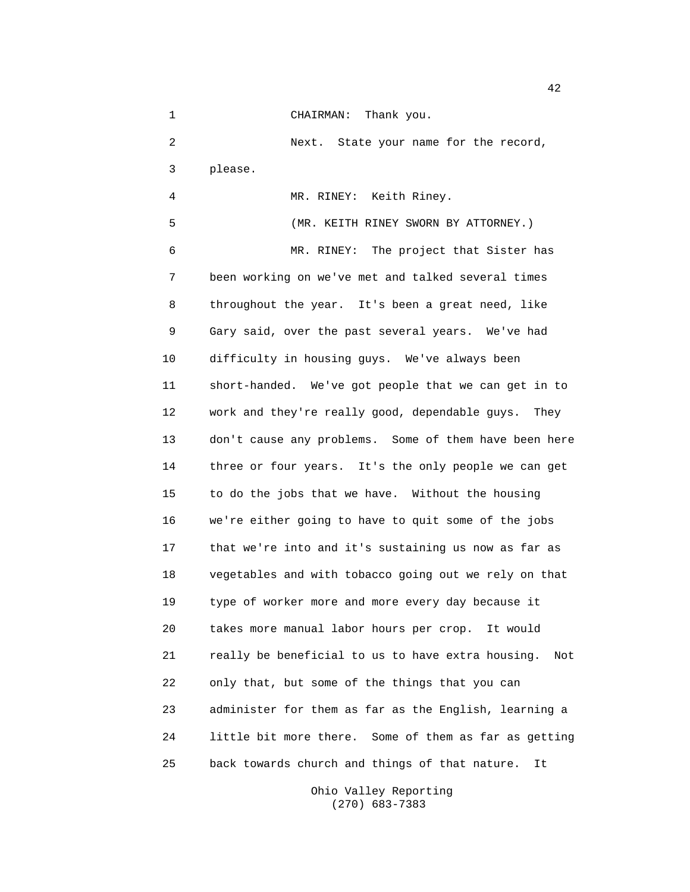1 CHAIRMAN: Thank you. 2 Next. State your name for the record, 3 please. 4 MR. RINEY: Keith Riney. 5 (MR. KEITH RINEY SWORN BY ATTORNEY.) 6 MR. RINEY: The project that Sister has 7 been working on we've met and talked several times 8 throughout the year. It's been a great need, like 9 Gary said, over the past several years. We've had 10 difficulty in housing guys. We've always been 11 short-handed. We've got people that we can get in to 12 work and they're really good, dependable guys. They 13 don't cause any problems. Some of them have been here 14 three or four years. It's the only people we can get 15 to do the jobs that we have. Without the housing 16 we're either going to have to quit some of the jobs 17 that we're into and it's sustaining us now as far as 18 vegetables and with tobacco going out we rely on that 19 type of worker more and more every day because it 20 takes more manual labor hours per crop. It would 21 really be beneficial to us to have extra housing. Not 22 only that, but some of the things that you can 23 administer for them as far as the English, learning a 24 little bit more there. Some of them as far as getting 25 back towards church and things of that nature. It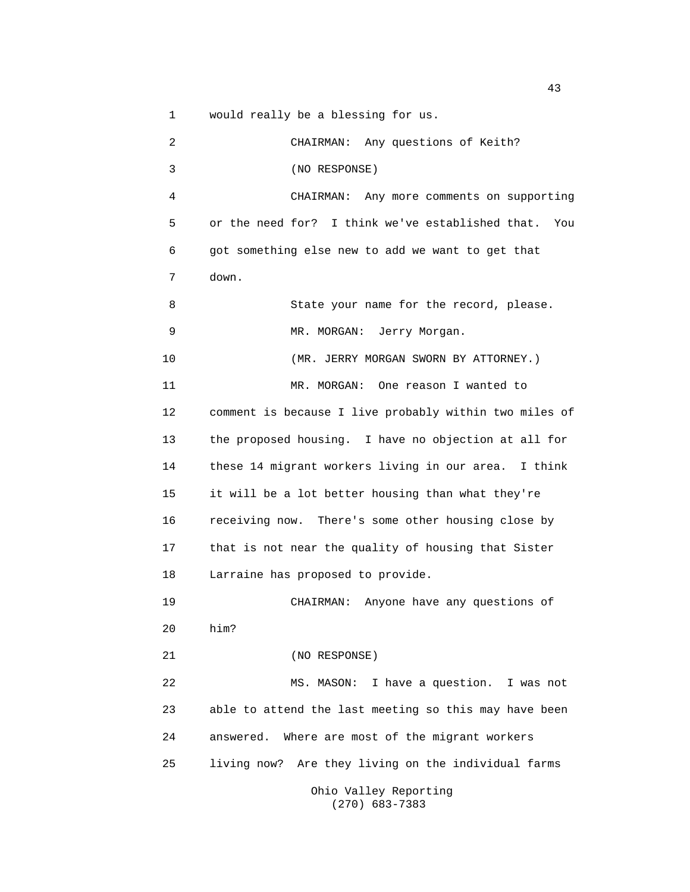1 would really be a blessing for us.

2 CHAIRMAN: Any questions of Keith? 3 (NO RESPONSE) 4 CHAIRMAN: Any more comments on supporting 5 or the need for? I think we've established that. You 6 got something else new to add we want to get that 7 down. 8 State your name for the record, please. 9 MR. MORGAN: Jerry Morgan. 10 (MR. JERRY MORGAN SWORN BY ATTORNEY.) 11 MR. MORGAN: One reason I wanted to 12 comment is because I live probably within two miles of 13 the proposed housing. I have no objection at all for 14 these 14 migrant workers living in our area. I think 15 it will be a lot better housing than what they're 16 receiving now. There's some other housing close by 17 that is not near the quality of housing that Sister 18 Larraine has proposed to provide. 19 CHAIRMAN: Anyone have any questions of 20 him? 21 (NO RESPONSE) 22 MS. MASON: I have a question. I was not 23 able to attend the last meeting so this may have been 24 answered. Where are most of the migrant workers 25 living now? Are they living on the individual farms

Ohio Valley Reporting (270) 683-7383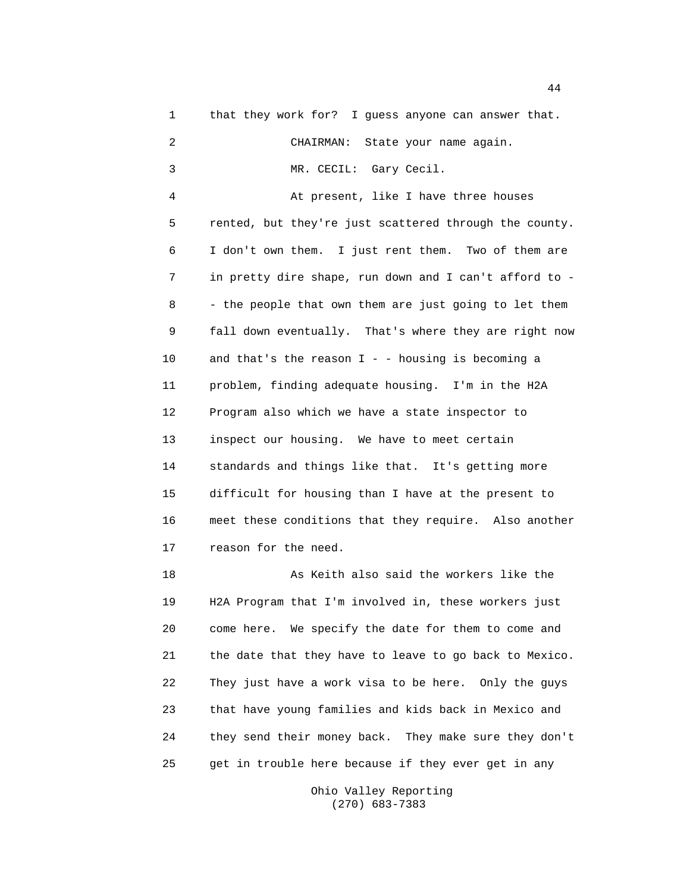1 that they work for? I guess anyone can answer that. 2 CHAIRMAN: State your name again. 3 MR. CECIL: Gary Cecil. 4 At present, like I have three houses 5 rented, but they're just scattered through the county. 6 I don't own them. I just rent them. Two of them are 7 in pretty dire shape, run down and I can't afford to - 8 - the people that own them are just going to let them 9 fall down eventually. That's where they are right now 10 and that's the reason I - - housing is becoming a 11 problem, finding adequate housing. I'm in the H2A 12 Program also which we have a state inspector to 13 inspect our housing. We have to meet certain 14 standards and things like that. It's getting more 15 difficult for housing than I have at the present to 16 meet these conditions that they require. Also another 17 reason for the need. 18 As Keith also said the workers like the 19 H2A Program that I'm involved in, these workers just 20 come here. We specify the date for them to come and 21 the date that they have to leave to go back to Mexico. 22 They just have a work visa to be here. Only the guys 23 that have young families and kids back in Mexico and 24 they send their money back. They make sure they don't 25 get in trouble here because if they ever get in any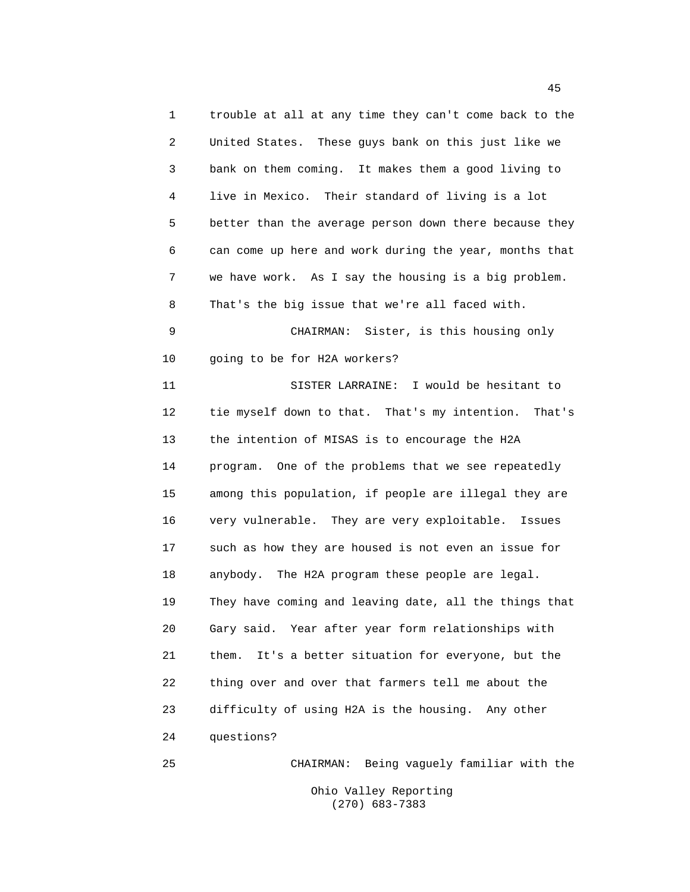1 trouble at all at any time they can't come back to the 2 United States. These guys bank on this just like we 3 bank on them coming. It makes them a good living to 4 live in Mexico. Their standard of living is a lot 5 better than the average person down there because they 6 can come up here and work during the year, months that 7 we have work. As I say the housing is a big problem. 8 That's the big issue that we're all faced with. 9 CHAIRMAN: Sister, is this housing only 10 going to be for H2A workers? 11 SISTER LARRAINE: I would be hesitant to 12 tie myself down to that. That's my intention. That's 13 the intention of MISAS is to encourage the H2A 14 program. One of the problems that we see repeatedly 15 among this population, if people are illegal they are 16 very vulnerable. They are very exploitable. Issues 17 such as how they are housed is not even an issue for 18 anybody. The H2A program these people are legal. 19 They have coming and leaving date, all the things that 20 Gary said. Year after year form relationships with 21 them. It's a better situation for everyone, but the 22 thing over and over that farmers tell me about the 23 difficulty of using H2A is the housing. Any other 24 questions? 25 CHAIRMAN: Being vaguely familiar with the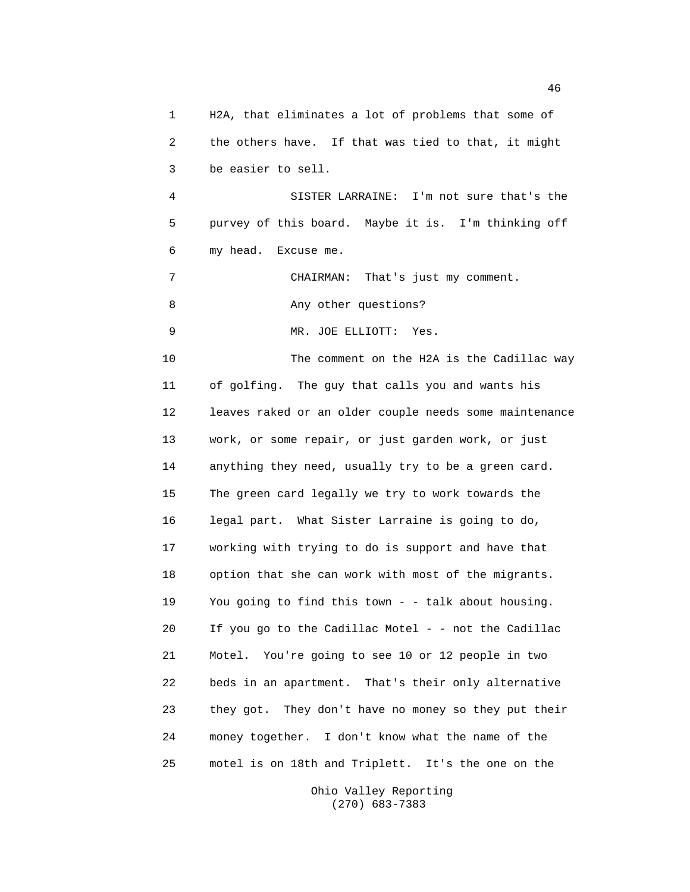1 H2A, that eliminates a lot of problems that some of 2 the others have. If that was tied to that, it might 3 be easier to sell. 4 SISTER LARRAINE: I'm not sure that's the 5 purvey of this board. Maybe it is. I'm thinking off 6 my head. Excuse me. 7 CHAIRMAN: That's just my comment. 8 Any other questions? 9 MR. JOE ELLIOTT: Yes. 10 The comment on the H2A is the Cadillac way 11 of golfing. The guy that calls you and wants his 12 leaves raked or an older couple needs some maintenance 13 work, or some repair, or just garden work, or just 14 anything they need, usually try to be a green card. 15 The green card legally we try to work towards the 16 legal part. What Sister Larraine is going to do, 17 working with trying to do is support and have that 18 option that she can work with most of the migrants. 19 You going to find this town - - talk about housing. 20 If you go to the Cadillac Motel - - not the Cadillac 21 Motel. You're going to see 10 or 12 people in two 22 beds in an apartment. That's their only alternative 23 they got. They don't have no money so they put their 24 money together. I don't know what the name of the 25 motel is on 18th and Triplett. It's the one on the

> Ohio Valley Reporting (270) 683-7383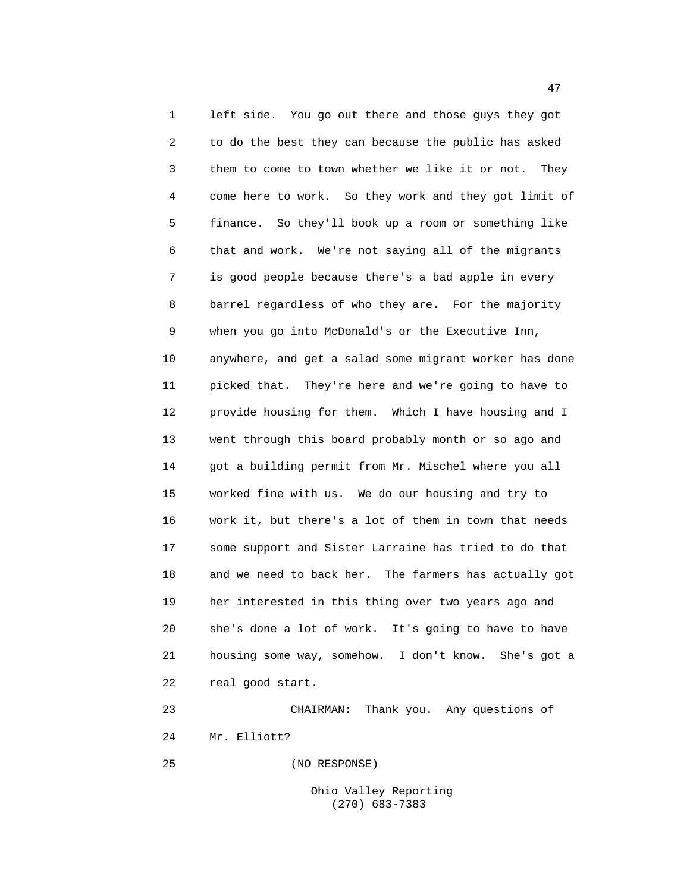1 left side. You go out there and those guys they got 2 to do the best they can because the public has asked 3 them to come to town whether we like it or not. They 4 come here to work. So they work and they got limit of 5 finance. So they'll book up a room or something like 6 that and work. We're not saying all of the migrants 7 is good people because there's a bad apple in every 8 barrel regardless of who they are. For the majority 9 when you go into McDonald's or the Executive Inn, 10 anywhere, and get a salad some migrant worker has done 11 picked that. They're here and we're going to have to 12 provide housing for them. Which I have housing and I 13 went through this board probably month or so ago and 14 got a building permit from Mr. Mischel where you all 15 worked fine with us. We do our housing and try to 16 work it, but there's a lot of them in town that needs 17 some support and Sister Larraine has tried to do that 18 and we need to back her. The farmers has actually got 19 her interested in this thing over two years ago and 20 she's done a lot of work. It's going to have to have 21 housing some way, somehow. I don't know. She's got a 22 real good start.

23 CHAIRMAN: Thank you. Any questions of 24 Mr. Elliott?

25 (NO RESPONSE)

Ohio Valley Reporting (270) 683-7383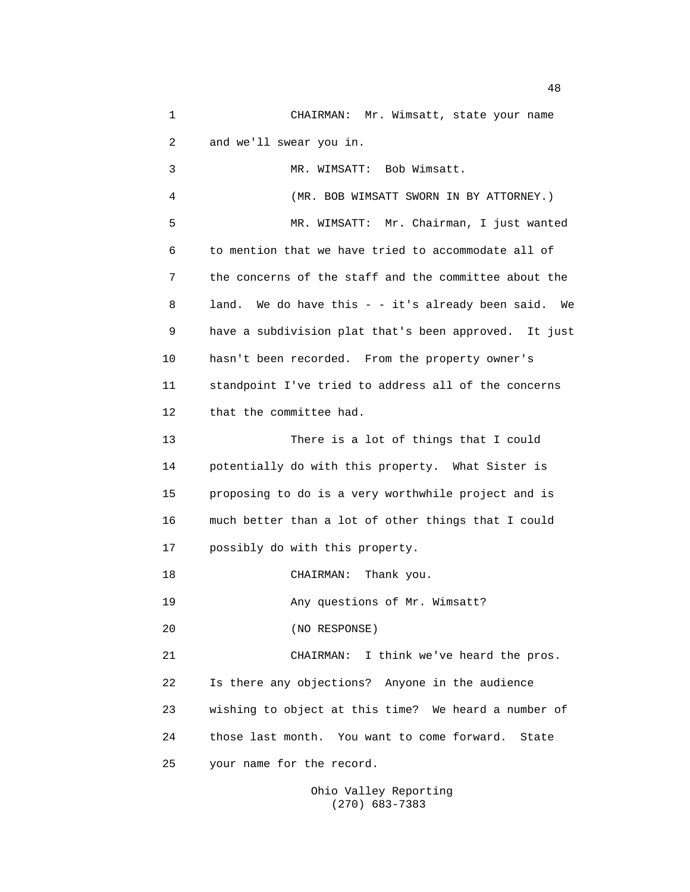1 CHAIRMAN: Mr. Wimsatt, state your name 2 and we'll swear you in. 3 MR. WIMSATT: Bob Wimsatt.

4 (MR. BOB WIMSATT SWORN IN BY ATTORNEY.) 5 MR. WIMSATT: Mr. Chairman, I just wanted 6 to mention that we have tried to accommodate all of 7 the concerns of the staff and the committee about the 8 land. We do have this - - it's already been said. We 9 have a subdivision plat that's been approved. It just 10 hasn't been recorded. From the property owner's 11 standpoint I've tried to address all of the concerns 12 that the committee had.

13 There is a lot of things that I could 14 potentially do with this property. What Sister is 15 proposing to do is a very worthwhile project and is 16 much better than a lot of other things that I could 17 possibly do with this property.

18 CHAIRMAN: Thank you.

19 Any questions of Mr. Wimsatt?

20 (NO RESPONSE)

21 CHAIRMAN: I think we've heard the pros. 22 Is there any objections? Anyone in the audience 23 wishing to object at this time? We heard a number of 24 those last month. You want to come forward. State 25 your name for the record.

> Ohio Valley Reporting (270) 683-7383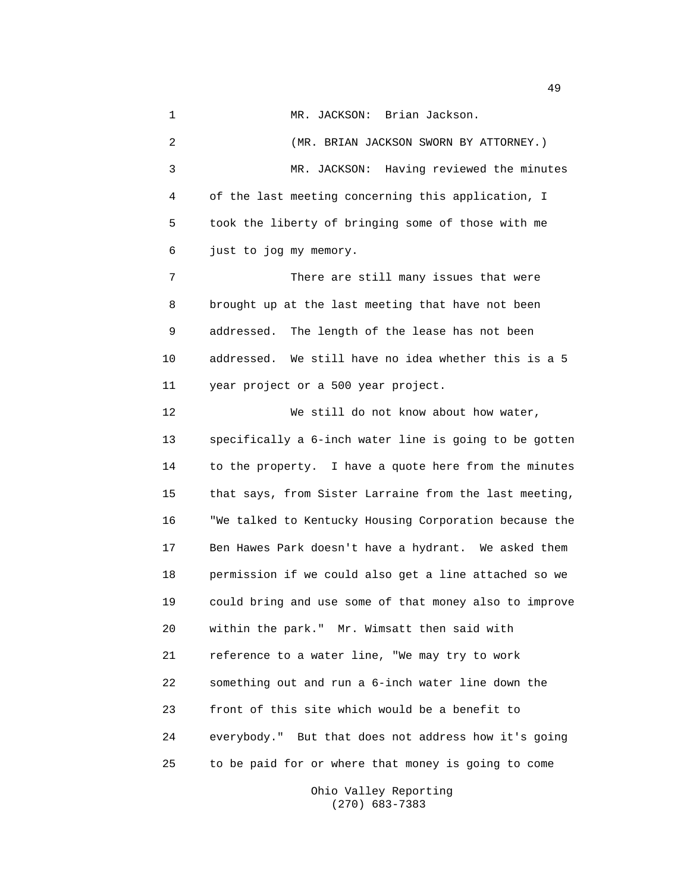1 MR. JACKSON: Brian Jackson. 2 (MR. BRIAN JACKSON SWORN BY ATTORNEY.) 3 MR. JACKSON: Having reviewed the minutes 4 of the last meeting concerning this application, I 5 took the liberty of bringing some of those with me 6 just to jog my memory. 7 There are still many issues that were 8 brought up at the last meeting that have not been 9 addressed. The length of the lease has not been 10 addressed. We still have no idea whether this is a 5 11 year project or a 500 year project. 12 We still do not know about how water, 13 specifically a 6-inch water line is going to be gotten 14 to the property. I have a quote here from the minutes 15 that says, from Sister Larraine from the last meeting, 16 "We talked to Kentucky Housing Corporation because the 17 Ben Hawes Park doesn't have a hydrant. We asked them 18 permission if we could also get a line attached so we 19 could bring and use some of that money also to improve 20 within the park." Mr. Wimsatt then said with 21 reference to a water line, "We may try to work 22 something out and run a 6-inch water line down the 23 front of this site which would be a benefit to 24 everybody." But that does not address how it's going 25 to be paid for or where that money is going to come

> Ohio Valley Reporting (270) 683-7383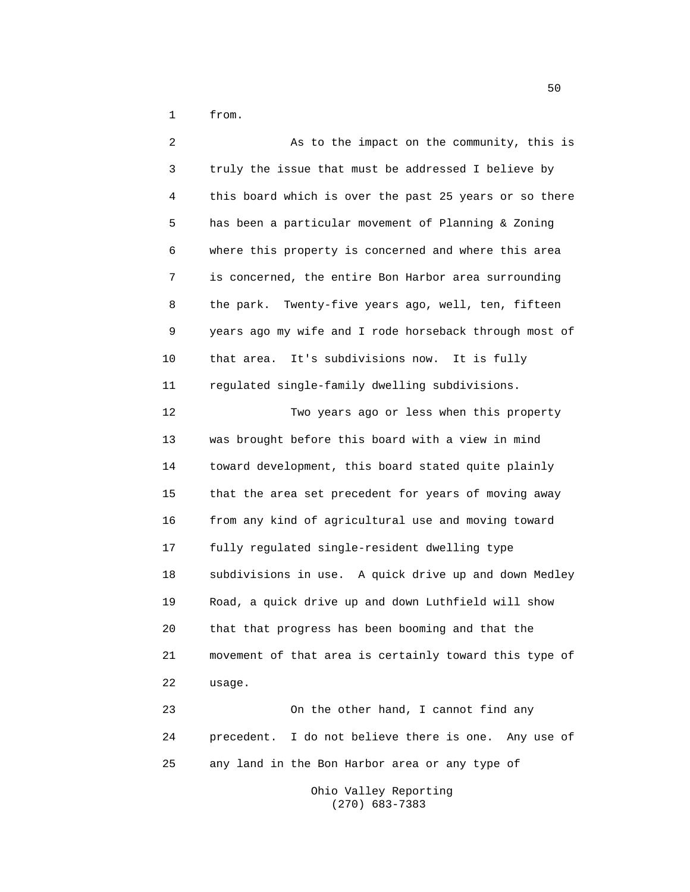1 from.

2 As to the impact on the community, this is 3 truly the issue that must be addressed I believe by 4 this board which is over the past 25 years or so there 5 has been a particular movement of Planning & Zoning 6 where this property is concerned and where this area 7 is concerned, the entire Bon Harbor area surrounding 8 the park. Twenty-five years ago, well, ten, fifteen 9 years ago my wife and I rode horseback through most of 10 that area. It's subdivisions now. It is fully 11 regulated single-family dwelling subdivisions. 12 Two years ago or less when this property 13 was brought before this board with a view in mind 14 toward development, this board stated quite plainly 15 that the area set precedent for years of moving away 16 from any kind of agricultural use and moving toward 17 fully regulated single-resident dwelling type 18 subdivisions in use. A quick drive up and down Medley 19 Road, a quick drive up and down Luthfield will show 20 that that progress has been booming and that the 21 movement of that area is certainly toward this type of 22 usage. 23 On the other hand, I cannot find any 24 precedent. I do not believe there is one. Any use of

25 any land in the Bon Harbor area or any type of

Ohio Valley Reporting (270) 683-7383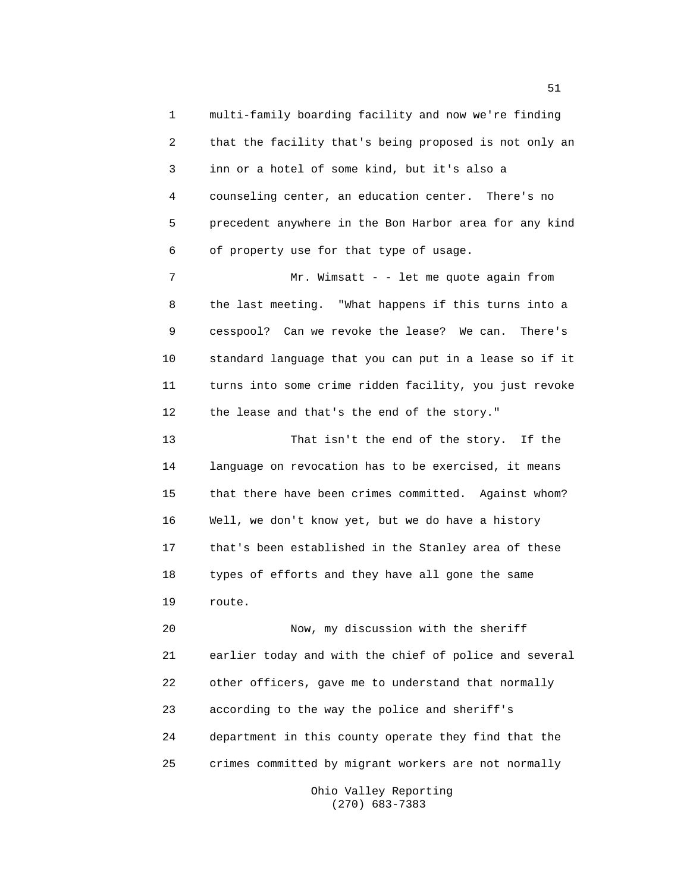1 multi-family boarding facility and now we're finding 2 that the facility that's being proposed is not only an 3 inn or a hotel of some kind, but it's also a 4 counseling center, an education center. There's no 5 precedent anywhere in the Bon Harbor area for any kind 6 of property use for that type of usage.

7 Mr. Wimsatt - - let me quote again from 8 the last meeting. "What happens if this turns into a 9 cesspool? Can we revoke the lease? We can. There's 10 standard language that you can put in a lease so if it 11 turns into some crime ridden facility, you just revoke 12 the lease and that's the end of the story."

13 That isn't the end of the story. If the 14 language on revocation has to be exercised, it means 15 that there have been crimes committed. Against whom? 16 Well, we don't know yet, but we do have a history 17 that's been established in the Stanley area of these 18 types of efforts and they have all gone the same 19 route.

20 Now, my discussion with the sheriff 21 earlier today and with the chief of police and several 22 other officers, gave me to understand that normally 23 according to the way the police and sheriff's 24 department in this county operate they find that the 25 crimes committed by migrant workers are not normally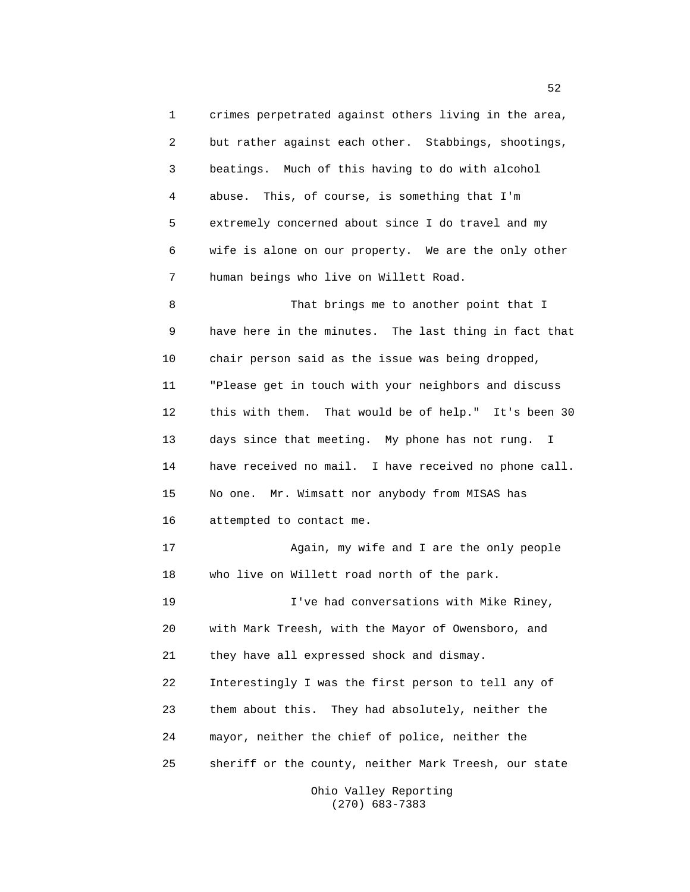1 crimes perpetrated against others living in the area, 2 but rather against each other. Stabbings, shootings, 3 beatings. Much of this having to do with alcohol 4 abuse. This, of course, is something that I'm 5 extremely concerned about since I do travel and my 6 wife is alone on our property. We are the only other 7 human beings who live on Willett Road. 8 That brings me to another point that I 9 have here in the minutes. The last thing in fact that 10 chair person said as the issue was being dropped,

11 "Please get in touch with your neighbors and discuss 12 this with them. That would be of help." It's been 30 13 days since that meeting. My phone has not rung. I 14 have received no mail. I have received no phone call. 15 No one. Mr. Wimsatt nor anybody from MISAS has 16 attempted to contact me.

17 Again, my wife and I are the only people 18 who live on Willett road north of the park.

19 I've had conversations with Mike Riney, 20 with Mark Treesh, with the Mayor of Owensboro, and 21 they have all expressed shock and dismay. 22 Interestingly I was the first person to tell any of 23 them about this. They had absolutely, neither the 24 mayor, neither the chief of police, neither the 25 sheriff or the county, neither Mark Treesh, our state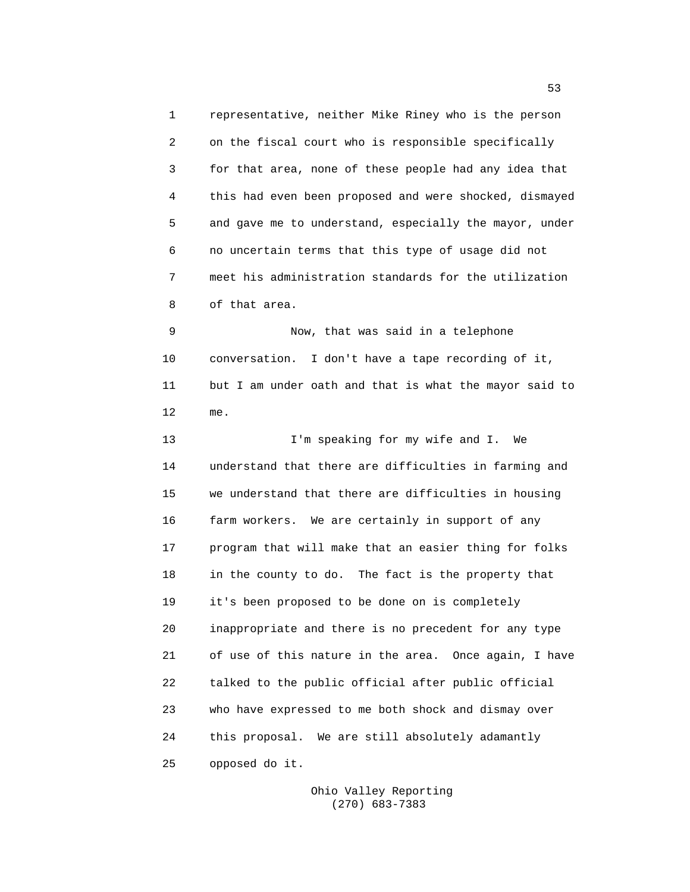1 representative, neither Mike Riney who is the person 2 on the fiscal court who is responsible specifically 3 for that area, none of these people had any idea that 4 this had even been proposed and were shocked, dismayed 5 and gave me to understand, especially the mayor, under 6 no uncertain terms that this type of usage did not 7 meet his administration standards for the utilization 8 of that area.

9 Now, that was said in a telephone 10 conversation. I don't have a tape recording of it, 11 but I am under oath and that is what the mayor said to 12 me.

13 I'm speaking for my wife and I. We 14 understand that there are difficulties in farming and 15 we understand that there are difficulties in housing 16 farm workers. We are certainly in support of any 17 program that will make that an easier thing for folks 18 in the county to do. The fact is the property that 19 it's been proposed to be done on is completely 20 inappropriate and there is no precedent for any type 21 of use of this nature in the area. Once again, I have 22 talked to the public official after public official 23 who have expressed to me both shock and dismay over 24 this proposal. We are still absolutely adamantly 25 opposed do it.

> Ohio Valley Reporting (270) 683-7383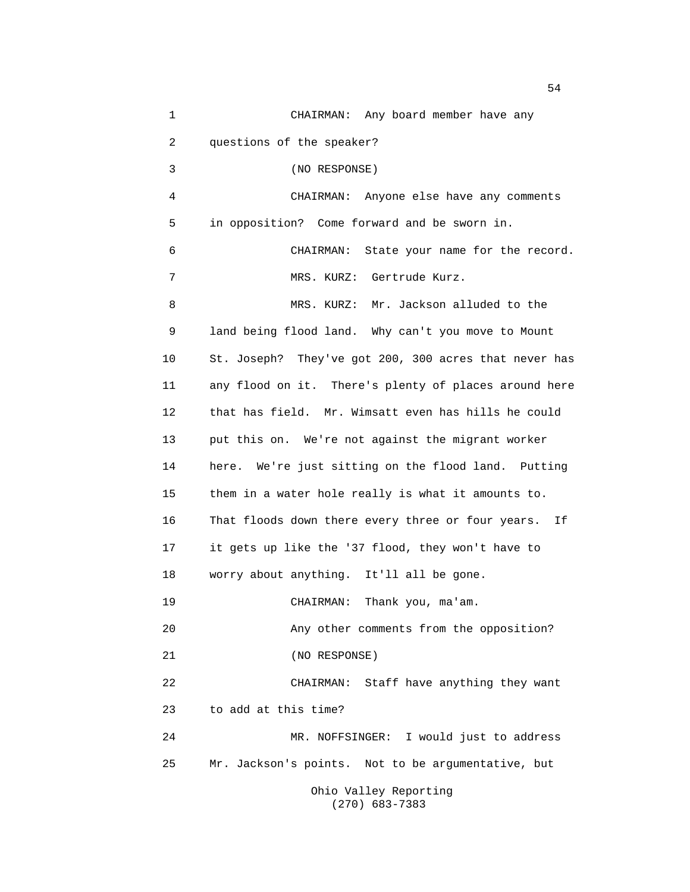1 CHAIRMAN: Any board member have any 2 questions of the speaker? 3 (NO RESPONSE) 4 CHAIRMAN: Anyone else have any comments 5 in opposition? Come forward and be sworn in. 6 CHAIRMAN: State your name for the record. 7 MRS. KURZ: Gertrude Kurz. 8 MRS. KURZ: Mr. Jackson alluded to the 9 land being flood land. Why can't you move to Mount 10 St. Joseph? They've got 200, 300 acres that never has 11 any flood on it. There's plenty of places around here 12 that has field. Mr. Wimsatt even has hills he could 13 put this on. We're not against the migrant worker 14 here. We're just sitting on the flood land. Putting 15 them in a water hole really is what it amounts to. 16 That floods down there every three or four years. If 17 it gets up like the '37 flood, they won't have to 18 worry about anything. It'll all be gone. 19 CHAIRMAN: Thank you, ma'am. 20 Any other comments from the opposition? 21 (NO RESPONSE) 22 CHAIRMAN: Staff have anything they want 23 to add at this time? 24 MR. NOFFSINGER: I would just to address 25 Mr. Jackson's points. Not to be argumentative, but Ohio Valley Reporting (270) 683-7383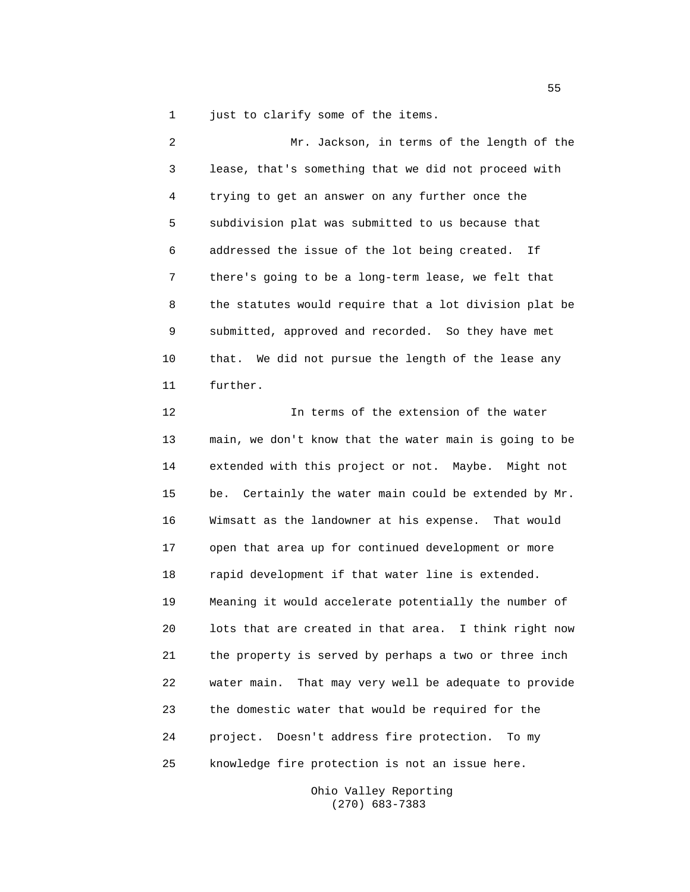1 just to clarify some of the items.

2 Mr. Jackson, in terms of the length of the 3 lease, that's something that we did not proceed with 4 trying to get an answer on any further once the 5 subdivision plat was submitted to us because that 6 addressed the issue of the lot being created. If 7 there's going to be a long-term lease, we felt that 8 the statutes would require that a lot division plat be 9 submitted, approved and recorded. So they have met 10 that. We did not pursue the length of the lease any 11 further.

12 In terms of the extension of the water 13 main, we don't know that the water main is going to be 14 extended with this project or not. Maybe. Might not 15 be. Certainly the water main could be extended by Mr. 16 Wimsatt as the landowner at his expense. That would 17 open that area up for continued development or more 18 rapid development if that water line is extended. 19 Meaning it would accelerate potentially the number of 20 lots that are created in that area. I think right now 21 the property is served by perhaps a two or three inch 22 water main. That may very well be adequate to provide 23 the domestic water that would be required for the 24 project. Doesn't address fire protection. To my 25 knowledge fire protection is not an issue here.

> Ohio Valley Reporting (270) 683-7383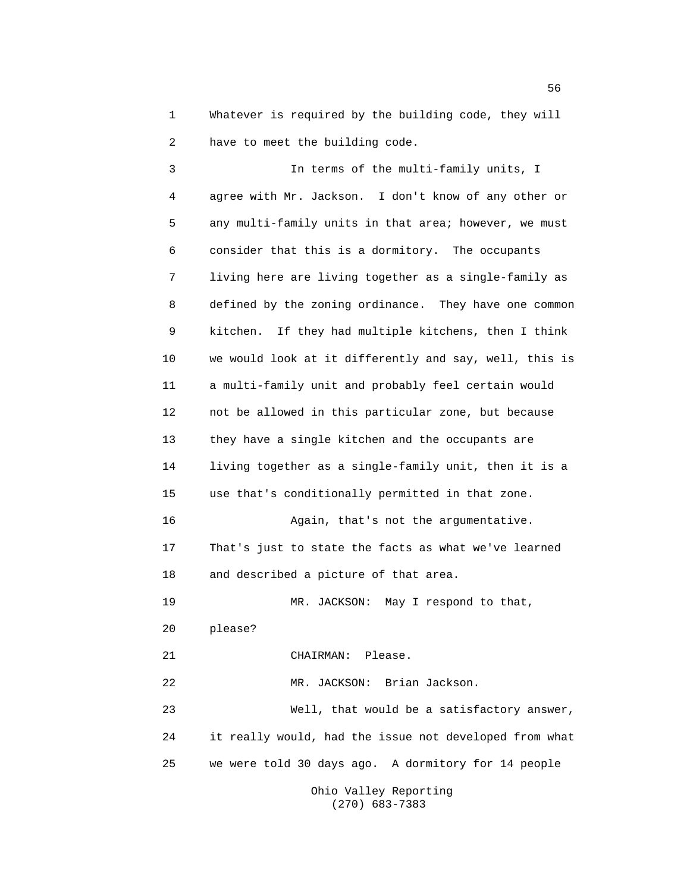1 Whatever is required by the building code, they will 2 have to meet the building code.

3 In terms of the multi-family units, I 4 agree with Mr. Jackson. I don't know of any other or 5 any multi-family units in that area; however, we must 6 consider that this is a dormitory. The occupants 7 living here are living together as a single-family as 8 defined by the zoning ordinance. They have one common 9 kitchen. If they had multiple kitchens, then I think 10 we would look at it differently and say, well, this is 11 a multi-family unit and probably feel certain would 12 not be allowed in this particular zone, but because 13 they have a single kitchen and the occupants are 14 living together as a single-family unit, then it is a 15 use that's conditionally permitted in that zone. 16 Again, that's not the argumentative. 17 That's just to state the facts as what we've learned 18 and described a picture of that area. 19 MR. JACKSON: May I respond to that, 20 please? 21 CHAIRMAN: Please. 22 MR. JACKSON: Brian Jackson. 23 Well, that would be a satisfactory answer, 24 it really would, had the issue not developed from what 25 we were told 30 days ago. A dormitory for 14 people Ohio Valley Reporting

(270) 683-7383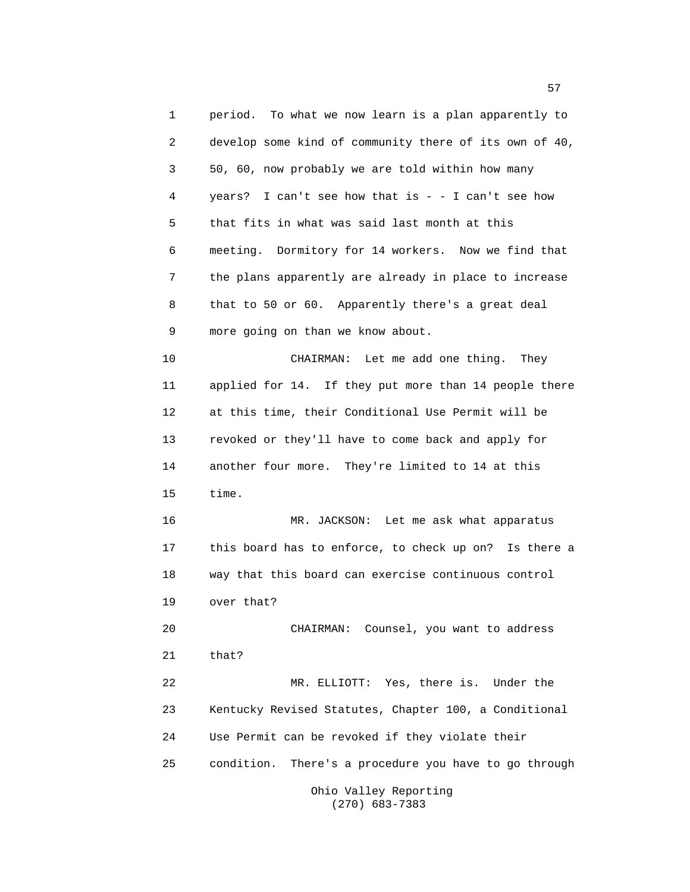1 period. To what we now learn is a plan apparently to 2 develop some kind of community there of its own of 40, 3 50, 60, now probably we are told within how many 4 years? I can't see how that is - - I can't see how 5 that fits in what was said last month at this 6 meeting. Dormitory for 14 workers. Now we find that 7 the plans apparently are already in place to increase 8 that to 50 or 60. Apparently there's a great deal 9 more going on than we know about. 10 CHAIRMAN: Let me add one thing. They 11 applied for 14. If they put more than 14 people there 12 at this time, their Conditional Use Permit will be 13 revoked or they'll have to come back and apply for 14 another four more. They're limited to 14 at this 15 time. 16 MR. JACKSON: Let me ask what apparatus 17 this board has to enforce, to check up on? Is there a 18 way that this board can exercise continuous control 19 over that? 20 CHAIRMAN: Counsel, you want to address 21 that? 22 MR. ELLIOTT: Yes, there is. Under the 23 Kentucky Revised Statutes, Chapter 100, a Conditional 24 Use Permit can be revoked if they violate their 25 condition. There's a procedure you have to go through Ohio Valley Reporting

(270) 683-7383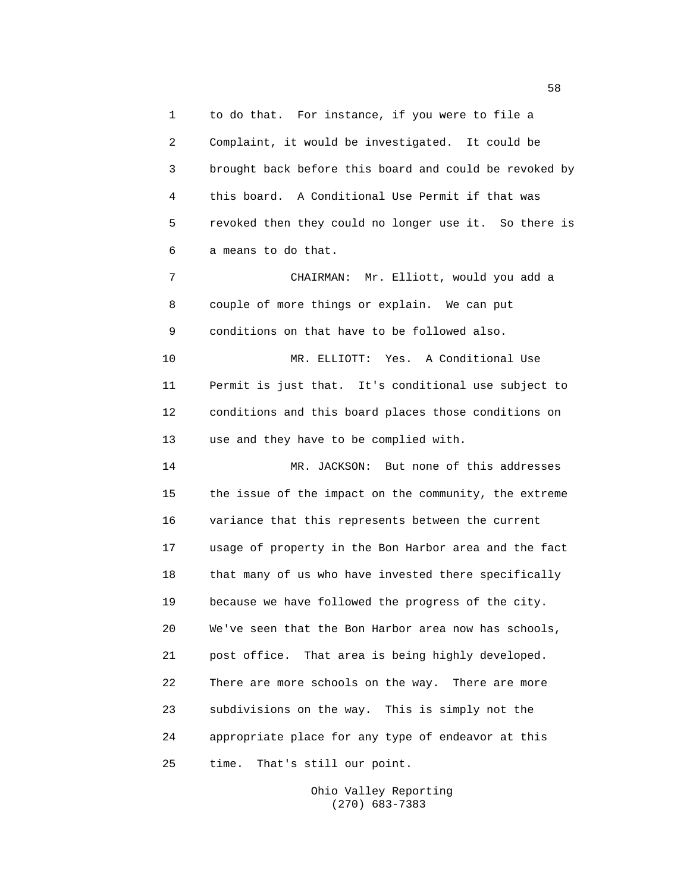1 to do that. For instance, if you were to file a 2 Complaint, it would be investigated. It could be 3 brought back before this board and could be revoked by 4 this board. A Conditional Use Permit if that was 5 revoked then they could no longer use it. So there is 6 a means to do that.

7 CHAIRMAN: Mr. Elliott, would you add a 8 couple of more things or explain. We can put 9 conditions on that have to be followed also.

10 MR. ELLIOTT: Yes. A Conditional Use 11 Permit is just that. It's conditional use subject to 12 conditions and this board places those conditions on 13 use and they have to be complied with.

14 MR. JACKSON: But none of this addresses 15 the issue of the impact on the community, the extreme 16 variance that this represents between the current 17 usage of property in the Bon Harbor area and the fact 18 that many of us who have invested there specifically 19 because we have followed the progress of the city. 20 We've seen that the Bon Harbor area now has schools, 21 post office. That area is being highly developed. 22 There are more schools on the way. There are more 23 subdivisions on the way. This is simply not the 24 appropriate place for any type of endeavor at this 25 time. That's still our point.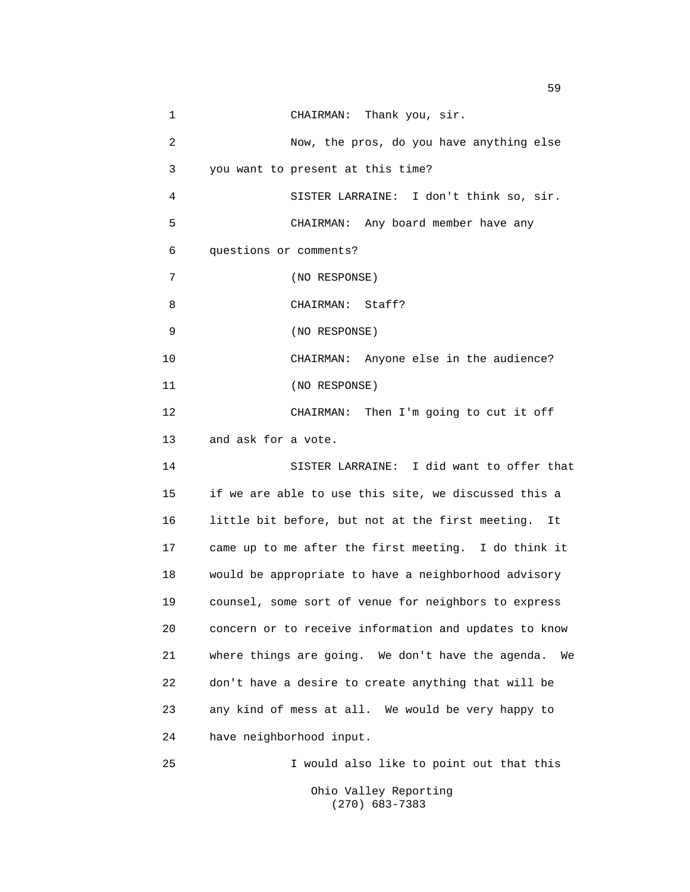| 1  | CHAIRMAN: Thank you, sir.                               |
|----|---------------------------------------------------------|
| 2  | Now, the pros, do you have anything else                |
| 3  | you want to present at this time?                       |
| 4  | SISTER LARRAINE: I don't think so, sir.                 |
| 5  | CHAIRMAN: Any board member have any                     |
| 6  | questions or comments?                                  |
| 7  | (NO RESPONSE)                                           |
| 8  | CHAIRMAN: Staff?                                        |
| 9  | (NO RESPONSE)                                           |
| 10 | CHAIRMAN: Anyone else in the audience?                  |
| 11 | (NO RESPONSE)                                           |
| 12 | CHAIRMAN: Then I'm going to cut it off                  |
| 13 | and ask for a vote.                                     |
| 14 | SISTER LARRAINE: I did want to offer that               |
| 15 | if we are able to use this site, we discussed this a    |
| 16 | little bit before, but not at the first meeting.<br>It  |
| 17 | came up to me after the first meeting. I do think it    |
| 18 | would be appropriate to have a neighborhood advisory    |
| 19 | counsel, some sort of venue for neighbors to express    |
| 20 | concern or to receive information and updates to know   |
| 21 | where things are going. We don't have the agenda.<br>We |
| 22 | don't have a desire to create anything that will be     |
| 23 | any kind of mess at all. We would be very happy to      |
| 24 | have neighborhood input.                                |
| 25 | I would also like to point out that this                |
|    | Ohio Valley Reporting                                   |

(270) 683-7383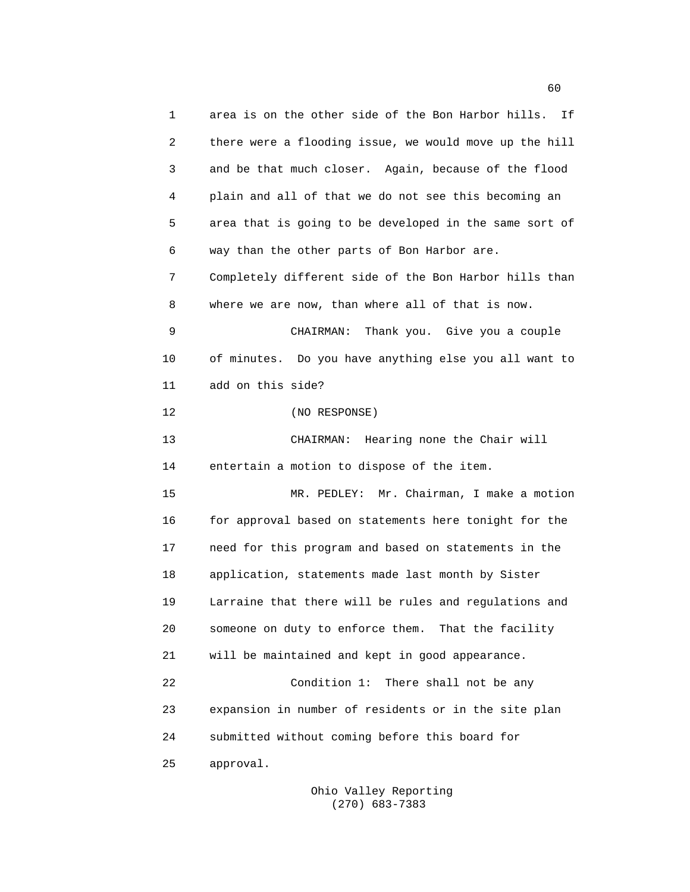1 area is on the other side of the Bon Harbor hills. If 2 there were a flooding issue, we would move up the hill 3 and be that much closer. Again, because of the flood 4 plain and all of that we do not see this becoming an 5 area that is going to be developed in the same sort of 6 way than the other parts of Bon Harbor are. 7 Completely different side of the Bon Harbor hills than 8 where we are now, than where all of that is now. 9 CHAIRMAN: Thank you. Give you a couple 10 of minutes. Do you have anything else you all want to 11 add on this side? 12 (NO RESPONSE) 13 CHAIRMAN: Hearing none the Chair will 14 entertain a motion to dispose of the item. 15 MR. PEDLEY: Mr. Chairman, I make a motion 16 for approval based on statements here tonight for the 17 need for this program and based on statements in the 18 application, statements made last month by Sister 19 Larraine that there will be rules and regulations and 20 someone on duty to enforce them. That the facility 21 will be maintained and kept in good appearance. 22 Condition 1: There shall not be any 23 expansion in number of residents or in the site plan 24 submitted without coming before this board for 25 approval.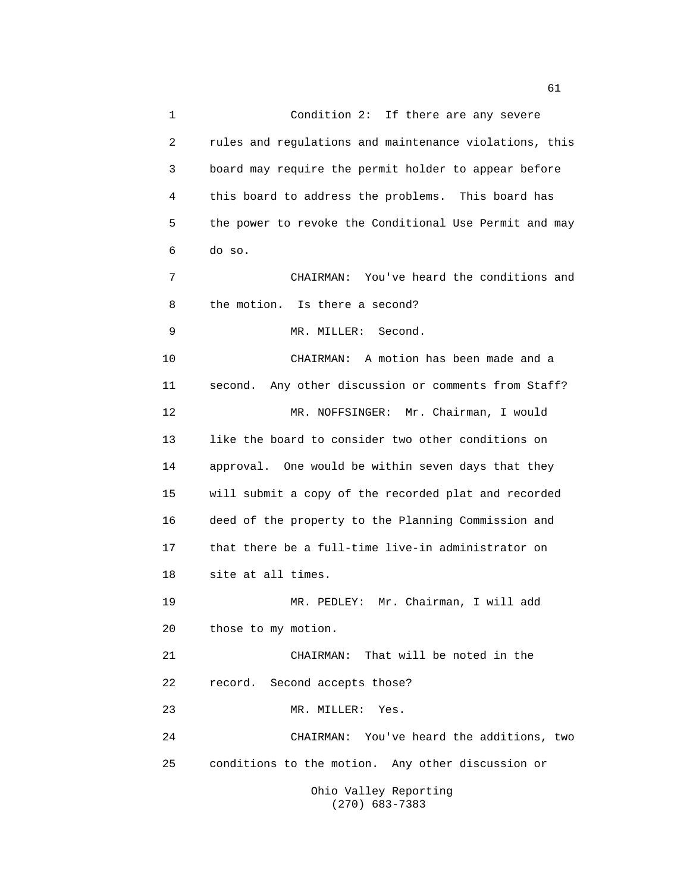1 Condition 2: If there are any severe 2 rules and regulations and maintenance violations, this 3 board may require the permit holder to appear before 4 this board to address the problems. This board has 5 the power to revoke the Conditional Use Permit and may 6 do so. 7 CHAIRMAN: You've heard the conditions and 8 the motion. Is there a second? 9 MR. MILLER: Second. 10 CHAIRMAN: A motion has been made and a 11 second. Any other discussion or comments from Staff? 12 MR. NOFFSINGER: Mr. Chairman, I would 13 like the board to consider two other conditions on 14 approval. One would be within seven days that they 15 will submit a copy of the recorded plat and recorded 16 deed of the property to the Planning Commission and 17 that there be a full-time live-in administrator on 18 site at all times. 19 MR. PEDLEY: Mr. Chairman, I will add 20 those to my motion. 21 CHAIRMAN: That will be noted in the 22 record. Second accepts those? 23 MR. MILLER: Yes. 24 CHAIRMAN: You've heard the additions, two 25 conditions to the motion. Any other discussion or

> Ohio Valley Reporting (270) 683-7383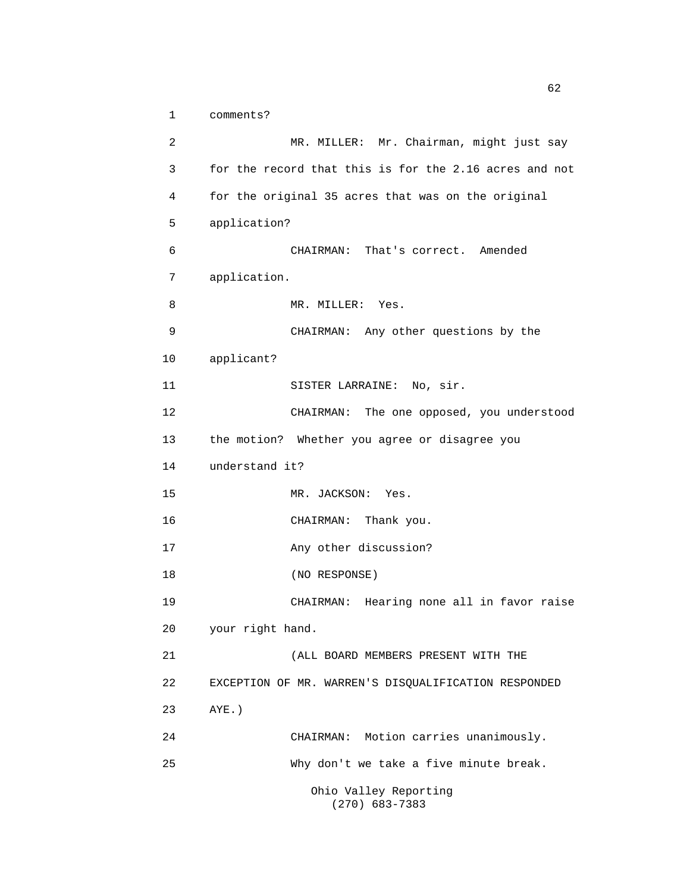1 comments?

2 MR. MILLER: Mr. Chairman, might just say 3 for the record that this is for the 2.16 acres and not 4 for the original 35 acres that was on the original 5 application? 6 CHAIRMAN: That's correct. Amended 7 application. 8 MR. MILLER: Yes. 9 CHAIRMAN: Any other questions by the 10 applicant? 11 SISTER LARRAINE: No, sir. 12 CHAIRMAN: The one opposed, you understood 13 the motion? Whether you agree or disagree you 14 understand it? 15 MR. JACKSON: Yes. 16 CHAIRMAN: Thank you. 17 Any other discussion? 18 (NO RESPONSE) 19 CHAIRMAN: Hearing none all in favor raise 20 your right hand. 21 (ALL BOARD MEMBERS PRESENT WITH THE 22 EXCEPTION OF MR. WARREN'S DISQUALIFICATION RESPONDED 23 AYE.) 24 CHAIRMAN: Motion carries unanimously. 25 Why don't we take a five minute break. Ohio Valley Reporting (270) 683-7383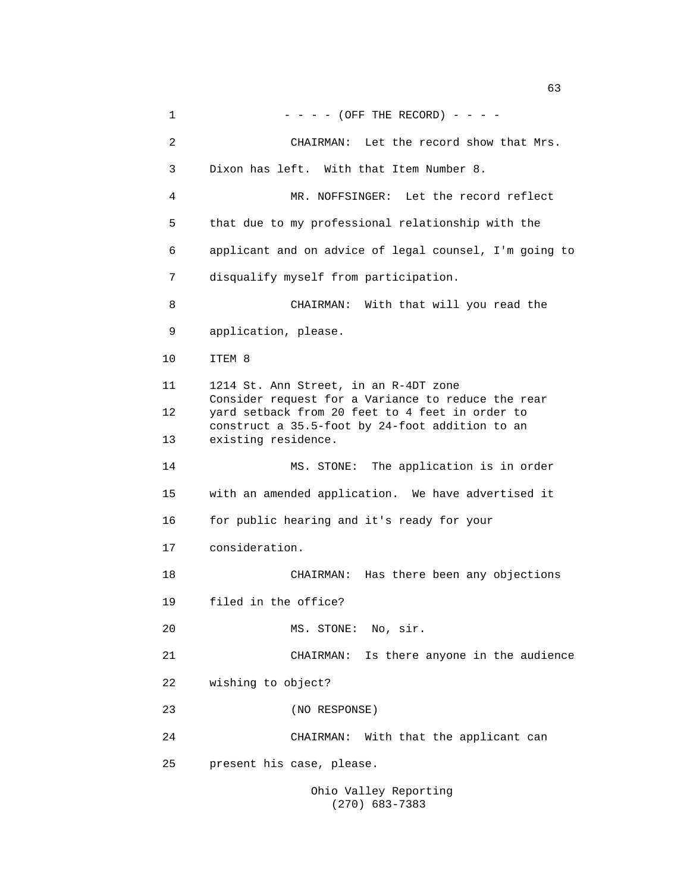$1 - - - (-$  (OFF THE RECORD) - - - -2 CHAIRMAN: Let the record show that Mrs. 3 Dixon has left. With that Item Number 8. 4 MR. NOFFSINGER: Let the record reflect 5 that due to my professional relationship with the 6 applicant and on advice of legal counsel, I'm going to 7 disqualify myself from participation. 8 CHAIRMAN: With that will you read the 9 application, please. 10 ITEM 8 11 1214 St. Ann Street, in an R-4DT zone Consider request for a Variance to reduce the rear 12 yard setback from 20 feet to 4 feet in order to construct a 35.5-foot by 24-foot addition to an 13 existing residence. 14 MS. STONE: The application is in order 15 with an amended application. We have advertised it 16 for public hearing and it's ready for your 17 consideration. 18 CHAIRMAN: Has there been any objections 19 filed in the office? 20 MS. STONE: No, sir. 21 CHAIRMAN: Is there anyone in the audience 22 wishing to object? 23 (NO RESPONSE) 24 CHAIRMAN: With that the applicant can 25 present his case, please. Ohio Valley Reporting

(270) 683-7383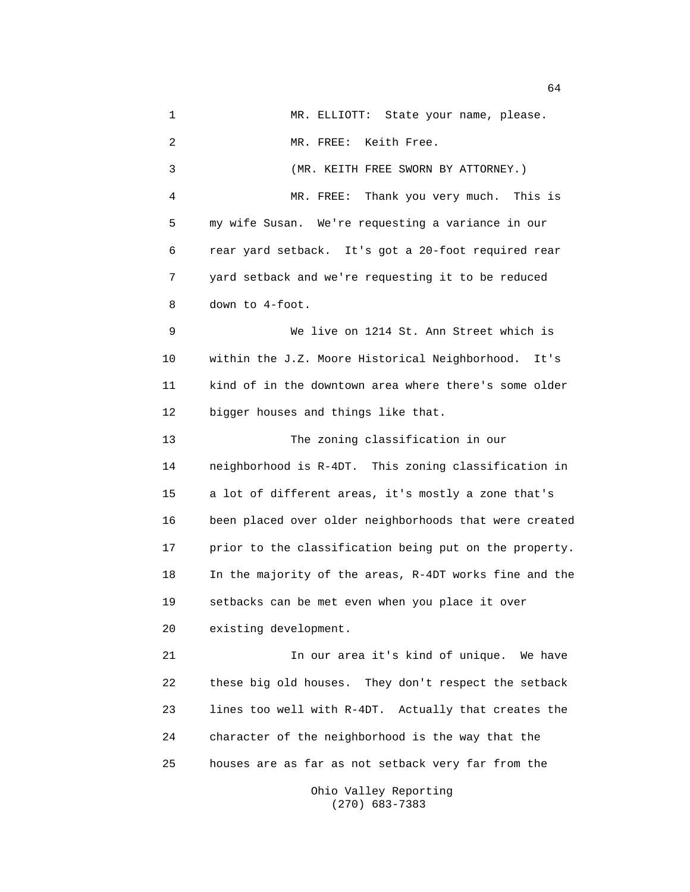1 MR. ELLIOTT: State your name, please. 2 MR. FREE: Keith Free. 3 (MR. KEITH FREE SWORN BY ATTORNEY.) 4 MR. FREE: Thank you very much. This is 5 my wife Susan. We're requesting a variance in our 6 rear yard setback. It's got a 20-foot required rear 7 yard setback and we're requesting it to be reduced 8 down to 4-foot. 9 We live on 1214 St. Ann Street which is 10 within the J.Z. Moore Historical Neighborhood. It's 11 kind of in the downtown area where there's some older 12 bigger houses and things like that. 13 The zoning classification in our 14 neighborhood is R-4DT. This zoning classification in 15 a lot of different areas, it's mostly a zone that's 16 been placed over older neighborhoods that were created 17 prior to the classification being put on the property. 18 In the majority of the areas, R-4DT works fine and the 19 setbacks can be met even when you place it over 20 existing development. 21 In our area it's kind of unique. We have 22 these big old houses. They don't respect the setback 23 lines too well with R-4DT. Actually that creates the 24 character of the neighborhood is the way that the 25 houses are as far as not setback very far from the Ohio Valley Reporting

(270) 683-7383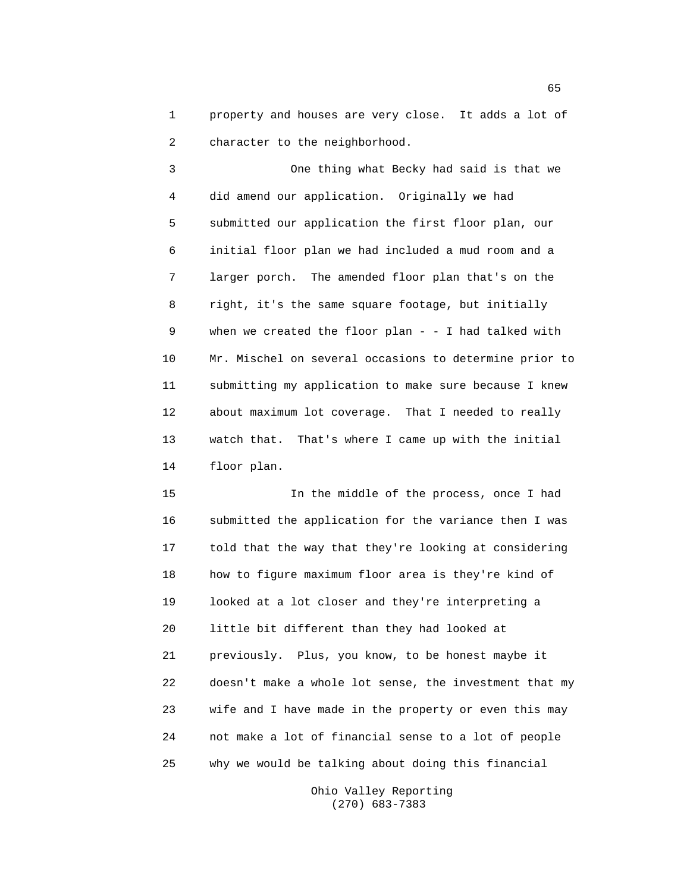1 property and houses are very close. It adds a lot of 2 character to the neighborhood.

3 One thing what Becky had said is that we 4 did amend our application. Originally we had 5 submitted our application the first floor plan, our 6 initial floor plan we had included a mud room and a 7 larger porch. The amended floor plan that's on the 8 right, it's the same square footage, but initially 9 when we created the floor plan - - I had talked with 10 Mr. Mischel on several occasions to determine prior to 11 submitting my application to make sure because I knew 12 about maximum lot coverage. That I needed to really 13 watch that. That's where I came up with the initial 14 floor plan.

15 In the middle of the process, once I had 16 submitted the application for the variance then I was 17 told that the way that they're looking at considering 18 how to figure maximum floor area is they're kind of 19 looked at a lot closer and they're interpreting a 20 little bit different than they had looked at 21 previously. Plus, you know, to be honest maybe it 22 doesn't make a whole lot sense, the investment that my 23 wife and I have made in the property or even this may 24 not make a lot of financial sense to a lot of people 25 why we would be talking about doing this financial

> Ohio Valley Reporting (270) 683-7383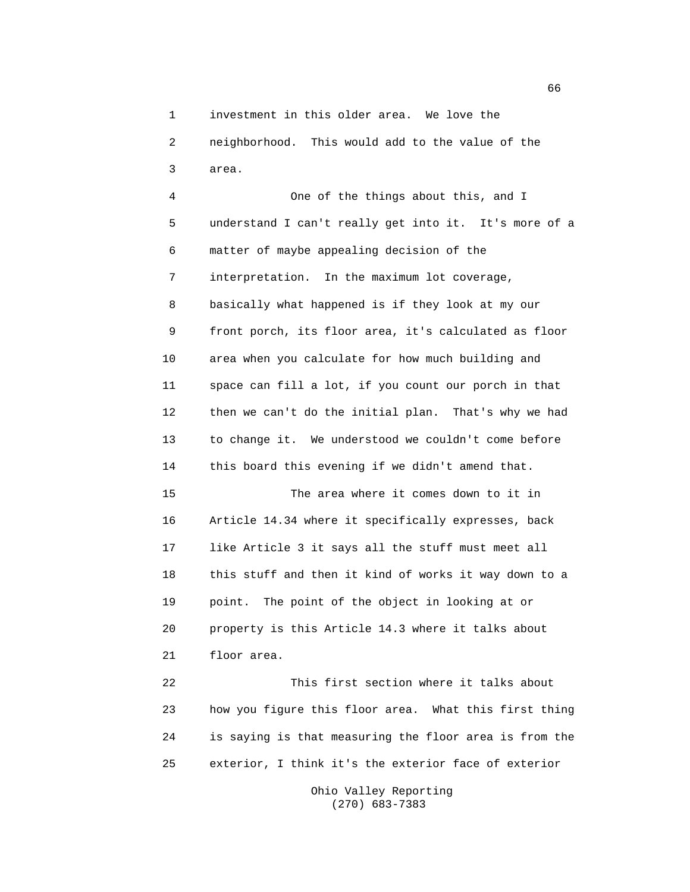1 investment in this older area. We love the

2 neighborhood. This would add to the value of the 3 area.

4 One of the things about this, and I 5 understand I can't really get into it. It's more of a 6 matter of maybe appealing decision of the 7 interpretation. In the maximum lot coverage, 8 basically what happened is if they look at my our 9 front porch, its floor area, it's calculated as floor 10 area when you calculate for how much building and 11 space can fill a lot, if you count our porch in that 12 then we can't do the initial plan. That's why we had 13 to change it. We understood we couldn't come before 14 this board this evening if we didn't amend that. 15 The area where it comes down to it in 16 Article 14.34 where it specifically expresses, back 17 like Article 3 it says all the stuff must meet all 18 this stuff and then it kind of works it way down to a 19 point. The point of the object in looking at or 20 property is this Article 14.3 where it talks about 21 floor area. 22 This first section where it talks about

23 how you figure this floor area. What this first thing 24 is saying is that measuring the floor area is from the 25 exterior, I think it's the exterior face of exterior

> Ohio Valley Reporting (270) 683-7383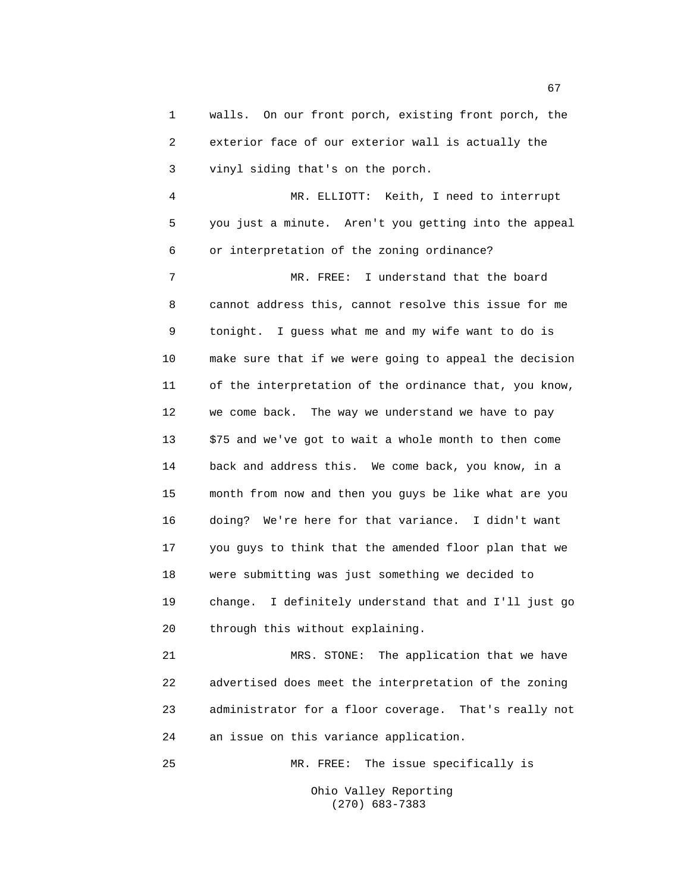1 walls. On our front porch, existing front porch, the 2 exterior face of our exterior wall is actually the 3 vinyl siding that's on the porch. 4 MR. ELLIOTT: Keith, I need to interrupt 5 you just a minute. Aren't you getting into the appeal 6 or interpretation of the zoning ordinance? 7 MR. FREE: I understand that the board 8 cannot address this, cannot resolve this issue for me 9 tonight. I guess what me and my wife want to do is 10 make sure that if we were going to appeal the decision 11 of the interpretation of the ordinance that, you know, 12 we come back. The way we understand we have to pay 13 \$75 and we've got to wait a whole month to then come 14 back and address this. We come back, you know, in a 15 month from now and then you guys be like what are you 16 doing? We're here for that variance. I didn't want 17 you guys to think that the amended floor plan that we 18 were submitting was just something we decided to 19 change. I definitely understand that and I'll just go 20 through this without explaining.

21 MRS. STONE: The application that we have 22 advertised does meet the interpretation of the zoning 23 administrator for a floor coverage. That's really not 24 an issue on this variance application.

25 MR. FREE: The issue specifically is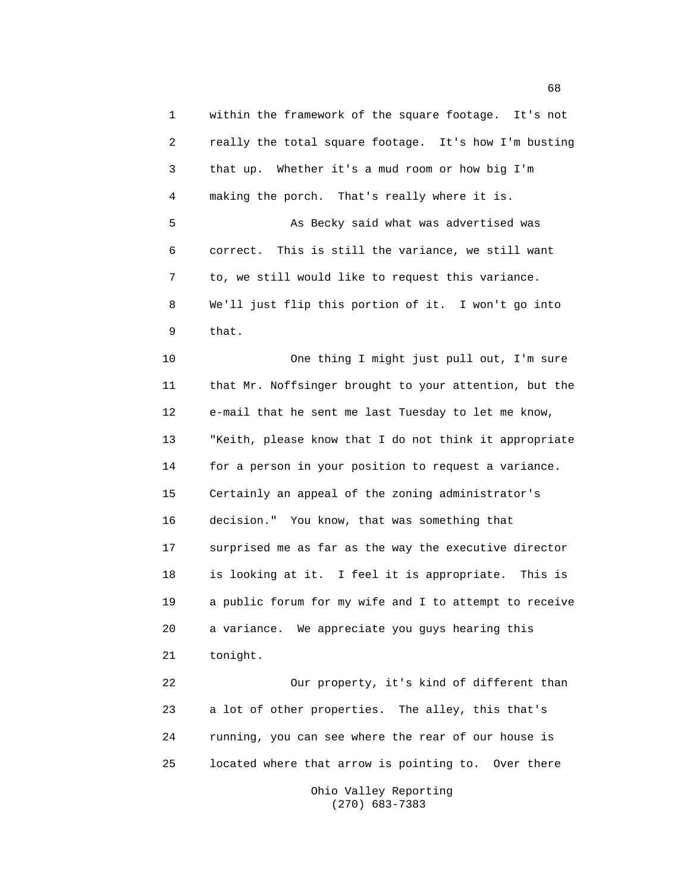1 within the framework of the square footage. It's not 2 really the total square footage. It's how I'm busting 3 that up. Whether it's a mud room or how big I'm 4 making the porch. That's really where it is. 5 As Becky said what was advertised was 6 correct. This is still the variance, we still want 7 to, we still would like to request this variance. 8 We'll just flip this portion of it. I won't go into 9 that. 10 One thing I might just pull out, I'm sure 11 that Mr. Noffsinger brought to your attention, but the 12 e-mail that he sent me last Tuesday to let me know, 13 "Keith, please know that I do not think it appropriate 14 for a person in your position to request a variance. 15 Certainly an appeal of the zoning administrator's 16 decision." You know, that was something that 17 surprised me as far as the way the executive director 18 is looking at it. I feel it is appropriate. This is 19 a public forum for my wife and I to attempt to receive 20 a variance. We appreciate you guys hearing this 21 tonight. 22 Our property, it's kind of different than 23 a lot of other properties. The alley, this that's 24 running, you can see where the rear of our house is 25 located where that arrow is pointing to. Over there Ohio Valley Reporting

(270) 683-7383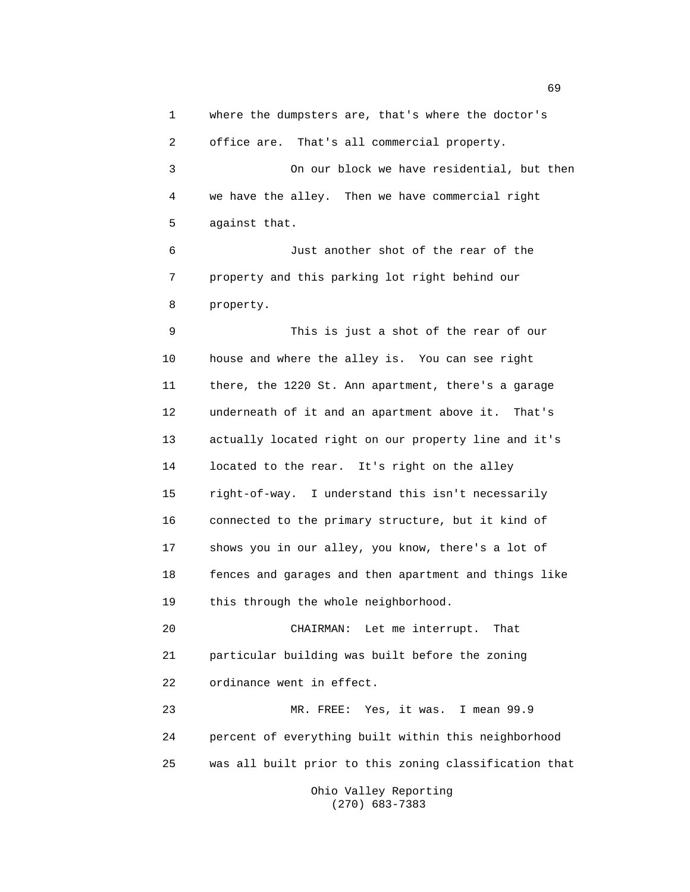1 where the dumpsters are, that's where the doctor's

2 office are. That's all commercial property.

3 On our block we have residential, but then 4 we have the alley. Then we have commercial right 5 against that.

6 Just another shot of the rear of the 7 property and this parking lot right behind our 8 property.

9 This is just a shot of the rear of our 10 house and where the alley is. You can see right 11 there, the 1220 St. Ann apartment, there's a garage 12 underneath of it and an apartment above it. That's 13 actually located right on our property line and it's 14 located to the rear. It's right on the alley 15 right-of-way. I understand this isn't necessarily 16 connected to the primary structure, but it kind of 17 shows you in our alley, you know, there's a lot of 18 fences and garages and then apartment and things like 19 this through the whole neighborhood.

20 CHAIRMAN: Let me interrupt. That 21 particular building was built before the zoning 22 ordinance went in effect.

23 MR. FREE: Yes, it was. I mean 99.9 24 percent of everything built within this neighborhood 25 was all built prior to this zoning classification that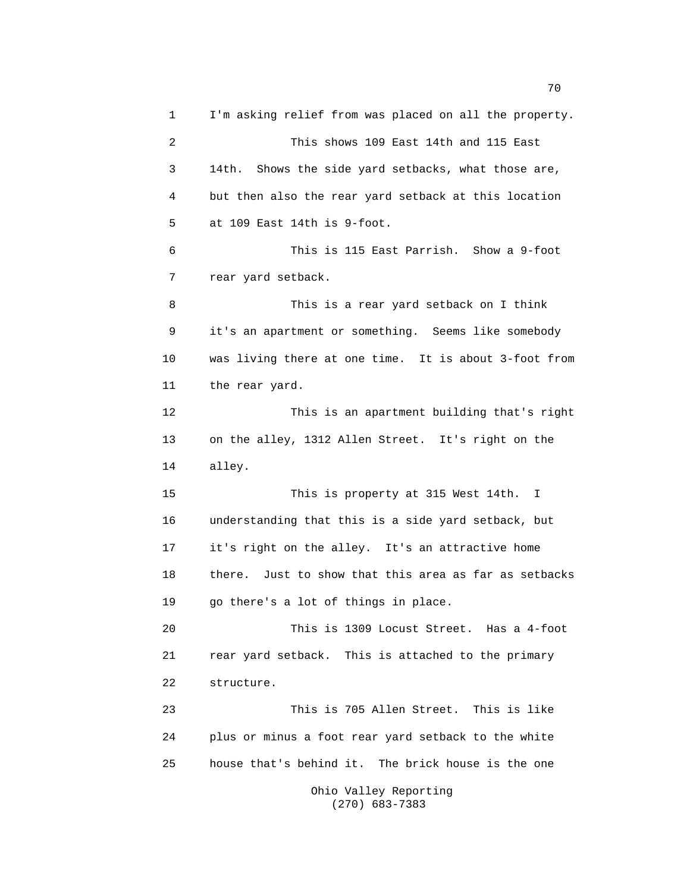1 I'm asking relief from was placed on all the property. 2 This shows 109 East 14th and 115 East 3 14th. Shows the side yard setbacks, what those are, 4 but then also the rear yard setback at this location 5 at 109 East 14th is 9-foot. 6 This is 115 East Parrish. Show a 9-foot 7 rear yard setback. 8 This is a rear yard setback on I think 9 it's an apartment or something. Seems like somebody 10 was living there at one time. It is about 3-foot from 11 the rear yard. 12 This is an apartment building that's right 13 on the alley, 1312 Allen Street. It's right on the 14 alley. 15 This is property at 315 West 14th. I 16 understanding that this is a side yard setback, but 17 it's right on the alley. It's an attractive home 18 there. Just to show that this area as far as setbacks 19 go there's a lot of things in place. 20 This is 1309 Locust Street. Has a 4-foot 21 rear yard setback. This is attached to the primary 22 structure. 23 This is 705 Allen Street. This is like 24 plus or minus a foot rear yard setback to the white 25 house that's behind it. The brick house is the one Ohio Valley Reporting

(270) 683-7383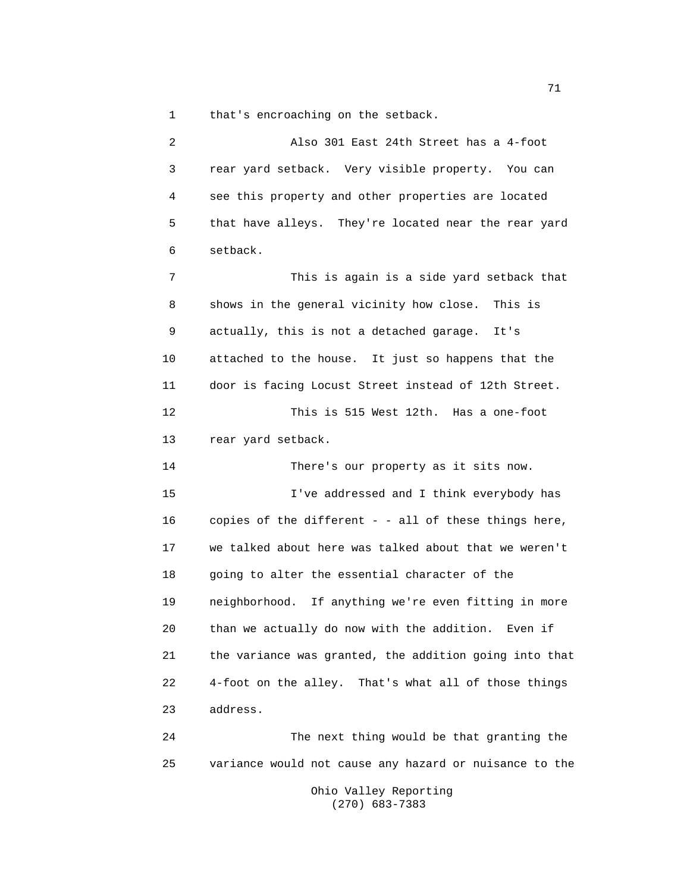1 that's encroaching on the setback.

2 Also 301 East 24th Street has a 4-foot 3 rear yard setback. Very visible property. You can 4 see this property and other properties are located 5 that have alleys. They're located near the rear yard 6 setback. 7 This is again is a side yard setback that 8 shows in the general vicinity how close. This is 9 actually, this is not a detached garage. It's 10 attached to the house. It just so happens that the 11 door is facing Locust Street instead of 12th Street. 12 This is 515 West 12th. Has a one-foot 13 rear yard setback. 14 There's our property as it sits now. 15 I've addressed and I think everybody has 16 copies of the different - - all of these things here, 17 we talked about here was talked about that we weren't 18 going to alter the essential character of the 19 neighborhood. If anything we're even fitting in more 20 than we actually do now with the addition. Even if 21 the variance was granted, the addition going into that 22 4-foot on the alley. That's what all of those things 23 address. 24 The next thing would be that granting the

25 variance would not cause any hazard or nuisance to the

Ohio Valley Reporting (270) 683-7383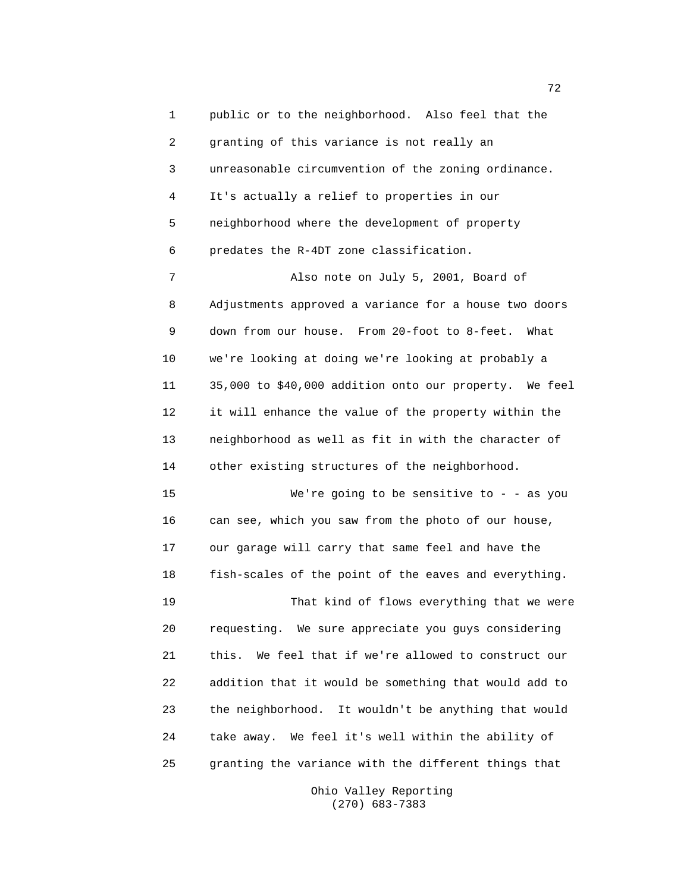1 public or to the neighborhood. Also feel that the 2 granting of this variance is not really an 3 unreasonable circumvention of the zoning ordinance. 4 It's actually a relief to properties in our 5 neighborhood where the development of property 6 predates the R-4DT zone classification. 7 Also note on July 5, 2001, Board of 8 Adjustments approved a variance for a house two doors 9 down from our house. From 20-foot to 8-feet. What 10 we're looking at doing we're looking at probably a 11 35,000 to \$40,000 addition onto our property. We feel 12 it will enhance the value of the property within the 13 neighborhood as well as fit in with the character of 14 other existing structures of the neighborhood. 15 We're going to be sensitive to - - as you 16 can see, which you saw from the photo of our house, 17 our garage will carry that same feel and have the 18 fish-scales of the point of the eaves and everything. 19 That kind of flows everything that we were 20 requesting. We sure appreciate you guys considering 21 this. We feel that if we're allowed to construct our 22 addition that it would be something that would add to 23 the neighborhood. It wouldn't be anything that would 24 take away. We feel it's well within the ability of 25 granting the variance with the different things that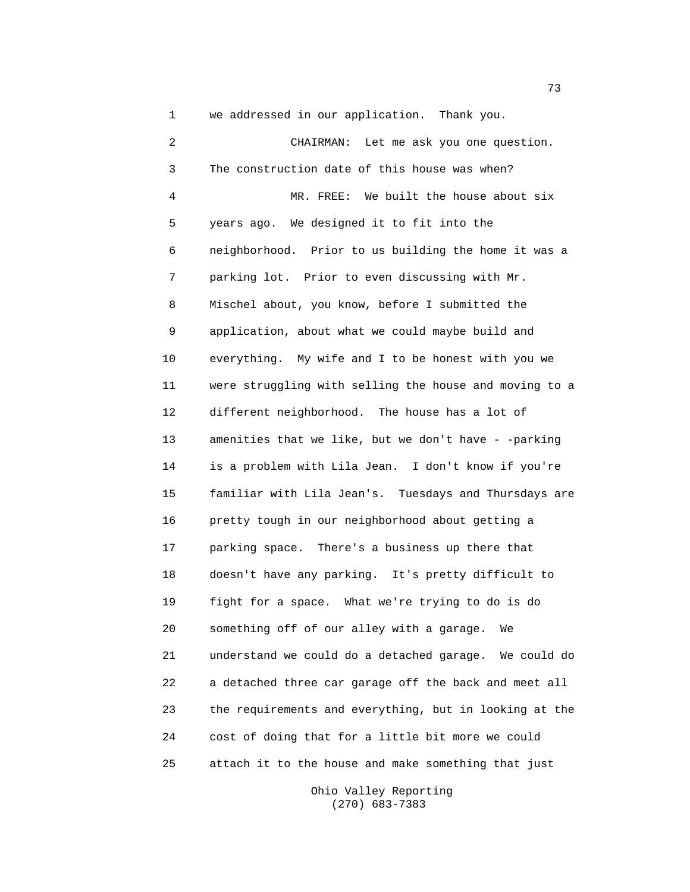1 we addressed in our application. Thank you.

2 CHAIRMAN: Let me ask you one question. 3 The construction date of this house was when? 4 MR. FREE: We built the house about six 5 years ago. We designed it to fit into the 6 neighborhood. Prior to us building the home it was a 7 parking lot. Prior to even discussing with Mr. 8 Mischel about, you know, before I submitted the 9 application, about what we could maybe build and 10 everything. My wife and I to be honest with you we 11 were struggling with selling the house and moving to a 12 different neighborhood. The house has a lot of 13 amenities that we like, but we don't have - -parking 14 is a problem with Lila Jean. I don't know if you're 15 familiar with Lila Jean's. Tuesdays and Thursdays are 16 pretty tough in our neighborhood about getting a 17 parking space. There's a business up there that 18 doesn't have any parking. It's pretty difficult to 19 fight for a space. What we're trying to do is do 20 something off of our alley with a garage. We 21 understand we could do a detached garage. We could do 22 a detached three car garage off the back and meet all 23 the requirements and everything, but in looking at the 24 cost of doing that for a little bit more we could 25 attach it to the house and make something that just

> Ohio Valley Reporting (270) 683-7383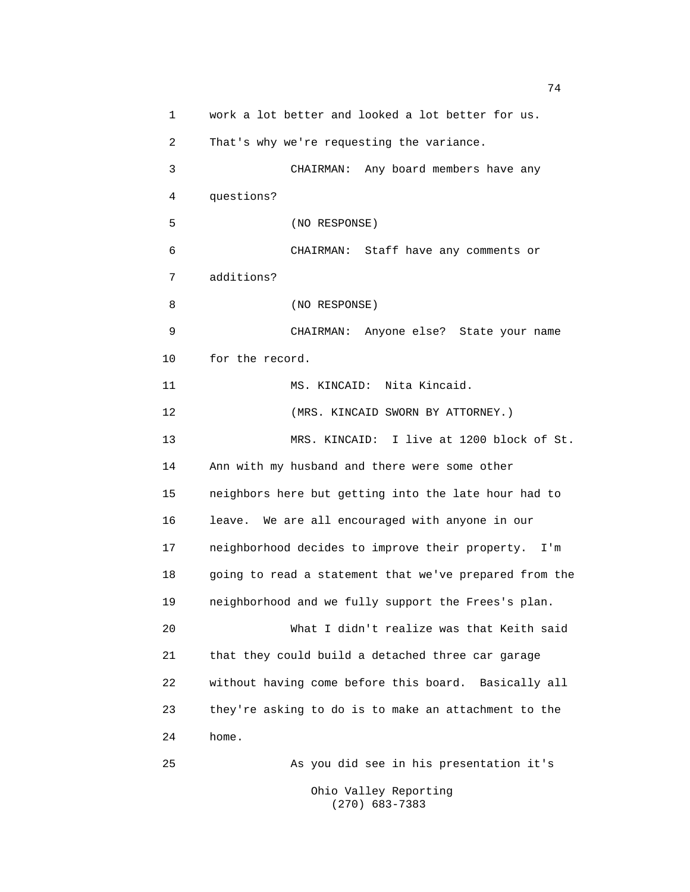1 work a lot better and looked a lot better for us. 2 That's why we're requesting the variance. 3 CHAIRMAN: Any board members have any 4 questions? 5 (NO RESPONSE) 6 CHAIRMAN: Staff have any comments or 7 additions? 8 (NO RESPONSE) 9 CHAIRMAN: Anyone else? State your name 10 for the record. 11 MS. KINCAID: Nita Kincaid. 12 (MRS. KINCAID SWORN BY ATTORNEY.) 13 MRS. KINCAID: I live at 1200 block of St. 14 Ann with my husband and there were some other 15 neighbors here but getting into the late hour had to 16 leave. We are all encouraged with anyone in our 17 neighborhood decides to improve their property. I'm 18 going to read a statement that we've prepared from the 19 neighborhood and we fully support the Frees's plan. 20 What I didn't realize was that Keith said 21 that they could build a detached three car garage 22 without having come before this board. Basically all 23 they're asking to do is to make an attachment to the 24 home. 25 As you did see in his presentation it's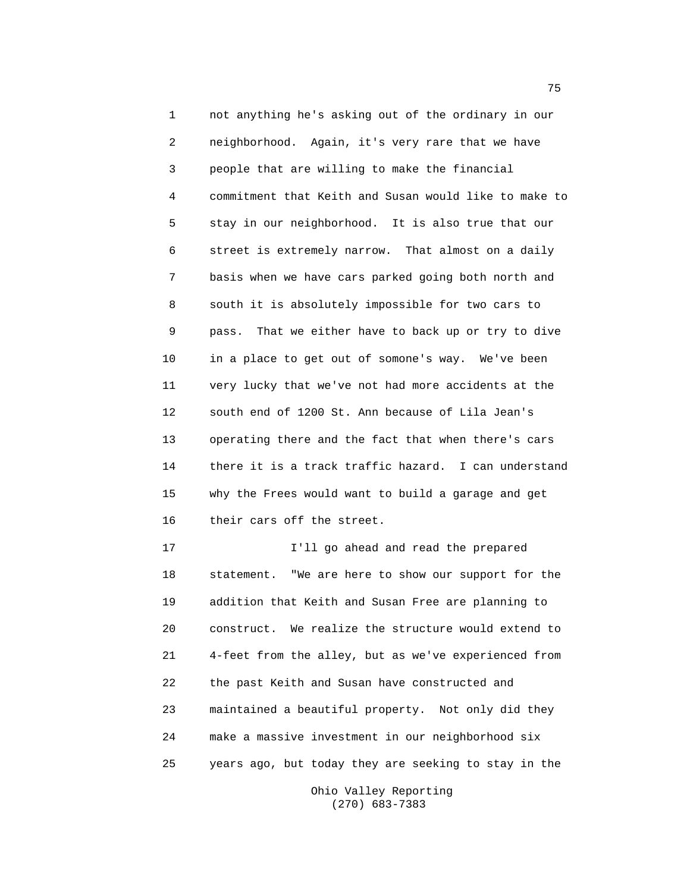1 not anything he's asking out of the ordinary in our 2 neighborhood. Again, it's very rare that we have 3 people that are willing to make the financial 4 commitment that Keith and Susan would like to make to 5 stay in our neighborhood. It is also true that our 6 street is extremely narrow. That almost on a daily 7 basis when we have cars parked going both north and 8 south it is absolutely impossible for two cars to 9 pass. That we either have to back up or try to dive 10 in a place to get out of somone's way. We've been 11 very lucky that we've not had more accidents at the 12 south end of 1200 St. Ann because of Lila Jean's 13 operating there and the fact that when there's cars 14 there it is a track traffic hazard. I can understand 15 why the Frees would want to build a garage and get 16 their cars off the street.

17 I'll go ahead and read the prepared 18 statement. "We are here to show our support for the 19 addition that Keith and Susan Free are planning to 20 construct. We realize the structure would extend to 21 4-feet from the alley, but as we've experienced from 22 the past Keith and Susan have constructed and 23 maintained a beautiful property. Not only did they 24 make a massive investment in our neighborhood six 25 years ago, but today they are seeking to stay in the

> Ohio Valley Reporting (270) 683-7383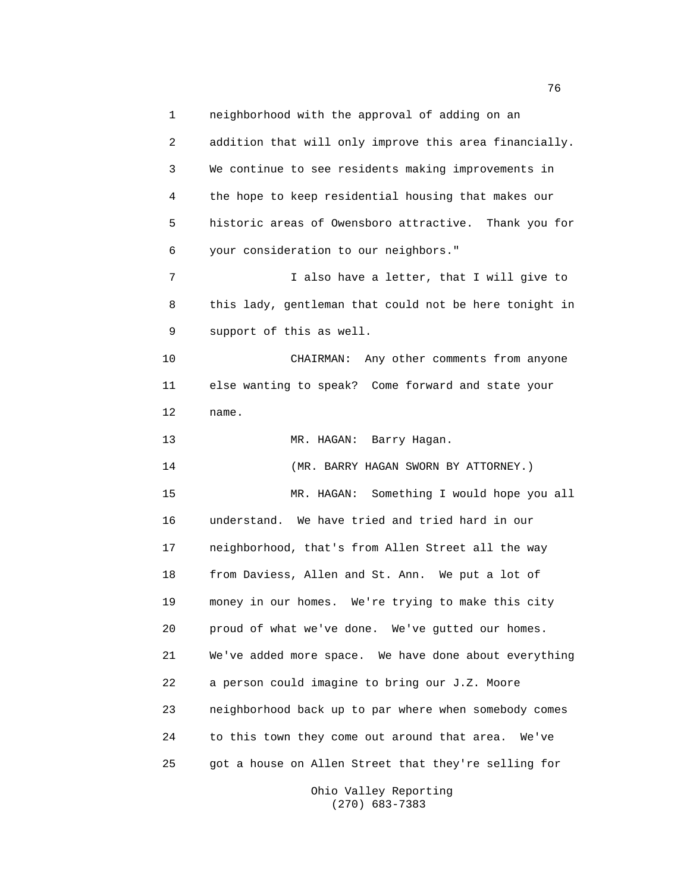1 neighborhood with the approval of adding on an 2 addition that will only improve this area financially. 3 We continue to see residents making improvements in 4 the hope to keep residential housing that makes our 5 historic areas of Owensboro attractive. Thank you for 6 your consideration to our neighbors." 7 I also have a letter, that I will give to 8 this lady, gentleman that could not be here tonight in 9 support of this as well. 10 CHAIRMAN: Any other comments from anyone 11 else wanting to speak? Come forward and state your 12 name. 13 MR. HAGAN: Barry Hagan. 14 (MR. BARRY HAGAN SWORN BY ATTORNEY.) 15 MR. HAGAN: Something I would hope you all 16 understand. We have tried and tried hard in our 17 neighborhood, that's from Allen Street all the way 18 from Daviess, Allen and St. Ann. We put a lot of 19 money in our homes. We're trying to make this city 20 proud of what we've done. We've gutted our homes. 21 We've added more space. We have done about everything 22 a person could imagine to bring our J.Z. Moore 23 neighborhood back up to par where when somebody comes 24 to this town they come out around that area. We've 25 got a house on Allen Street that they're selling for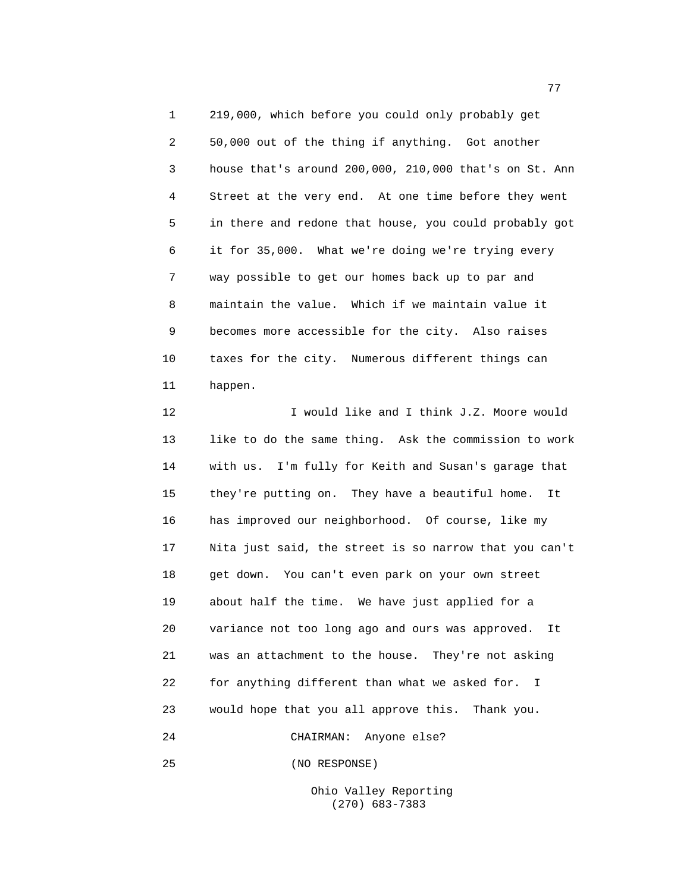1 219,000, which before you could only probably get 2 50,000 out of the thing if anything. Got another 3 house that's around 200,000, 210,000 that's on St. Ann 4 Street at the very end. At one time before they went 5 in there and redone that house, you could probably got 6 it for 35,000. What we're doing we're trying every 7 way possible to get our homes back up to par and 8 maintain the value. Which if we maintain value it 9 becomes more accessible for the city. Also raises 10 taxes for the city. Numerous different things can 11 happen.

12 **I** would like and I think J.Z. Moore would 13 like to do the same thing. Ask the commission to work 14 with us. I'm fully for Keith and Susan's garage that 15 they're putting on. They have a beautiful home. It 16 has improved our neighborhood. Of course, like my 17 Nita just said, the street is so narrow that you can't 18 get down. You can't even park on your own street 19 about half the time. We have just applied for a 20 variance not too long ago and ours was approved. It 21 was an attachment to the house. They're not asking 22 for anything different than what we asked for. I 23 would hope that you all approve this. Thank you. 24 CHAIRMAN: Anyone else?

25 (NO RESPONSE)

Ohio Valley Reporting (270) 683-7383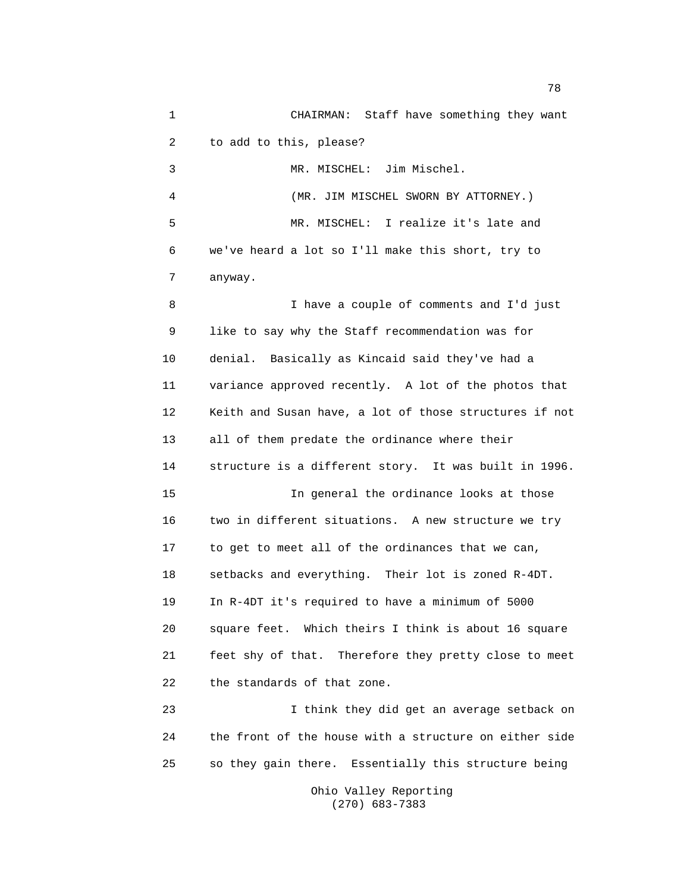1 CHAIRMAN: Staff have something they want 2 to add to this, please? 3 MR. MISCHEL: Jim Mischel. 4 (MR. JIM MISCHEL SWORN BY ATTORNEY.) 5 MR. MISCHEL: I realize it's late and 6 we've heard a lot so I'll make this short, try to 7 anyway. 8 I have a couple of comments and I'd just 9 like to say why the Staff recommendation was for 10 denial. Basically as Kincaid said they've had a 11 variance approved recently. A lot of the photos that 12 Keith and Susan have, a lot of those structures if not 13 all of them predate the ordinance where their 14 structure is a different story. It was built in 1996. 15 In general the ordinance looks at those 16 two in different situations. A new structure we try 17 to get to meet all of the ordinances that we can, 18 setbacks and everything. Their lot is zoned R-4DT. 19 In R-4DT it's required to have a minimum of 5000 20 square feet. Which theirs I think is about 16 square 21 feet shy of that. Therefore they pretty close to meet 22 the standards of that zone. 23 I think they did get an average setback on 24 the front of the house with a structure on either side 25 so they gain there. Essentially this structure being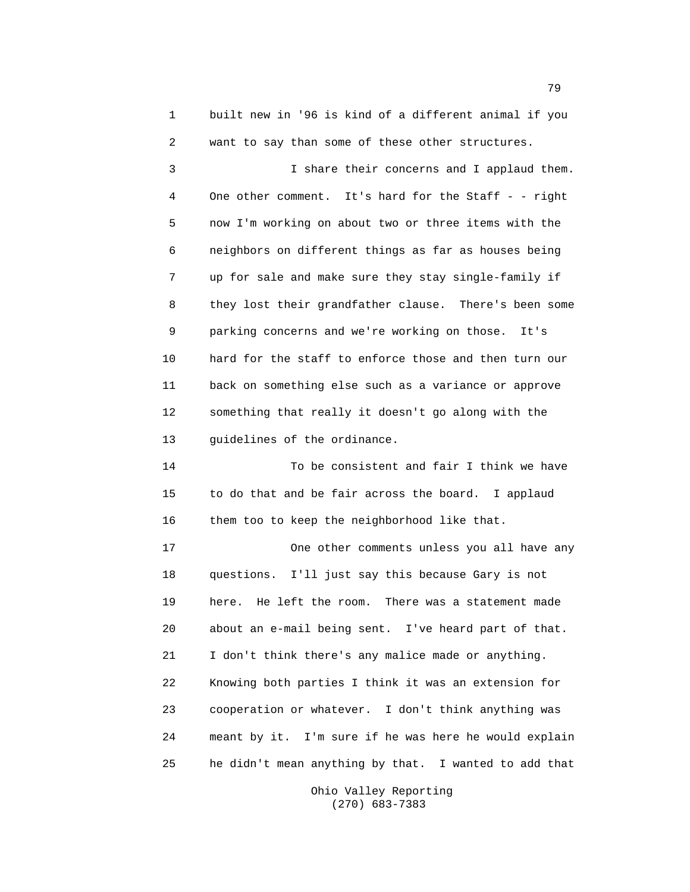1 built new in '96 is kind of a different animal if you 2 want to say than some of these other structures. 3 I share their concerns and I applaud them. 4 One other comment. It's hard for the Staff - - right 5 now I'm working on about two or three items with the 6 neighbors on different things as far as houses being 7 up for sale and make sure they stay single-family if 8 they lost their grandfather clause. There's been some 9 parking concerns and we're working on those. It's 10 hard for the staff to enforce those and then turn our 11 back on something else such as a variance or approve 12 something that really it doesn't go along with the 13 guidelines of the ordinance. 14 To be consistent and fair I think we have 15 to do that and be fair across the board. I applaud 16 them too to keep the neighborhood like that. 17 One other comments unless you all have any 18 questions. I'll just say this because Gary is not 19 here. He left the room. There was a statement made 20 about an e-mail being sent. I've heard part of that. 21 I don't think there's any malice made or anything. 22 Knowing both parties I think it was an extension for 23 cooperation or whatever. I don't think anything was 24 meant by it. I'm sure if he was here he would explain 25 he didn't mean anything by that. I wanted to add that

> Ohio Valley Reporting (270) 683-7383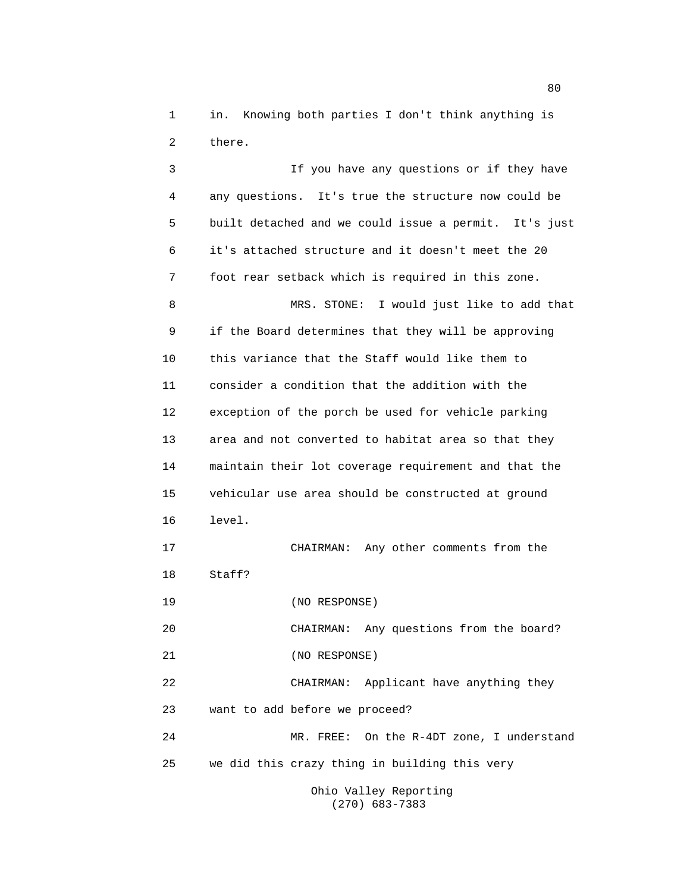1 in. Knowing both parties I don't think anything is 2 there.

3 If you have any questions or if they have 4 any questions. It's true the structure now could be 5 built detached and we could issue a permit. It's just 6 it's attached structure and it doesn't meet the 20 7 foot rear setback which is required in this zone. 8 MRS. STONE: I would just like to add that 9 if the Board determines that they will be approving 10 this variance that the Staff would like them to 11 consider a condition that the addition with the 12 exception of the porch be used for vehicle parking 13 area and not converted to habitat area so that they 14 maintain their lot coverage requirement and that the 15 vehicular use area should be constructed at ground 16 level. 17 CHAIRMAN: Any other comments from the 18 Staff? 19 (NO RESPONSE) 20 CHAIRMAN: Any questions from the board? 21 (NO RESPONSE) 22 CHAIRMAN: Applicant have anything they 23 want to add before we proceed? 24 MR. FREE: On the R-4DT zone, I understand 25 we did this crazy thing in building this very Ohio Valley Reporting

(270) 683-7383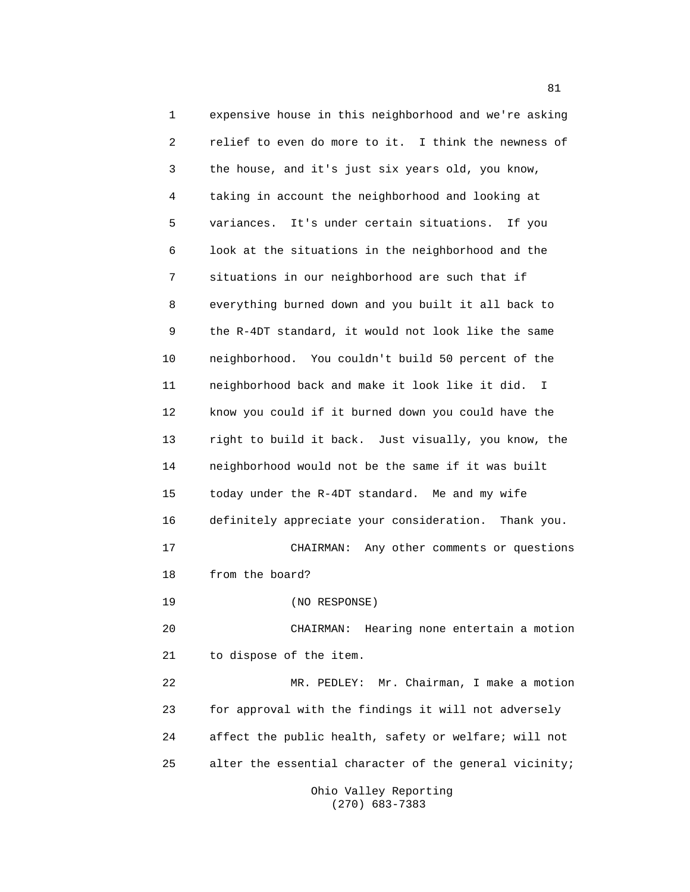1 expensive house in this neighborhood and we're asking 2 relief to even do more to it. I think the newness of 3 the house, and it's just six years old, you know, 4 taking in account the neighborhood and looking at 5 variances. It's under certain situations. If you 6 look at the situations in the neighborhood and the 7 situations in our neighborhood are such that if 8 everything burned down and you built it all back to 9 the R-4DT standard, it would not look like the same 10 neighborhood. You couldn't build 50 percent of the 11 neighborhood back and make it look like it did. I 12 know you could if it burned down you could have the 13 right to build it back. Just visually, you know, the 14 neighborhood would not be the same if it was built 15 today under the R-4DT standard. Me and my wife 16 definitely appreciate your consideration. Thank you. 17 CHAIRMAN: Any other comments or questions 18 from the board? 19 (NO RESPONSE) 20 CHAIRMAN: Hearing none entertain a motion 21 to dispose of the item. 22 MR. PEDLEY: Mr. Chairman, I make a motion 23 for approval with the findings it will not adversely 24 affect the public health, safety or welfare; will not 25 alter the essential character of the general vicinity;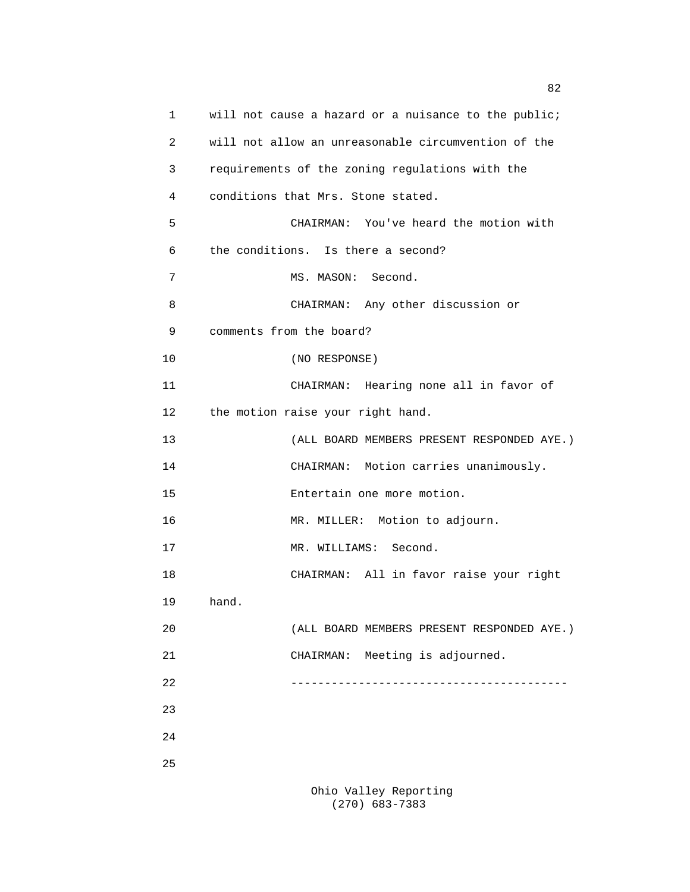| 1  | will not cause a hazard or a nuisance to the public; |
|----|------------------------------------------------------|
| 2  | will not allow an unreasonable circumvention of the  |
| 3  | requirements of the zoning regulations with the      |
| 4  | conditions that Mrs. Stone stated.                   |
| 5  | CHAIRMAN: You've heard the motion with               |
| 6  | the conditions. Is there a second?                   |
| 7  | MS. MASON: Second.                                   |
| 8  | CHAIRMAN: Any other discussion or                    |
| 9  | comments from the board?                             |
| 10 | (NO RESPONSE)                                        |
| 11 | CHAIRMAN: Hearing none all in favor of               |
| 12 | the motion raise your right hand.                    |
| 13 | (ALL BOARD MEMBERS PRESENT RESPONDED AYE.)           |
| 14 | CHAIRMAN: Motion carries unanimously.                |
| 15 | Entertain one more motion.                           |
| 16 | MR. MILLER: Motion to adjourn.                       |
| 17 | Second.<br>MR. WILLIAMS:                             |
| 18 | CHAIRMAN: All in favor raise your right              |
| 19 | hand.                                                |
| 20 | (ALL BOARD MEMBERS PRESENT RESPONDED AYE.)           |
| 21 | CHAIRMAN: Meeting is adjourned.                      |
| 22 |                                                      |
| 23 |                                                      |
| 24 |                                                      |
| 25 |                                                      |
|    |                                                      |